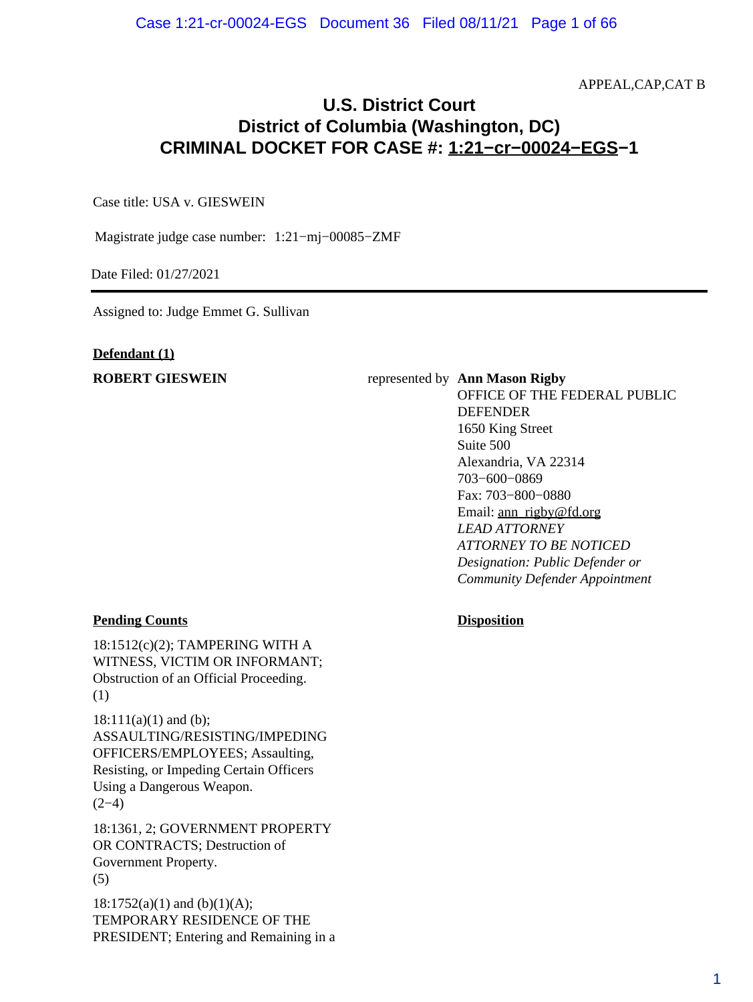APPEAL,CAP,CAT B

# **U.S. District Court District of Columbia (Washington, DC) CRIMINAL DOCKET FOR CASE #: 1:21−cr−00024−EGS−1**

Case title: USA v. GIESWEIN

Magistrate judge case number: 1:21−mj−00085−ZMF

Date Filed: 01/27/2021

Assigned to: Judge Emmet G. Sullivan

#### **Defendant (1)**

#### **ROBERT GIESWEIN** represented by **Ann Mason Rigby**

OFFICE OF THE FEDERAL PUBLIC DEFENDER 1650 King Street Suite 500 Alexandria, VA 22314 703−600−0869 Fax: 703−800−0880 Email: ann\_rigby@fd.org *LEAD ATTORNEY ATTORNEY TO BE NOTICED Designation: Public Defender or Community Defender Appointment*

### **Pending Counts Disposition**

18:1512(c)(2); TAMPERING WITH A WITNESS, VICTIM OR INFORMANT; Obstruction of an Official Proceeding. (1)

 $18:111(a)(1)$  and (b); ASSAULTING/RESISTING/IMPEDING OFFICERS/EMPLOYEES; Assaulting, Resisting, or Impeding Certain Officers Using a Dangerous Weapon.  $(2-4)$ 

18:1361, 2; GOVERNMENT PROPERTY OR CONTRACTS; Destruction of Government Property. (5)

 $18:1752(a)(1)$  and (b)(1)(A); TEMPORARY RESIDENCE OF THE PRESIDENT; Entering and Remaining in a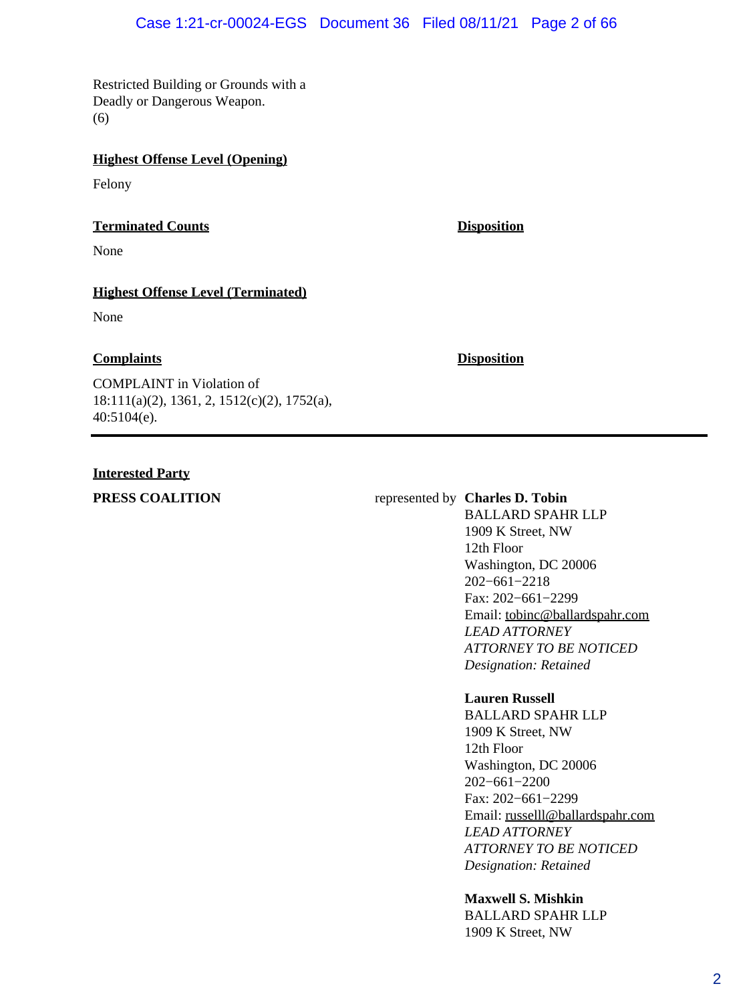# Case 1:21-cr-00024-EGS Document 36 Filed 08/11/21 Page 2 of 66

Restricted Building or Grounds with a Deadly or Dangerous Weapon. (6)

# **Highest Offense Level (Opening)**

Felony

### **Terminated Counts Disposition**

None

# **Highest Offense Level (Terminated)**

None

# **Complaints Disposition**

COMPLAINT in Violation of 18:111(a)(2), 1361, 2, 1512(c)(2), 1752(a), 40:5104(e).

# **Interested Party**

# **PRESS COALITION** represented by **Charles D. Tobin**

BALLARD SPAHR LLP 1909 K Street, NW 12th Floor Washington, DC 20006 202−661−2218 Fax: 202−661−2299 Email: tobinc@ballardspahr.com *LEAD ATTORNEY ATTORNEY TO BE NOTICED Designation: Retained*

# **Lauren Russell**

BALLARD SPAHR LLP 1909 K Street, NW 12th Floor Washington, DC 20006 202−661−2200 Fax: 202−661−2299 Email: russelll@ballardspahr.com *LEAD ATTORNEY ATTORNEY TO BE NOTICED Designation: Retained*

**Maxwell S. Mishkin** BALLARD SPAHR LLP 1909 K Street, NW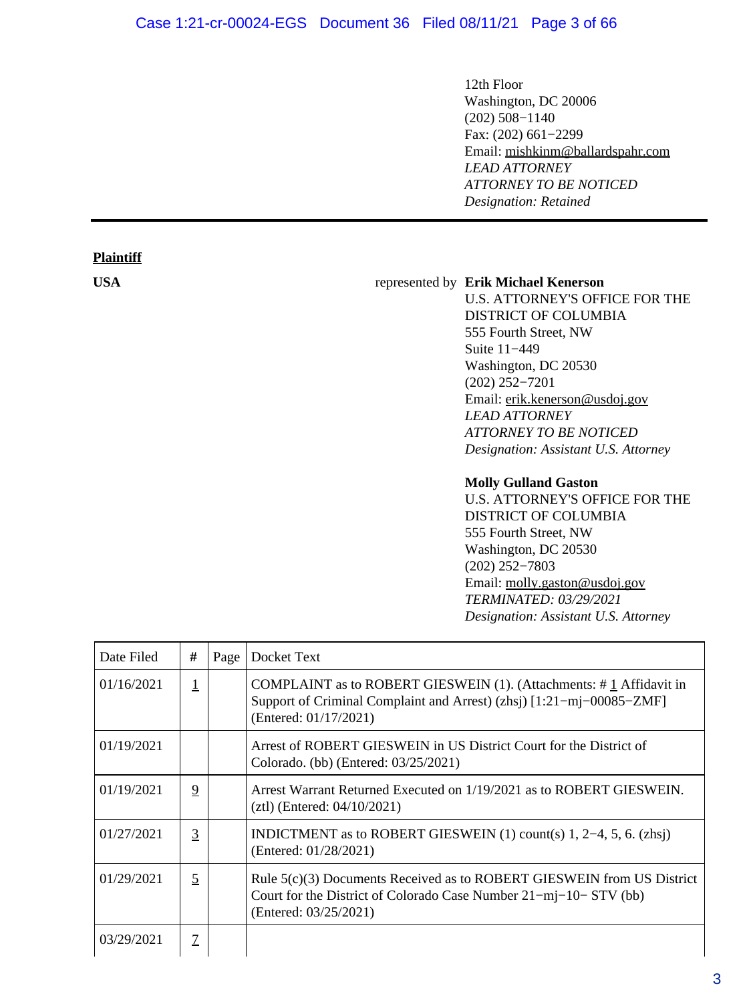# Case 1:21-cr-00024-EGS Document 36 Filed 08/11/21 Page 3 of 66

**Plaintiff**

12th Floor Washington, DC 20006 (202) 508−1140 Fax: (202) 661−2299 Email: mishkinm@ballardspahr.com *LEAD ATTORNEY ATTORNEY TO BE NOTICED Designation: Retained*

#### **USA** represented by **Erik Michael Kenerson**

U.S. ATTORNEY'S OFFICE FOR THE DISTRICT OF COLUMBIA 555 Fourth Street, NW Suite 11−449 Washington, DC 20530 (202) 252−7201 Email: erik.kenerson@usdoj.gov *LEAD ATTORNEY ATTORNEY TO BE NOTICED Designation: Assistant U.S. Attorney*

#### **Molly Gulland Gaston**

U.S. ATTORNEY'S OFFICE FOR THE DISTRICT OF COLUMBIA 555 Fourth Street, NW Washington, DC 20530 (202) 252−7803 Email: molly.gaston@usdoj.gov *TERMINATED: 03/29/2021 Designation: Assistant U.S. Attorney*

| Date Filed | #              | Page | Docket Text                                                                                                                                                             |
|------------|----------------|------|-------------------------------------------------------------------------------------------------------------------------------------------------------------------------|
| 01/16/2021 |                |      | COMPLAINT as to ROBERT GIESWEIN (1). (Attachments: $\#$ 1 Affidavit in<br>Support of Criminal Complaint and Arrest) (zhsj) [1:21-mj-00085-ZMF]<br>(Entered: 01/17/2021) |
| 01/19/2021 |                |      | Arrest of ROBERT GIESWEIN in US District Court for the District of<br>Colorado. (bb) (Entered: 03/25/2021)                                                              |
| 01/19/2021 | $\overline{9}$ |      | Arrest Warrant Returned Executed on 1/19/2021 as to ROBERT GIESWEIN.<br>$(ztl)$ (Entered: 04/10/2021)                                                                   |
| 01/27/2021 | 3              |      | INDICTMENT as to ROBERT GIESWEIN $(1)$ count(s) 1, 2–4, 5, 6. (zhsj)<br>(Entered: 01/28/2021)                                                                           |
| 01/29/2021 | $\overline{5}$ |      | Rule $5(c)(3)$ Documents Received as to ROBERT GIESWEIN from US District<br>Court for the District of Colorado Case Number 21-mj-10- STV (bb)<br>(Entered: 03/25/2021)  |
| 03/29/2021 | $\mathcal{I}$  |      |                                                                                                                                                                         |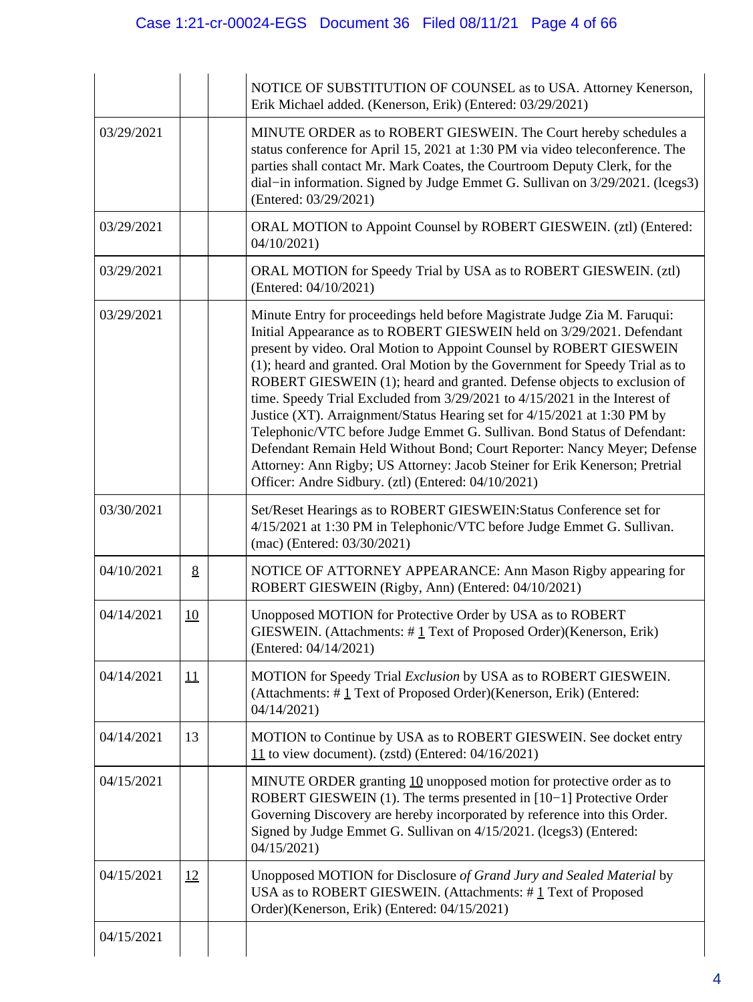|            |           | NOTICE OF SUBSTITUTION OF COUNSEL as to USA. Attorney Kenerson,<br>Erik Michael added. (Kenerson, Erik) (Entered: 03/29/2021)                                                                                                                                                                                                                                                                                                                                                                                                                                                                                                                                                                                                                                                                                                                |
|------------|-----------|----------------------------------------------------------------------------------------------------------------------------------------------------------------------------------------------------------------------------------------------------------------------------------------------------------------------------------------------------------------------------------------------------------------------------------------------------------------------------------------------------------------------------------------------------------------------------------------------------------------------------------------------------------------------------------------------------------------------------------------------------------------------------------------------------------------------------------------------|
| 03/29/2021 |           | MINUTE ORDER as to ROBERT GIESWEIN. The Court hereby schedules a<br>status conference for April 15, 2021 at 1:30 PM via video teleconference. The<br>parties shall contact Mr. Mark Coates, the Courtroom Deputy Clerk, for the<br>dial-in information. Signed by Judge Emmet G. Sullivan on 3/29/2021. (lcegs3)<br>(Entered: 03/29/2021)                                                                                                                                                                                                                                                                                                                                                                                                                                                                                                    |
| 03/29/2021 |           | ORAL MOTION to Appoint Counsel by ROBERT GIESWEIN. (ztl) (Entered:<br>04/10/2021                                                                                                                                                                                                                                                                                                                                                                                                                                                                                                                                                                                                                                                                                                                                                             |
| 03/29/2021 |           | ORAL MOTION for Speedy Trial by USA as to ROBERT GIESWEIN. (ztl)<br>(Entered: 04/10/2021)                                                                                                                                                                                                                                                                                                                                                                                                                                                                                                                                                                                                                                                                                                                                                    |
| 03/29/2021 |           | Minute Entry for proceedings held before Magistrate Judge Zia M. Faruqui:<br>Initial Appearance as to ROBERT GIESWEIN held on 3/29/2021. Defendant<br>present by video. Oral Motion to Appoint Counsel by ROBERT GIESWEIN<br>(1); heard and granted. Oral Motion by the Government for Speedy Trial as to<br>ROBERT GIESWEIN (1); heard and granted. Defense objects to exclusion of<br>time. Speedy Trial Excluded from 3/29/2021 to 4/15/2021 in the Interest of<br>Justice (XT). Arraignment/Status Hearing set for 4/15/2021 at 1:30 PM by<br>Telephonic/VTC before Judge Emmet G. Sullivan. Bond Status of Defendant:<br>Defendant Remain Held Without Bond; Court Reporter: Nancy Meyer; Defense<br>Attorney: Ann Rigby; US Attorney: Jacob Steiner for Erik Kenerson; Pretrial<br>Officer: Andre Sidbury. (ztl) (Entered: 04/10/2021) |
| 03/30/2021 |           | Set/Reset Hearings as to ROBERT GIESWEIN: Status Conference set for<br>4/15/2021 at 1:30 PM in Telephonic/VTC before Judge Emmet G. Sullivan.<br>(mac) (Entered: 03/30/2021)                                                                                                                                                                                                                                                                                                                                                                                                                                                                                                                                                                                                                                                                 |
| 04/10/2021 | 8         | NOTICE OF ATTORNEY APPEARANCE: Ann Mason Rigby appearing for<br>ROBERT GIESWEIN (Rigby, Ann) (Entered: 04/10/2021)                                                                                                                                                                                                                                                                                                                                                                                                                                                                                                                                                                                                                                                                                                                           |
| 04/14/2021 | <u>10</u> | Unopposed MOTION for Protective Order by USA as to ROBERT<br>GIESWEIN. (Attachments: $\#$ 1 Text of Proposed Order)(Kenerson, Erik)<br>(Entered: 04/14/2021)                                                                                                                                                                                                                                                                                                                                                                                                                                                                                                                                                                                                                                                                                 |
| 04/14/2021 | 11        | MOTION for Speedy Trial Exclusion by USA as to ROBERT GIESWEIN.<br>(Attachments: #1 Text of Proposed Order)(Kenerson, Erik) (Entered:<br>04/14/2021)                                                                                                                                                                                                                                                                                                                                                                                                                                                                                                                                                                                                                                                                                         |
| 04/14/2021 | 13        | MOTION to Continue by USA as to ROBERT GIESWEIN. See docket entry<br>11 to view document). (zstd) (Entered: $04/16/2021$ )                                                                                                                                                                                                                                                                                                                                                                                                                                                                                                                                                                                                                                                                                                                   |
| 04/15/2021 |           | MINUTE ORDER granting 10 unopposed motion for protective order as to<br>ROBERT GIESWEIN (1). The terms presented in [10-1] Protective Order<br>Governing Discovery are hereby incorporated by reference into this Order.<br>Signed by Judge Emmet G. Sullivan on 4/15/2021. (lcegs3) (Entered:<br>04/15/2021                                                                                                                                                                                                                                                                                                                                                                                                                                                                                                                                 |
| 04/15/2021 | 12        | Unopposed MOTION for Disclosure of Grand Jury and Sealed Material by<br>USA as to ROBERT GIESWEIN. (Attachments: #1 Text of Proposed<br>Order)(Kenerson, Erik) (Entered: 04/15/2021)                                                                                                                                                                                                                                                                                                                                                                                                                                                                                                                                                                                                                                                         |
| 04/15/2021 |           |                                                                                                                                                                                                                                                                                                                                                                                                                                                                                                                                                                                                                                                                                                                                                                                                                                              |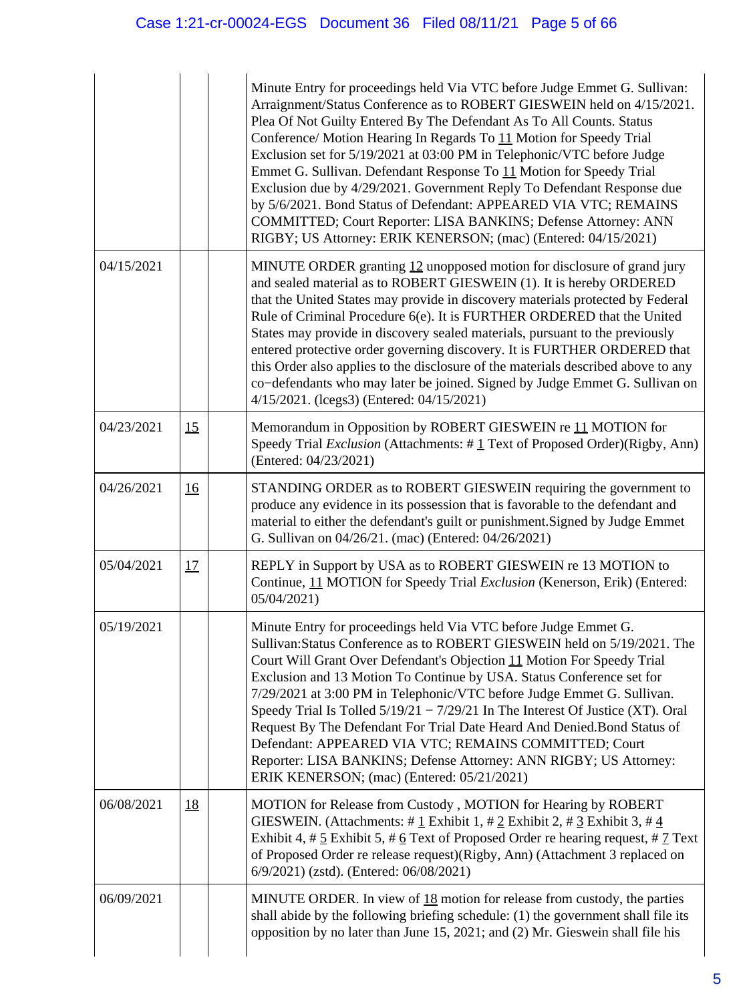|            |           | Minute Entry for proceedings held Via VTC before Judge Emmet G. Sullivan:<br>Arraignment/Status Conference as to ROBERT GIESWEIN held on 4/15/2021.<br>Plea Of Not Guilty Entered By The Defendant As To All Counts. Status<br>Conference/ Motion Hearing In Regards To 11 Motion for Speedy Trial<br>Exclusion set for 5/19/2021 at 03:00 PM in Telephonic/VTC before Judge<br>Emmet G. Sullivan. Defendant Response To 11 Motion for Speedy Trial<br>Exclusion due by 4/29/2021. Government Reply To Defendant Response due<br>by 5/6/2021. Bond Status of Defendant: APPEARED VIA VTC; REMAINS<br>COMMITTED; Court Reporter: LISA BANKINS; Defense Attorney: ANN<br>RIGBY; US Attorney: ERIK KENERSON; (mac) (Entered: 04/15/2021) |  |
|------------|-----------|---------------------------------------------------------------------------------------------------------------------------------------------------------------------------------------------------------------------------------------------------------------------------------------------------------------------------------------------------------------------------------------------------------------------------------------------------------------------------------------------------------------------------------------------------------------------------------------------------------------------------------------------------------------------------------------------------------------------------------------|--|
| 04/15/2021 |           | MINUTE ORDER granting 12 unopposed motion for disclosure of grand jury<br>and sealed material as to ROBERT GIESWEIN (1). It is hereby ORDERED<br>that the United States may provide in discovery materials protected by Federal<br>Rule of Criminal Procedure 6(e). It is FURTHER ORDERED that the United<br>States may provide in discovery sealed materials, pursuant to the previously<br>entered protective order governing discovery. It is FURTHER ORDERED that<br>this Order also applies to the disclosure of the materials described above to any<br>co-defendants who may later be joined. Signed by Judge Emmet G. Sullivan on<br>4/15/2021. (lcegs3) (Entered: 04/15/2021)                                                |  |
| 04/23/2021 | 15        | Memorandum in Opposition by ROBERT GIESWEIN re 11 MOTION for<br>Speedy Trial Exclusion (Attachments: #1 Text of Proposed Order)(Rigby, Ann)<br>(Entered: 04/23/2021)                                                                                                                                                                                                                                                                                                                                                                                                                                                                                                                                                                  |  |
| 04/26/2021 | <u>16</u> | STANDING ORDER as to ROBERT GIESWEIN requiring the government to<br>produce any evidence in its possession that is favorable to the defendant and<br>material to either the defendant's guilt or punishment. Signed by Judge Emmet<br>G. Sullivan on 04/26/21. (mac) (Entered: 04/26/2021)                                                                                                                                                                                                                                                                                                                                                                                                                                            |  |
| 05/04/2021 | 17        | REPLY in Support by USA as to ROBERT GIESWEIN re 13 MOTION to<br>Continue, 11 MOTION for Speedy Trial Exclusion (Kenerson, Erik) (Entered:<br>05/04/2021)                                                                                                                                                                                                                                                                                                                                                                                                                                                                                                                                                                             |  |
| 05/19/2021 |           | Minute Entry for proceedings held Via VTC before Judge Emmet G.<br>Sullivan: Status Conference as to ROBERT GIESWEIN held on 5/19/2021. The<br>Court Will Grant Over Defendant's Objection 11 Motion For Speedy Trial<br>Exclusion and 13 Motion To Continue by USA. Status Conference set for<br>7/29/2021 at 3:00 PM in Telephonic/VTC before Judge Emmet G. Sullivan.<br>Speedy Trial Is Tolled 5/19/21 - 7/29/21 In The Interest Of Justice (XT). Oral<br>Request By The Defendant For Trial Date Heard And Denied. Bond Status of<br>Defendant: APPEARED VIA VTC; REMAINS COMMITTED; Court<br>Reporter: LISA BANKINS; Defense Attorney: ANN RIGBY; US Attorney:<br>ERIK KENERSON; (mac) (Entered: 05/21/2021)                    |  |
| 06/08/2021 | <u>18</u> | MOTION for Release from Custody, MOTION for Hearing by ROBERT<br>GIESWEIN. (Attachments: #1 Exhibit 1, #2 Exhibit 2, #3 Exhibit 3, #4<br>Exhibit 4, # $\frac{5}{2}$ Exhibit 5, # $\frac{6}{2}$ Text of Proposed Order re hearing request, # $\frac{7}{2}$ Text<br>of Proposed Order re release request)(Rigby, Ann) (Attachment 3 replaced on<br>6/9/2021) (zstd). (Entered: 06/08/2021)                                                                                                                                                                                                                                                                                                                                              |  |
| 06/09/2021 |           | MINUTE ORDER. In view of $18$ motion for release from custody, the parties<br>shall abide by the following briefing schedule: (1) the government shall file its<br>opposition by no later than June 15, 2021; and (2) Mr. Gieswein shall file his                                                                                                                                                                                                                                                                                                                                                                                                                                                                                     |  |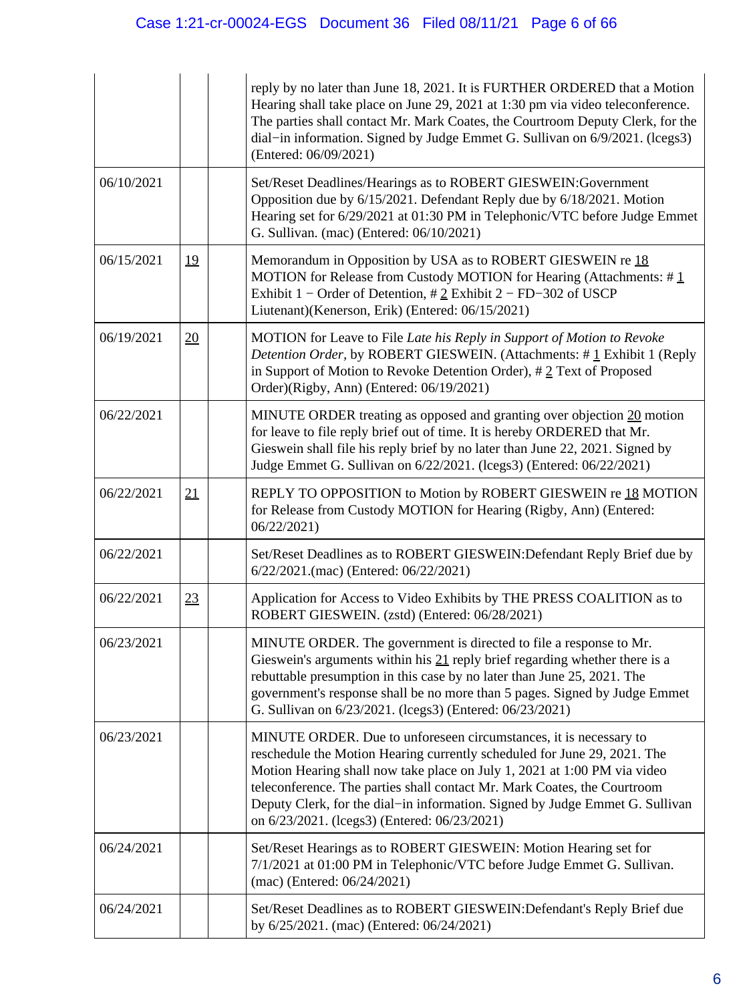|            |           | reply by no later than June 18, 2021. It is FURTHER ORDERED that a Motion<br>Hearing shall take place on June 29, 2021 at 1:30 pm via video teleconference.<br>The parties shall contact Mr. Mark Coates, the Courtroom Deputy Clerk, for the<br>dial-in information. Signed by Judge Emmet G. Sullivan on 6/9/2021. (lcegs3)<br>(Entered: 06/09/2021)                                                                                |
|------------|-----------|---------------------------------------------------------------------------------------------------------------------------------------------------------------------------------------------------------------------------------------------------------------------------------------------------------------------------------------------------------------------------------------------------------------------------------------|
| 06/10/2021 |           | Set/Reset Deadlines/Hearings as to ROBERT GIESWEIN: Government<br>Opposition due by 6/15/2021. Defendant Reply due by 6/18/2021. Motion<br>Hearing set for 6/29/2021 at 01:30 PM in Telephonic/VTC before Judge Emmet<br>G. Sullivan. (mac) (Entered: 06/10/2021)                                                                                                                                                                     |
| 06/15/2021 | <u>19</u> | Memorandum in Opposition by USA as to ROBERT GIESWEIN re 18<br>MOTION for Release from Custody MOTION for Hearing (Attachments: $\#$ 1<br>Exhibit 1 – Order of Detention, $\# 2$ Exhibit 2 – FD–302 of USCP<br>Liutenant)(Kenerson, Erik) (Entered: 06/15/2021)                                                                                                                                                                       |
| 06/19/2021 | 20        | MOTION for Leave to File Late his Reply in Support of Motion to Revoke<br>Detention Order, by ROBERT GIESWEIN. (Attachments: #1 Exhibit 1 (Reply<br>in Support of Motion to Revoke Detention Order), $\# 2$ Text of Proposed<br>Order)(Rigby, Ann) (Entered: 06/19/2021)                                                                                                                                                              |
| 06/22/2021 |           | MINUTE ORDER treating as opposed and granting over objection 20 motion<br>for leave to file reply brief out of time. It is hereby ORDERED that Mr.<br>Gieswein shall file his reply brief by no later than June 22, 2021. Signed by<br>Judge Emmet G. Sullivan on 6/22/2021. (lcegs3) (Entered: 06/22/2021)                                                                                                                           |
| 06/22/2021 | 21        | REPLY TO OPPOSITION to Motion by ROBERT GIESWEIN re 18 MOTION<br>for Release from Custody MOTION for Hearing (Rigby, Ann) (Entered:<br>06/22/2021                                                                                                                                                                                                                                                                                     |
| 06/22/2021 |           | Set/Reset Deadlines as to ROBERT GIESWEIN: Defendant Reply Brief due by<br>6/22/2021.(mac) (Entered: 06/22/2021)                                                                                                                                                                                                                                                                                                                      |
| 06/22/2021 | 23        | Application for Access to Video Exhibits by THE PRESS COALITION as to<br>ROBERT GIESWEIN. (zstd) (Entered: 06/28/2021)                                                                                                                                                                                                                                                                                                                |
| 06/23/2021 |           | MINUTE ORDER. The government is directed to file a response to Mr.<br>Gieswein's arguments within his 21 reply brief regarding whether there is a<br>rebuttable presumption in this case by no later than June 25, 2021. The<br>government's response shall be no more than 5 pages. Signed by Judge Emmet<br>G. Sullivan on 6/23/2021. (lcegs3) (Entered: 06/23/2021)                                                                |
| 06/23/2021 |           | MINUTE ORDER. Due to unforeseen circumstances, it is necessary to<br>reschedule the Motion Hearing currently scheduled for June 29, 2021. The<br>Motion Hearing shall now take place on July 1, 2021 at 1:00 PM via video<br>teleconference. The parties shall contact Mr. Mark Coates, the Courtroom<br>Deputy Clerk, for the dial-in information. Signed by Judge Emmet G. Sullivan<br>on 6/23/2021. (lcegs3) (Entered: 06/23/2021) |
| 06/24/2021 |           | Set/Reset Hearings as to ROBERT GIESWEIN: Motion Hearing set for<br>7/1/2021 at 01:00 PM in Telephonic/VTC before Judge Emmet G. Sullivan.<br>(mac) (Entered: 06/24/2021)                                                                                                                                                                                                                                                             |
| 06/24/2021 |           | Set/Reset Deadlines as to ROBERT GIESWEIN: Defendant's Reply Brief due<br>by 6/25/2021. (mac) (Entered: 06/24/2021)                                                                                                                                                                                                                                                                                                                   |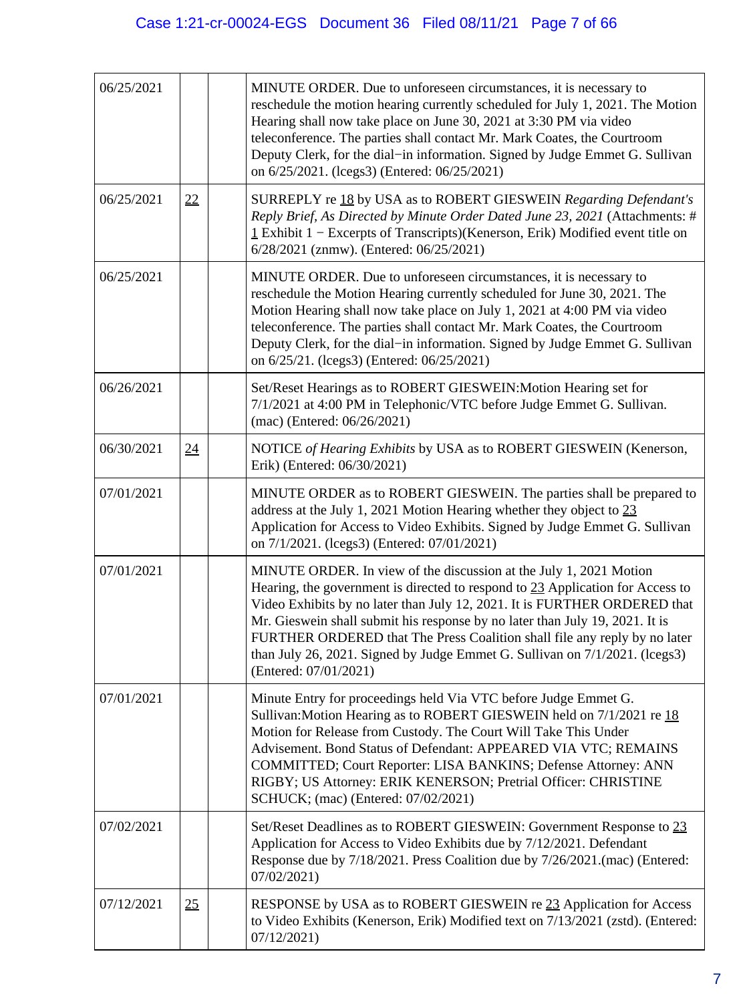| 06/25/2021 |    | MINUTE ORDER. Due to unforeseen circumstances, it is necessary to<br>reschedule the motion hearing currently scheduled for July 1, 2021. The Motion<br>Hearing shall now take place on June 30, 2021 at 3:30 PM via video<br>teleconference. The parties shall contact Mr. Mark Coates, the Courtroom<br>Deputy Clerk, for the dial-in information. Signed by Judge Emmet G. Sullivan<br>on 6/25/2021. (lcegs3) (Entered: 06/25/2021)                                                                  |
|------------|----|--------------------------------------------------------------------------------------------------------------------------------------------------------------------------------------------------------------------------------------------------------------------------------------------------------------------------------------------------------------------------------------------------------------------------------------------------------------------------------------------------------|
| 06/25/2021 | 22 | SURREPLY re 18 by USA as to ROBERT GIESWEIN Regarding Defendant's<br>Reply Brief, As Directed by Minute Order Dated June 23, 2021 (Attachments: #<br>$\frac{1}{2}$ Exhibit 1 – Excerpts of Transcripts)(Kenerson, Erik) Modified event title on<br>6/28/2021 (znmw). (Entered: 06/25/2021)                                                                                                                                                                                                             |
| 06/25/2021 |    | MINUTE ORDER. Due to unforeseen circumstances, it is necessary to<br>reschedule the Motion Hearing currently scheduled for June 30, 2021. The<br>Motion Hearing shall now take place on July 1, 2021 at 4:00 PM via video<br>teleconference. The parties shall contact Mr. Mark Coates, the Courtroom<br>Deputy Clerk, for the dial-in information. Signed by Judge Emmet G. Sullivan<br>on 6/25/21. (lcegs3) (Entered: 06/25/2021)                                                                    |
| 06/26/2021 |    | Set/Reset Hearings as to ROBERT GIESWEIN: Motion Hearing set for<br>7/1/2021 at 4:00 PM in Telephonic/VTC before Judge Emmet G. Sullivan.<br>(mac) (Entered: 06/26/2021)                                                                                                                                                                                                                                                                                                                               |
| 06/30/2021 | 24 | NOTICE of Hearing Exhibits by USA as to ROBERT GIESWEIN (Kenerson,<br>Erik) (Entered: 06/30/2021)                                                                                                                                                                                                                                                                                                                                                                                                      |
| 07/01/2021 |    | MINUTE ORDER as to ROBERT GIESWEIN. The parties shall be prepared to<br>address at the July 1, 2021 Motion Hearing whether they object to 23<br>Application for Access to Video Exhibits. Signed by Judge Emmet G. Sullivan<br>on 7/1/2021. (lcegs3) (Entered: 07/01/2021)                                                                                                                                                                                                                             |
| 07/01/2021 |    | MINUTE ORDER. In view of the discussion at the July 1, 2021 Motion<br>Hearing, the government is directed to respond to 23 Application for Access to<br>Video Exhibits by no later than July 12, 2021. It is FURTHER ORDERED that<br>Mr. Gieswein shall submit his response by no later than July 19, 2021. It is<br>FURTHER ORDERED that The Press Coalition shall file any reply by no later<br>than July 26, 2021. Signed by Judge Emmet G. Sullivan on 7/1/2021. (lcegs3)<br>(Entered: 07/01/2021) |
| 07/01/2021 |    | Minute Entry for proceedings held Via VTC before Judge Emmet G.<br>Sullivan: Motion Hearing as to ROBERT GIESWEIN held on 7/1/2021 re 18<br>Motion for Release from Custody. The Court Will Take This Under<br>Advisement. Bond Status of Defendant: APPEARED VIA VTC; REMAINS<br>COMMITTED; Court Reporter: LISA BANKINS; Defense Attorney: ANN<br>RIGBY; US Attorney: ERIK KENERSON; Pretrial Officer: CHRISTINE<br>SCHUCK; (mac) (Entered: 07/02/2021)                                              |
| 07/02/2021 |    | Set/Reset Deadlines as to ROBERT GIESWEIN: Government Response to 23<br>Application for Access to Video Exhibits due by 7/12/2021. Defendant<br>Response due by 7/18/2021. Press Coalition due by 7/26/2021. (mac) (Entered:<br>07/02/2021)                                                                                                                                                                                                                                                            |
| 07/12/2021 | 25 | RESPONSE by USA as to ROBERT GIESWEIN re 23 Application for Access<br>to Video Exhibits (Kenerson, Erik) Modified text on 7/13/2021 (zstd). (Entered:<br>07/12/2021                                                                                                                                                                                                                                                                                                                                    |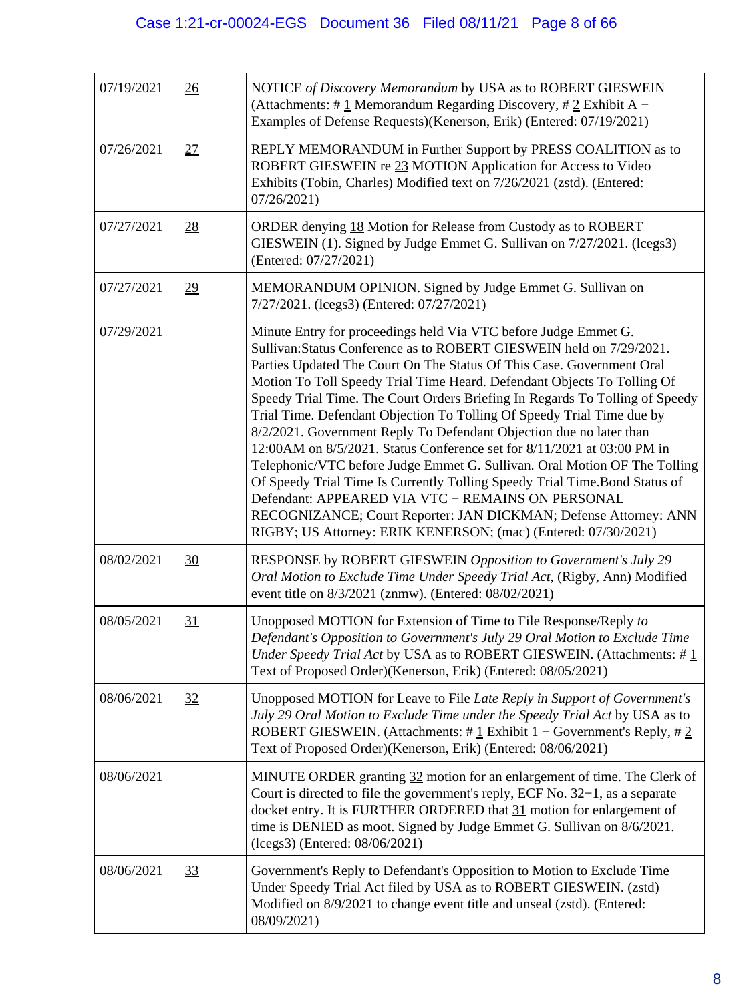| 07/19/2021 | 26 | NOTICE of Discovery Memorandum by USA as to ROBERT GIESWEIN<br>(Attachments: # $1$ Memorandum Regarding Discovery, # $2$ Exhibit A –<br>Examples of Defense Requests)(Kenerson, Erik) (Entered: 07/19/2021)                                                                                                                                                                                                                                                                                                                                                                                                                                                                                                                                                                                                                                                                                                                                                    |  |
|------------|----|----------------------------------------------------------------------------------------------------------------------------------------------------------------------------------------------------------------------------------------------------------------------------------------------------------------------------------------------------------------------------------------------------------------------------------------------------------------------------------------------------------------------------------------------------------------------------------------------------------------------------------------------------------------------------------------------------------------------------------------------------------------------------------------------------------------------------------------------------------------------------------------------------------------------------------------------------------------|--|
| 07/26/2021 | 27 | REPLY MEMORANDUM in Further Support by PRESS COALITION as to<br>ROBERT GIESWEIN re 23 MOTION Application for Access to Video<br>Exhibits (Tobin, Charles) Modified text on 7/26/2021 (zstd). (Entered:<br>07/26/2021)                                                                                                                                                                                                                                                                                                                                                                                                                                                                                                                                                                                                                                                                                                                                          |  |
| 07/27/2021 | 28 | ORDER denying 18 Motion for Release from Custody as to ROBERT<br>GIESWEIN (1). Signed by Judge Emmet G. Sullivan on 7/27/2021. (lcegs3)<br>(Entered: 07/27/2021)                                                                                                                                                                                                                                                                                                                                                                                                                                                                                                                                                                                                                                                                                                                                                                                               |  |
| 07/27/2021 | 29 | MEMORANDUM OPINION. Signed by Judge Emmet G. Sullivan on<br>7/27/2021. (lcegs3) (Entered: 07/27/2021)                                                                                                                                                                                                                                                                                                                                                                                                                                                                                                                                                                                                                                                                                                                                                                                                                                                          |  |
| 07/29/2021 |    | Minute Entry for proceedings held Via VTC before Judge Emmet G.<br>Sullivan: Status Conference as to ROBERT GIESWEIN held on 7/29/2021.<br>Parties Updated The Court On The Status Of This Case. Government Oral<br>Motion To Toll Speedy Trial Time Heard. Defendant Objects To Tolling Of<br>Speedy Trial Time. The Court Orders Briefing In Regards To Tolling of Speedy<br>Trial Time. Defendant Objection To Tolling Of Speedy Trial Time due by<br>8/2/2021. Government Reply To Defendant Objection due no later than<br>12:00AM on 8/5/2021. Status Conference set for 8/11/2021 at 03:00 PM in<br>Telephonic/VTC before Judge Emmet G. Sullivan. Oral Motion OF The Tolling<br>Of Speedy Trial Time Is Currently Tolling Speedy Trial Time. Bond Status of<br>Defendant: APPEARED VIA VTC - REMAINS ON PERSONAL<br>RECOGNIZANCE; Court Reporter: JAN DICKMAN; Defense Attorney: ANN<br>RIGBY; US Attorney: ERIK KENERSON; (mac) (Entered: 07/30/2021) |  |
| 08/02/2021 | 30 | RESPONSE by ROBERT GIESWEIN Opposition to Government's July 29<br>Oral Motion to Exclude Time Under Speedy Trial Act, (Rigby, Ann) Modified<br>event title on 8/3/2021 (znmw). (Entered: 08/02/2021)                                                                                                                                                                                                                                                                                                                                                                                                                                                                                                                                                                                                                                                                                                                                                           |  |
| 08/05/2021 | 31 | Unopposed MOTION for Extension of Time to File Response/Reply to<br>Defendant's Opposition to Government's July 29 Oral Motion to Exclude Time<br>Under Speedy Trial Act by USA as to ROBERT GIESWEIN. (Attachments: $\#$ 1<br>Text of Proposed Order)(Kenerson, Erik) (Entered: 08/05/2021)                                                                                                                                                                                                                                                                                                                                                                                                                                                                                                                                                                                                                                                                   |  |
| 08/06/2021 | 32 | Unopposed MOTION for Leave to File Late Reply in Support of Government's<br>July 29 Oral Motion to Exclude Time under the Speedy Trial Act by USA as to<br>ROBERT GIESWEIN. (Attachments: $\# \underline{1}$ Exhibit 1 – Government's Reply, $\# \underline{2}$<br>Text of Proposed Order)(Kenerson, Erik) (Entered: 08/06/2021)                                                                                                                                                                                                                                                                                                                                                                                                                                                                                                                                                                                                                               |  |
| 08/06/2021 |    | MINUTE ORDER granting 32 motion for an enlargement of time. The Clerk of<br>Court is directed to file the government's reply, ECF No. 32–1, as a separate<br>docket entry. It is FURTHER ORDERED that 31 motion for enlargement of<br>time is DENIED as moot. Signed by Judge Emmet G. Sullivan on 8/6/2021.<br>(lcegs3) (Entered: 08/06/2021)                                                                                                                                                                                                                                                                                                                                                                                                                                                                                                                                                                                                                 |  |
| 08/06/2021 | 33 | Government's Reply to Defendant's Opposition to Motion to Exclude Time<br>Under Speedy Trial Act filed by USA as to ROBERT GIESWEIN. (zstd)<br>Modified on 8/9/2021 to change event title and unseal (zstd). (Entered:<br>08/09/2021)                                                                                                                                                                                                                                                                                                                                                                                                                                                                                                                                                                                                                                                                                                                          |  |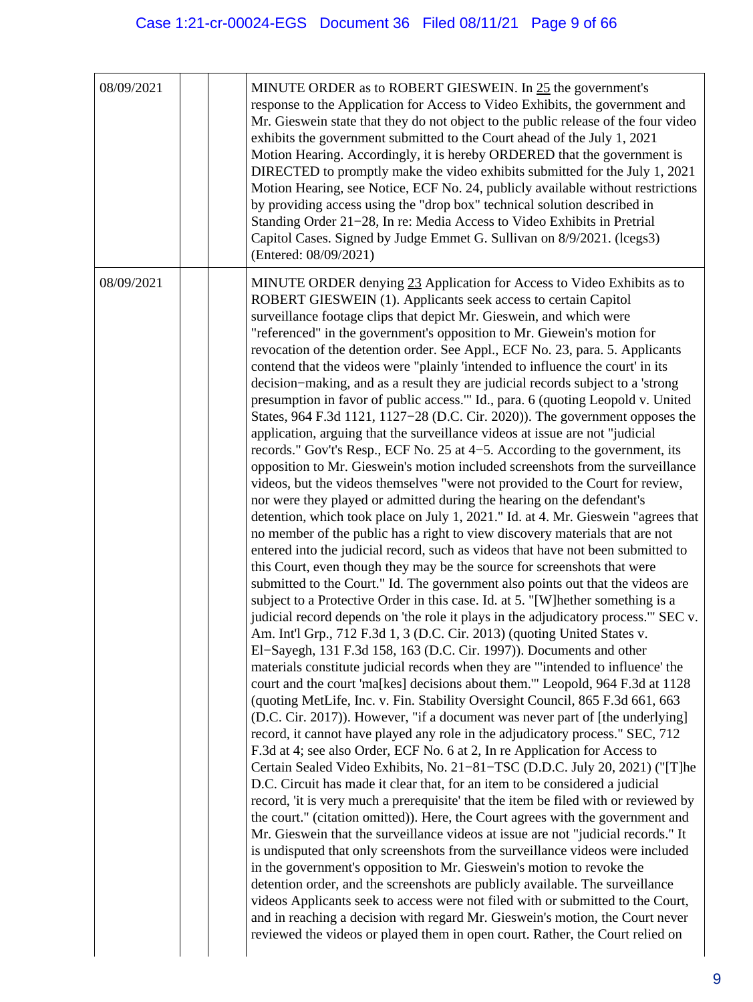| 08/09/2021 | MINUTE ORDER as to ROBERT GIESWEIN. In 25 the government's<br>response to the Application for Access to Video Exhibits, the government and<br>Mr. Gieswein state that they do not object to the public release of the four video<br>exhibits the government submitted to the Court ahead of the July 1, 2021<br>Motion Hearing. Accordingly, it is hereby ORDERED that the government is<br>DIRECTED to promptly make the video exhibits submitted for the July 1, 2021<br>Motion Hearing, see Notice, ECF No. 24, publicly available without restrictions<br>by providing access using the "drop box" technical solution described in<br>Standing Order 21-28, In re: Media Access to Video Exhibits in Pretrial<br>Capitol Cases. Signed by Judge Emmet G. Sullivan on 8/9/2021. (lcegs3)<br>(Entered: 08/09/2021)                                                                                                                                                                                                                                                                                                                                                                                                                                                                                                                                                                                                                                                                                                                                                                                                                                                                                                                                                                                                                                                                                                                                                                                                                                                                                                                                                                                                                                                                                                                                                                                                                                                                                                                                                                                                                                                                                                                                                                                                                                                                                                                                                                                                                                                                                                                                                                                                                                                                                                       |
|------------|----------------------------------------------------------------------------------------------------------------------------------------------------------------------------------------------------------------------------------------------------------------------------------------------------------------------------------------------------------------------------------------------------------------------------------------------------------------------------------------------------------------------------------------------------------------------------------------------------------------------------------------------------------------------------------------------------------------------------------------------------------------------------------------------------------------------------------------------------------------------------------------------------------------------------------------------------------------------------------------------------------------------------------------------------------------------------------------------------------------------------------------------------------------------------------------------------------------------------------------------------------------------------------------------------------------------------------------------------------------------------------------------------------------------------------------------------------------------------------------------------------------------------------------------------------------------------------------------------------------------------------------------------------------------------------------------------------------------------------------------------------------------------------------------------------------------------------------------------------------------------------------------------------------------------------------------------------------------------------------------------------------------------------------------------------------------------------------------------------------------------------------------------------------------------------------------------------------------------------------------------------------------------------------------------------------------------------------------------------------------------------------------------------------------------------------------------------------------------------------------------------------------------------------------------------------------------------------------------------------------------------------------------------------------------------------------------------------------------------------------------------------------------------------------------------------------------------------------------------------------------------------------------------------------------------------------------------------------------------------------------------------------------------------------------------------------------------------------------------------------------------------------------------------------------------------------------------------------------------------------------------------------------------------------------------------------------|
| 08/09/2021 | MINUTE ORDER denying 23 Application for Access to Video Exhibits as to<br>ROBERT GIESWEIN (1). Applicants seek access to certain Capitol<br>surveillance footage clips that depict Mr. Gieswein, and which were<br>"referenced" in the government's opposition to Mr. Giewein's motion for<br>revocation of the detention order. See Appl., ECF No. 23, para. 5. Applicants<br>contend that the videos were "plainly 'intended to influence the court' in its<br>decision–making, and as a result they are judicial records subject to a 'strong<br>presumption in favor of public access." Id., para. 6 (quoting Leopold v. United<br>States, 964 F.3d 1121, 1127-28 (D.C. Cir. 2020)). The government opposes the<br>application, arguing that the surveillance videos at issue are not "judicial<br>records." Gov't's Resp., ECF No. 25 at 4–5. According to the government, its<br>opposition to Mr. Gieswein's motion included screenshots from the surveillance<br>videos, but the videos themselves "were not provided to the Court for review,<br>nor were they played or admitted during the hearing on the defendant's<br>detention, which took place on July 1, 2021." Id. at 4. Mr. Gieswein "agrees that<br>no member of the public has a right to view discovery materials that are not<br>entered into the judicial record, such as videos that have not been submitted to<br>this Court, even though they may be the source for screenshots that were<br>submitted to the Court." Id. The government also points out that the videos are<br>subject to a Protective Order in this case. Id. at 5. "[W] hether something is a<br>judicial record depends on 'the role it plays in the adjudicatory process." SEC v.<br>Am. Int'l Grp., 712 F.3d 1, 3 (D.C. Cir. 2013) (quoting United States v.<br>El-Sayegh, 131 F.3d 158, 163 (D.C. Cir. 1997)). Documents and other<br>materials constitute judicial records when they are "'intended to influence' the<br>court and the court 'ma[kes] decisions about them." Leopold, 964 F.3d at 1128<br>(quoting MetLife, Inc. v. Fin. Stability Oversight Council, 865 F.3d 661, 663<br>(D.C. Cir. 2017)). However, "if a document was never part of [the underlying]<br>record, it cannot have played any role in the adjudicatory process." SEC, 712<br>F.3d at 4; see also Order, ECF No. 6 at 2, In re Application for Access to<br>Certain Sealed Video Exhibits, No. 21–81–TSC (D.D.C. July 20, 2021) ("[T]he<br>D.C. Circuit has made it clear that, for an item to be considered a judicial<br>record, 'it is very much a prerequisite' that the item be filed with or reviewed by<br>the court." (citation omitted)). Here, the Court agrees with the government and<br>Mr. Gieswein that the surveillance videos at issue are not "judicial records." It<br>is undisputed that only screenshots from the surveillance videos were included<br>in the government's opposition to Mr. Gieswein's motion to revoke the<br>detention order, and the screenshots are publicly available. The surveillance<br>videos Applicants seek to access were not filed with or submitted to the Court,<br>and in reaching a decision with regard Mr. Gieswein's motion, the Court never<br>reviewed the videos or played them in open court. Rather, the Court relied on |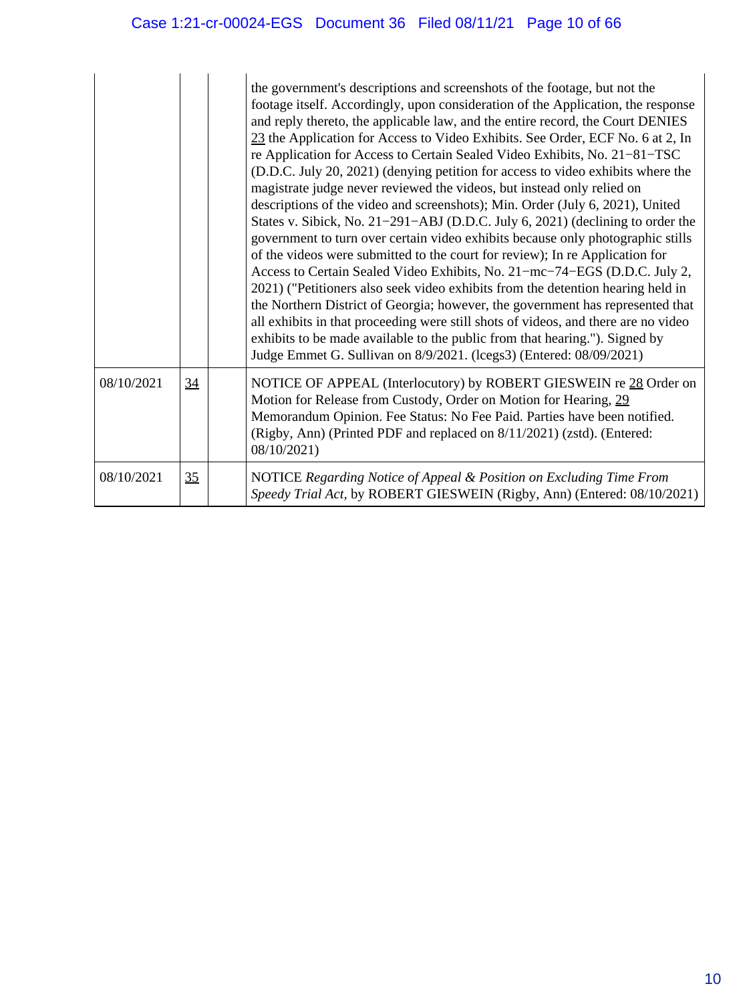|            |    | the government's descriptions and screenshots of the footage, but not the<br>footage itself. Accordingly, upon consideration of the Application, the response<br>and reply thereto, the applicable law, and the entire record, the Court DENIES<br>23 the Application for Access to Video Exhibits. See Order, ECF No. 6 at 2, In<br>re Application for Access to Certain Sealed Video Exhibits, No. 21–81–TSC<br>(D.D.C. July 20, 2021) (denying petition for access to video exhibits where the<br>magistrate judge never reviewed the videos, but instead only relied on<br>descriptions of the video and screenshots); Min. Order (July 6, 2021), United<br>States v. Sibick, No. 21–291–ABJ (D.D.C. July 6, 2021) (declining to order the<br>government to turn over certain video exhibits because only photographic stills<br>of the videos were submitted to the court for review); In re Application for<br>Access to Certain Sealed Video Exhibits, No. 21-mc-74-EGS (D.D.C. July 2,<br>2021) ("Petitioners also seek video exhibits from the detention hearing held in<br>the Northern District of Georgia; however, the government has represented that<br>all exhibits in that proceeding were still shots of videos, and there are no video<br>exhibits to be made available to the public from that hearing."). Signed by<br>Judge Emmet G. Sullivan on 8/9/2021. (lcegs3) (Entered: 08/09/2021) |
|------------|----|-----------------------------------------------------------------------------------------------------------------------------------------------------------------------------------------------------------------------------------------------------------------------------------------------------------------------------------------------------------------------------------------------------------------------------------------------------------------------------------------------------------------------------------------------------------------------------------------------------------------------------------------------------------------------------------------------------------------------------------------------------------------------------------------------------------------------------------------------------------------------------------------------------------------------------------------------------------------------------------------------------------------------------------------------------------------------------------------------------------------------------------------------------------------------------------------------------------------------------------------------------------------------------------------------------------------------------------------------------------------------------------------------------------------|
| 08/10/2021 | 34 | NOTICE OF APPEAL (Interlocutory) by ROBERT GIESWEIN re 28 Order on<br>Motion for Release from Custody, Order on Motion for Hearing, 29<br>Memorandum Opinion. Fee Status: No Fee Paid. Parties have been notified.<br>(Rigby, Ann) (Printed PDF and replaced on 8/11/2021) (zstd). (Entered:<br>08/10/2021)                                                                                                                                                                                                                                                                                                                                                                                                                                                                                                                                                                                                                                                                                                                                                                                                                                                                                                                                                                                                                                                                                                     |
| 08/10/2021 | 35 | NOTICE Regarding Notice of Appeal & Position on Excluding Time From<br>Speedy Trial Act, by ROBERT GIESWEIN (Rigby, Ann) (Entered: 08/10/2021)                                                                                                                                                                                                                                                                                                                                                                                                                                                                                                                                                                                                                                                                                                                                                                                                                                                                                                                                                                                                                                                                                                                                                                                                                                                                  |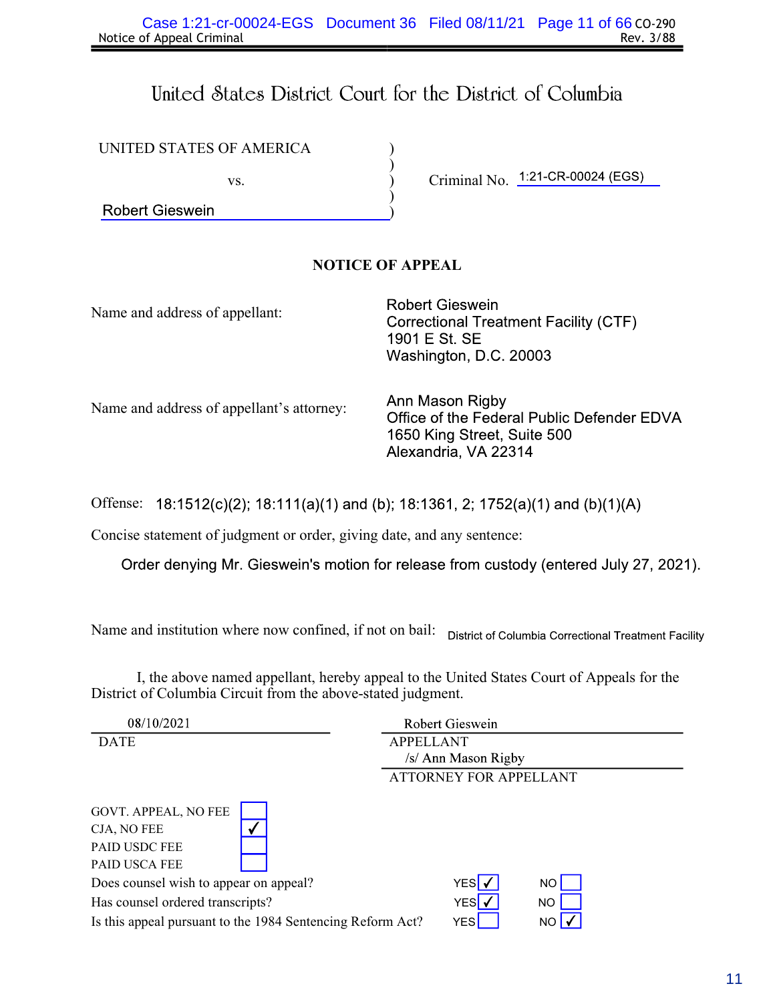# United States District Court for the District of Columbia

) ) ) ) )

| UNITED STATES OF AMERICA |  |
|--------------------------|--|
|--------------------------|--|

vs.

**Robert Gieswein** 

Criminal No. 1:21-CR-00024 (EGS)

# NOTICE OF APPEAL

Name and address of appellant:

**Robert Gieswein Correctional Treatment Facility (CTF)** 1901 E St. SE Washington, D.C. 20003

Name and address of appellant's attorney:

Ann Mason Rigby Office of the Federal Public Defender EDVA 1650 King Street, Suite 500 Alexandria, VA 22314

Offense: 18:1512(c)(2); 18:111(a)(1) and (b); 18:1361, 2; 1752(a)(1) and (b)(1)(A)

Concise statement of judgment or order, giving date, and any sentence:

Order denying Mr. Gieswein's motion for release from custody (entered July 27, 2021).

Name and institution where now confined, if not on bail: District of Columbia Correctional Treatment Facility

I, the above named appellant, hereby appeal to the United States Court of Appeals for the District of Columbia Circuit from the above-stated judgment.

| 08/10/2021                                                 | Robert Gieswein                         |           |  |
|------------------------------------------------------------|-----------------------------------------|-----------|--|
| <b>DATE</b>                                                | <b>APPELLANT</b><br>/s/ Ann Mason Rigby |           |  |
|                                                            | <b>ATTORNEY FOR APPELLANT</b>           |           |  |
| GOVT. APPEAL, NO FEE                                       |                                         |           |  |
| CJA, NO FEE                                                |                                         |           |  |
| <b>PAID USDC FEE</b>                                       |                                         |           |  |
| <b>PAID USCA FEE</b>                                       |                                         |           |  |
| Does counsel wish to appear on appeal?                     | YESI√                                   | NO.       |  |
| Has counsel ordered transcripts?                           | YES √                                   | <b>NO</b> |  |
| Is this appeal pursuant to the 1984 Sentencing Reform Act? | <b>YES</b>                              | NO.       |  |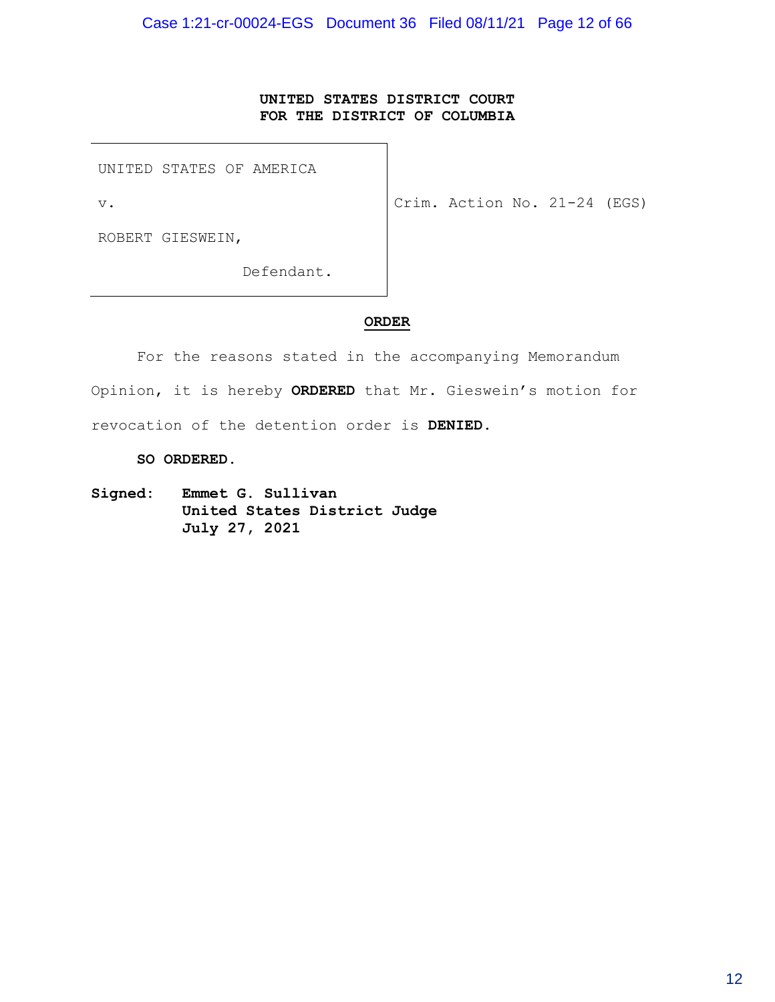# **UNITED STATES DISTRICT COURT FOR THE DISTRICT OF COLUMBIA**

UNITED STATES OF AMERICA

v.

Crim. Action No. 21-24 (EGS)

ROBERT GIESWEIN,

Defendant.

### **ORDER**

For the reasons stated in the accompanying Memorandum Opinion, it is hereby **ORDERED** that Mr. Gieswein's motion for revocation of the detention order is **DENIED**.

**SO ORDERED**.

**Signed: Emmet G. Sullivan United States District Judge July 27, 2021**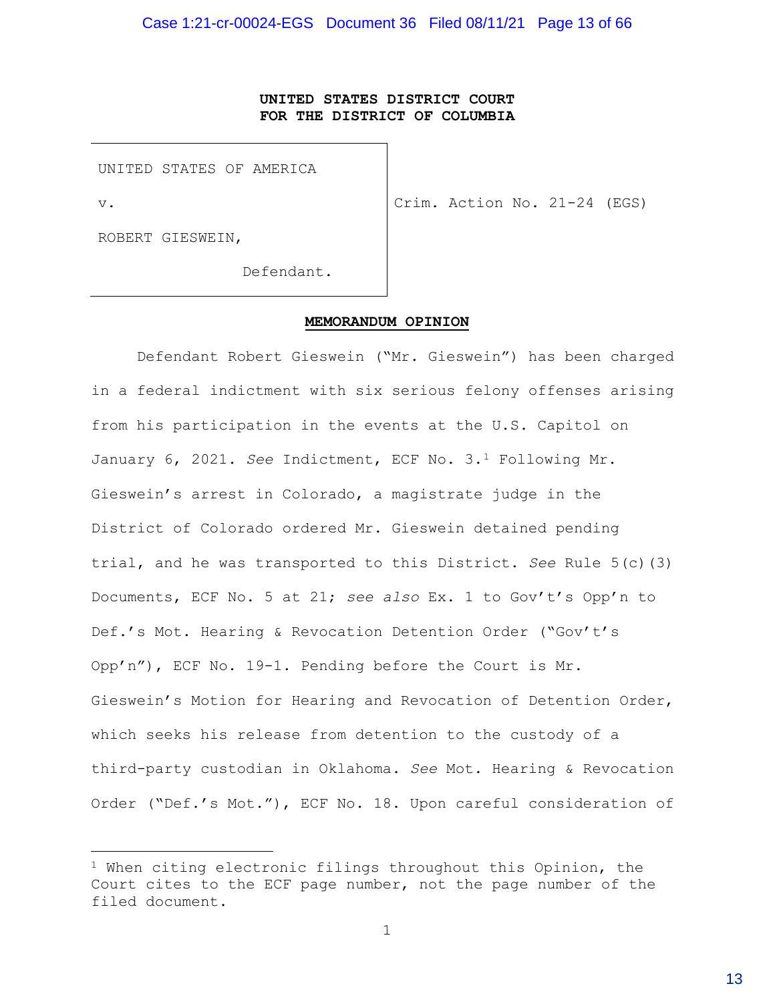# **UNITED STATES DISTRICT COURT FOR THE DISTRICT OF COLUMBIA**

UNITED STATES OF AMERICA

v.

Crim. Action No. 21-24 (EGS)

ROBERT GIESWEIN,

Defendant.

#### **MEMORANDUM OPINION**

Defendant Robert Gieswein ("Mr. Gieswein") has been charged in a federal indictment with six serious felony offenses arising from his participation in the events at the U.S. Capitol on January 6, 2021. *See* Indictment, ECF No. 3.1 Following Mr. Gieswein's arrest in Colorado, a magistrate judge in the District of Colorado ordered Mr. Gieswein detained pending trial, and he was transported to this District. *See* Rule 5(c)(3) Documents, ECF No. 5 at 21; *see also* Ex. 1 to Gov't's Opp'n to Def.'s Mot. Hearing & Revocation Detention Order ("Gov't's Opp'n"), ECF No. 19-1. Pending before the Court is Mr. Gieswein's Motion for Hearing and Revocation of Detention Order, which seeks his release from detention to the custody of a third-party custodian in Oklahoma. *See* Mot. Hearing & Revocation Order ("Def.'s Mot."), ECF No. 18. Upon careful consideration of

 $1$  When citing electronic filings throughout this Opinion, the Court cites to the ECF page number, not the page number of the filed document.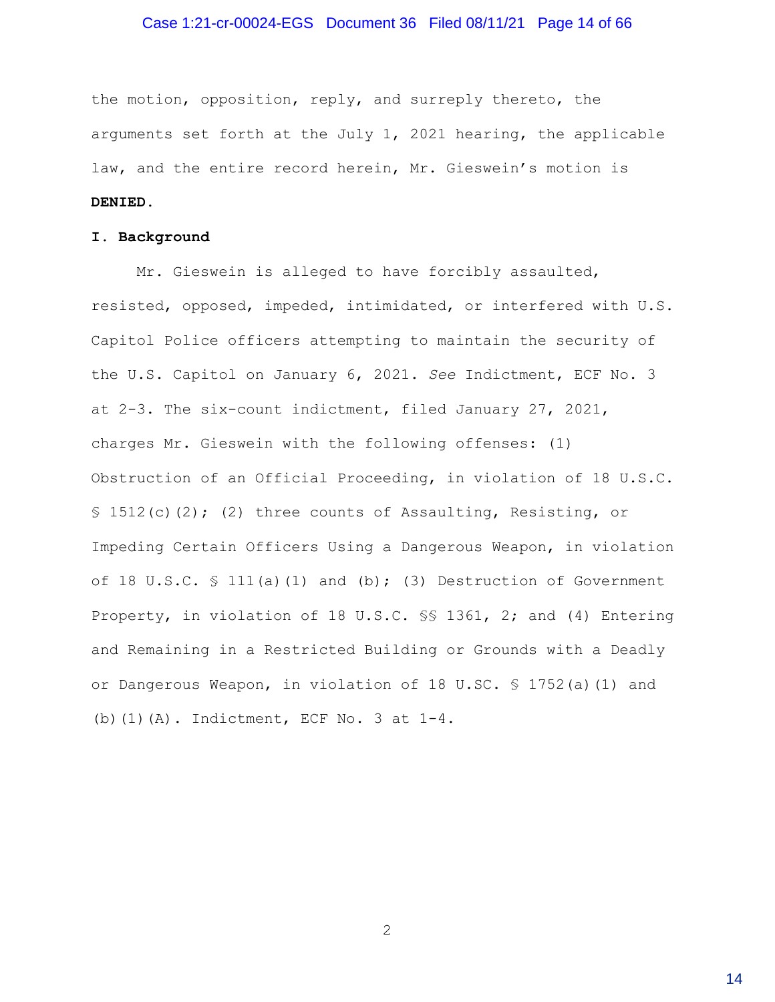#### Case 1:21-cr-00024-EGS Document 36 Filed 08/11/21 Page 14 of 66

the motion, opposition, reply, and surreply thereto, the arguments set forth at the July 1, 2021 hearing, the applicable law, and the entire record herein, Mr. Gieswein's motion is **DENIED**.

#### **I. Background**

Mr. Gieswein is alleged to have forcibly assaulted, resisted, opposed, impeded, intimidated, or interfered with U.S. Capitol Police officers attempting to maintain the security of the U.S. Capitol on January 6, 2021. *See* Indictment, ECF No. 3 at 2-3. The six-count indictment, filed January 27, 2021, charges Mr. Gieswein with the following offenses: (1) Obstruction of an Official Proceeding, in violation of 18 U.S.C. § 1512(c)(2); (2) three counts of Assaulting, Resisting, or Impeding Certain Officers Using a Dangerous Weapon, in violation of 18 U.S.C.  $\frac{111(a)}{11}$  and (b); (3) Destruction of Government Property, in violation of 18 U.S.C. §§ 1361, 2; and (4) Entering and Remaining in a Restricted Building or Grounds with a Deadly or Dangerous Weapon, in violation of 18 U.SC. § 1752(a)(1) and (b)(1)(A). Indictment, ECF No. 3 at 1-4.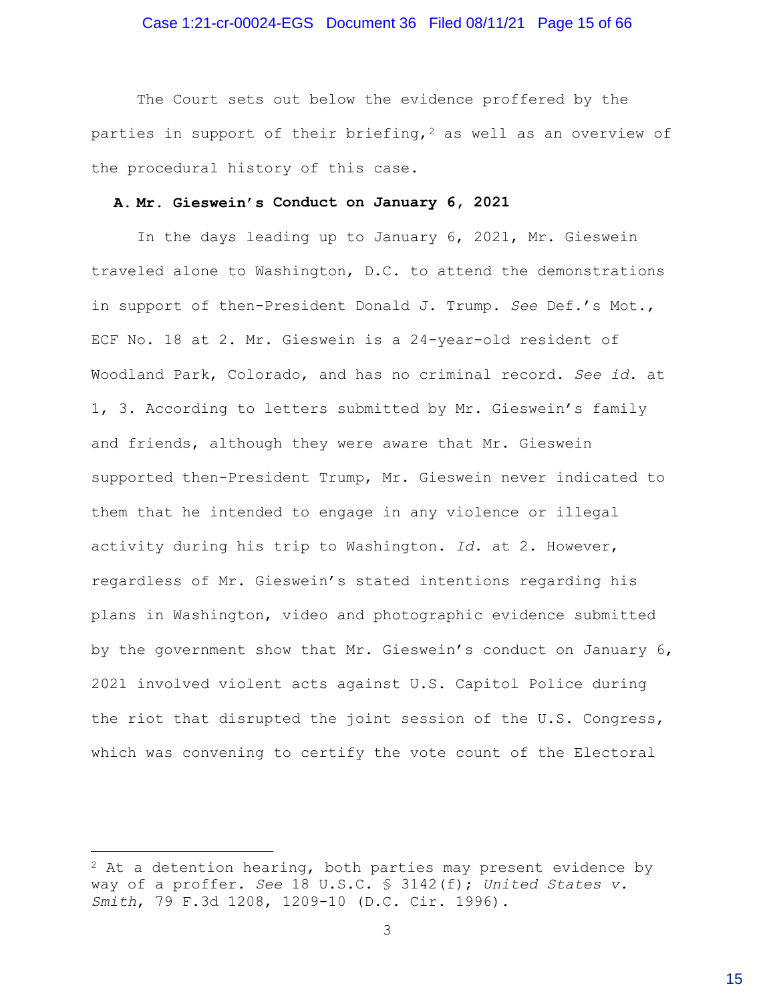The Court sets out below the evidence proffered by the parties in support of their briefing,  $2$  as well as an overview of the procedural history of this case.

#### **A. Mr. Gieswein's Conduct on January 6, 2021**

In the days leading up to January 6, 2021, Mr. Gieswein traveled alone to Washington, D.C. to attend the demonstrations in support of then-President Donald J. Trump. *See* Def.'s Mot., ECF No. 18 at 2. Mr. Gieswein is a 24-year-old resident of Woodland Park, Colorado, and has no criminal record. *See id.* at 1, 3. According to letters submitted by Mr. Gieswein's family and friends, although they were aware that Mr. Gieswein supported then-President Trump, Mr. Gieswein never indicated to them that he intended to engage in any violence or illegal activity during his trip to Washington. *Id.* at 2. However, regardless of Mr. Gieswein's stated intentions regarding his plans in Washington, video and photographic evidence submitted by the government show that Mr. Gieswein's conduct on January 6, 2021 involved violent acts against U.S. Capitol Police during the riot that disrupted the joint session of the U.S. Congress, which was convening to certify the vote count of the Electoral

 $2$  At a detention hearing, both parties may present evidence by way of a proffer. *See* 18 U.S.C. § 3142(f); *United States v. Smith*, 79 F.3d 1208, 1209-10 (D.C. Cir. 1996).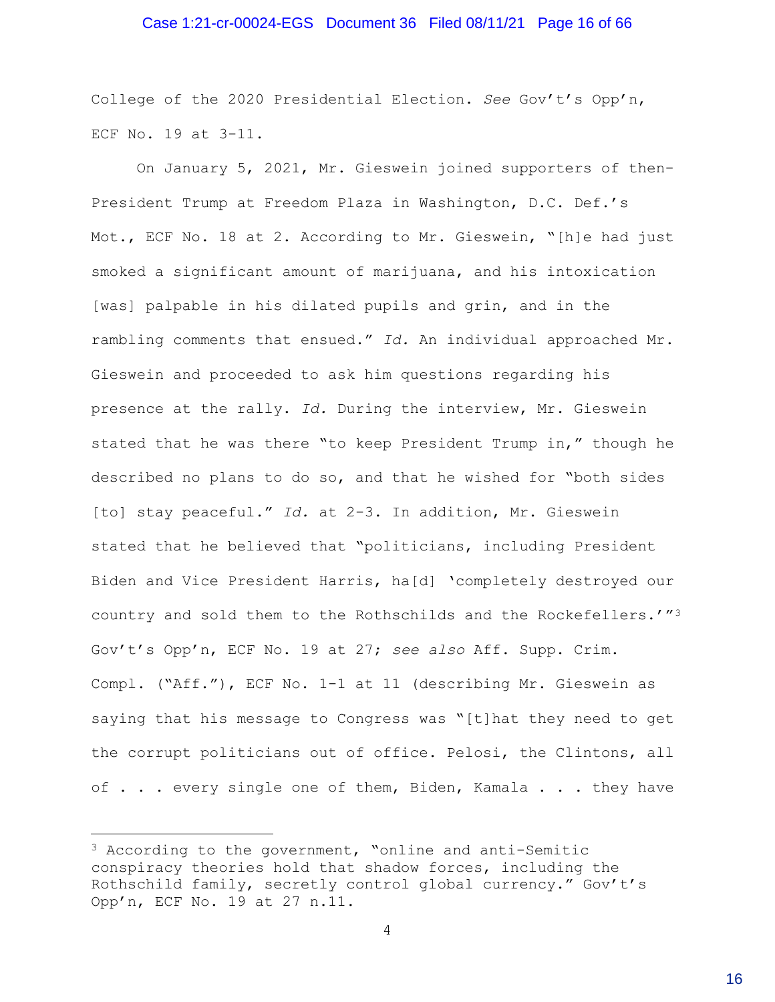#### Case 1:21-cr-00024-EGS Document 36 Filed 08/11/21 Page 16 of 66

College of the 2020 Presidential Election. *See* Gov't's Opp'n, ECF No. 19 at 3-11.

On January 5, 2021, Mr. Gieswein joined supporters of then-President Trump at Freedom Plaza in Washington, D.C. Def.'s Mot., ECF No. 18 at 2. According to Mr. Gieswein, "[h]e had just smoked a significant amount of marijuana, and his intoxication [was] palpable in his dilated pupils and grin, and in the rambling comments that ensued." *Id.* An individual approached Mr. Gieswein and proceeded to ask him questions regarding his presence at the rally. *Id.* During the interview, Mr. Gieswein stated that he was there "to keep President Trump in," though he described no plans to do so, and that he wished for "both sides [to] stay peaceful." *Id.* at 2-3. In addition, Mr. Gieswein stated that he believed that "politicians, including President Biden and Vice President Harris, ha[d] 'completely destroyed our country and sold them to the Rothschilds and the Rockefellers.'"<sup>3</sup> Gov't's Opp'n, ECF No. 19 at 27; *see also* Aff. Supp. Crim. Compl. ("Aff."), ECF No. 1-1 at 11 (describing Mr. Gieswein as saying that his message to Congress was "[t]hat they need to get the corrupt politicians out of office. Pelosi, the Clintons, all of . . . every single one of them, Biden, Kamala . . . they have

<sup>3</sup> According to the government, "online and anti-Semitic conspiracy theories hold that shadow forces, including the Rothschild family, secretly control global currency." Gov't's Opp'n, ECF No. 19 at 27 n.11.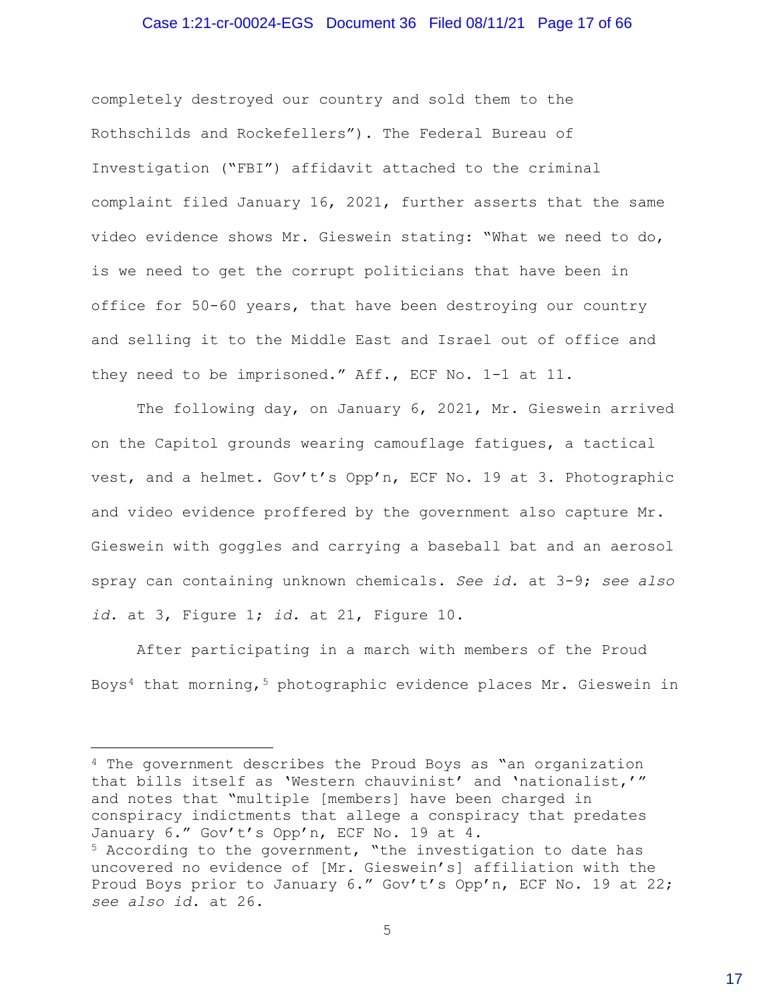#### Case 1:21-cr-00024-EGS Document 36 Filed 08/11/21 Page 17 of 66

completely destroyed our country and sold them to the Rothschilds and Rockefellers"). The Federal Bureau of Investigation ("FBI") affidavit attached to the criminal complaint filed January 16, 2021, further asserts that the same video evidence shows Mr. Gieswein stating: "What we need to do, is we need to get the corrupt politicians that have been in office for 50-60 years, that have been destroying our country and selling it to the Middle East and Israel out of office and they need to be imprisoned." Aff., ECF No. 1-1 at 11.

The following day, on January 6, 2021, Mr. Gieswein arrived on the Capitol grounds wearing camouflage fatigues, a tactical vest, and a helmet. Gov't's Opp'n, ECF No. 19 at 3. Photographic and video evidence proffered by the government also capture Mr. Gieswein with goggles and carrying a baseball bat and an aerosol spray can containing unknown chemicals. *See id.* at 3-9; *see also id.* at 3, Figure 1; *id.* at 21, Figure 10.

After participating in a march with members of the Proud Boys<sup>4</sup> that morning,<sup>5</sup> photographic evidence places Mr. Gieswein in

4 The government describes the Proud Boys as "an organization that bills itself as 'Western chauvinist' and 'nationalist,'" and notes that "multiple [members] have been charged in conspiracy indictments that allege a conspiracy that predates January 6." Gov't's Opp'n, ECF No. 19 at 4. 5 According to the government, "the investigation to date has uncovered no evidence of [Mr. Gieswein's] affiliation with the Proud Boys prior to January 6." Gov't's Opp'n, ECF No. 19 at 22; *see also id.* at 26.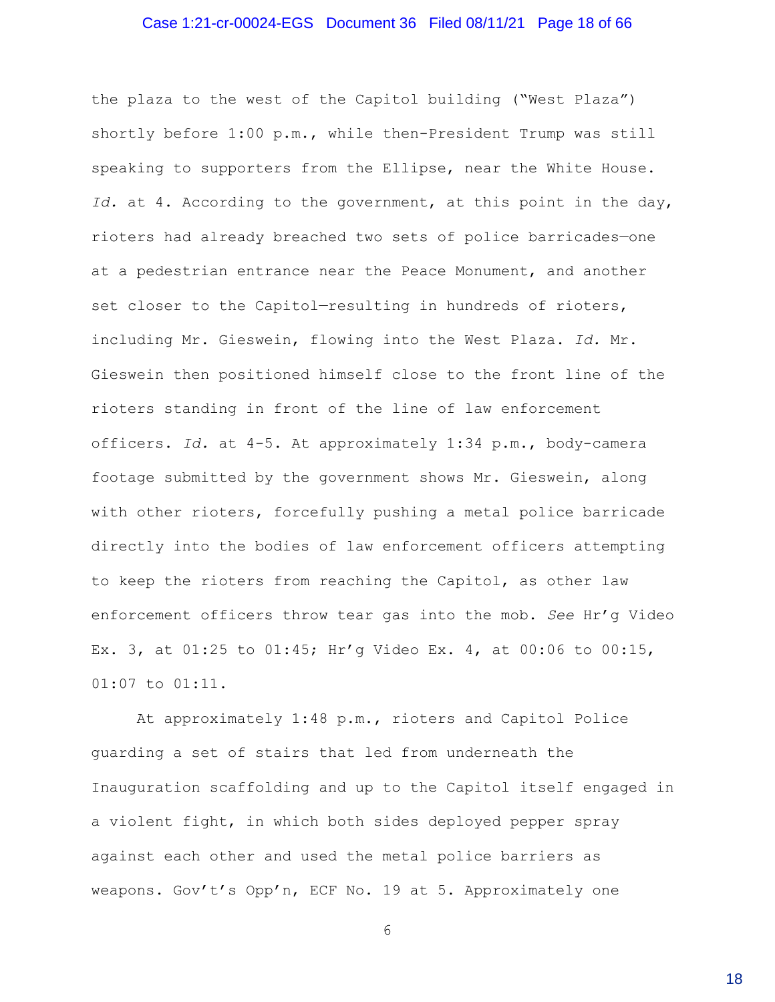#### Case 1:21-cr-00024-EGS Document 36 Filed 08/11/21 Page 18 of 66

the plaza to the west of the Capitol building ("West Plaza") shortly before 1:00 p.m., while then-President Trump was still speaking to supporters from the Ellipse, near the White House. *Id.* at 4. According to the government, at this point in the day, rioters had already breached two sets of police barricades—one at a pedestrian entrance near the Peace Monument, and another set closer to the Capitol-resulting in hundreds of rioters, including Mr. Gieswein, flowing into the West Plaza. *Id.* Mr. Gieswein then positioned himself close to the front line of the rioters standing in front of the line of law enforcement officers. *Id.* at 4-5. At approximately 1:34 p.m., body-camera footage submitted by the government shows Mr. Gieswein, along with other rioters, forcefully pushing a metal police barricade directly into the bodies of law enforcement officers attempting to keep the rioters from reaching the Capitol, as other law enforcement officers throw tear gas into the mob. *See* Hr'g Video Ex. 3, at 01:25 to 01:45; Hr'g Video Ex. 4, at 00:06 to 00:15, 01:07 to 01:11.

At approximately 1:48 p.m., rioters and Capitol Police guarding a set of stairs that led from underneath the Inauguration scaffolding and up to the Capitol itself engaged in a violent fight, in which both sides deployed pepper spray against each other and used the metal police barriers as weapons. Gov't's Opp'n, ECF No. 19 at 5. Approximately one

6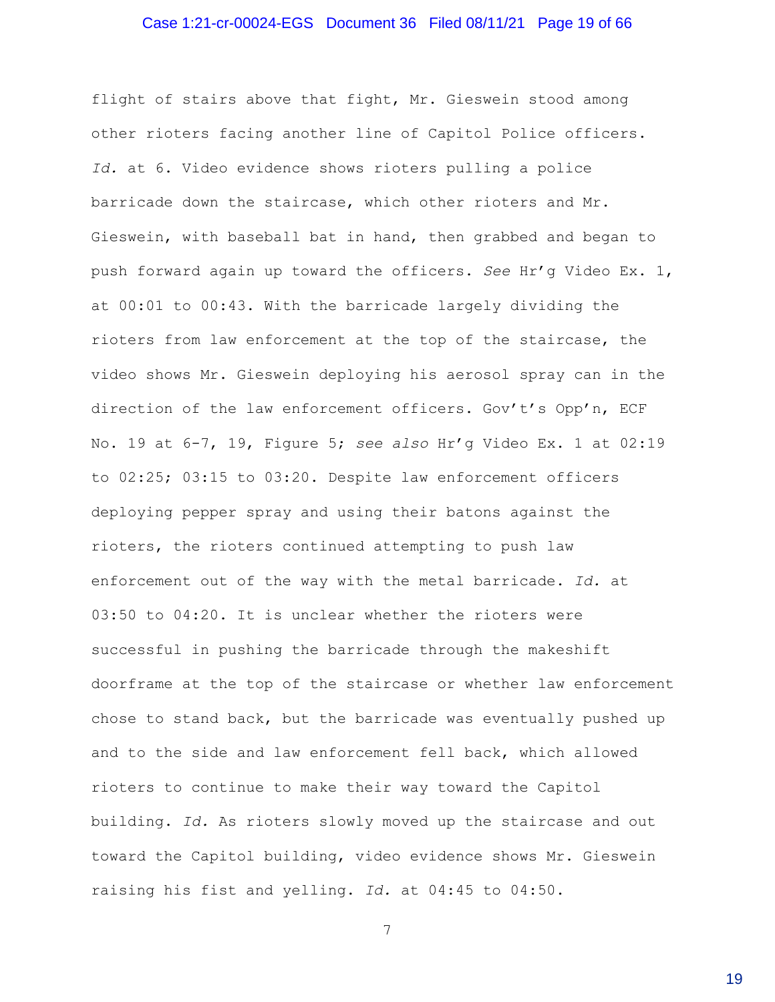#### Case 1:21-cr-00024-EGS Document 36 Filed 08/11/21 Page 19 of 66

flight of stairs above that fight, Mr. Gieswein stood among other rioters facing another line of Capitol Police officers. *Id.* at 6. Video evidence shows rioters pulling a police barricade down the staircase, which other rioters and Mr. Gieswein, with baseball bat in hand, then grabbed and began to push forward again up toward the officers. *See* Hr'g Video Ex. 1, at 00:01 to 00:43. With the barricade largely dividing the rioters from law enforcement at the top of the staircase, the video shows Mr. Gieswein deploying his aerosol spray can in the direction of the law enforcement officers. Gov't's Opp'n, ECF No. 19 at 6-7, 19, Figure 5; *see also* Hr'g Video Ex. 1 at 02:19 to 02:25; 03:15 to 03:20. Despite law enforcement officers deploying pepper spray and using their batons against the rioters, the rioters continued attempting to push law enforcement out of the way with the metal barricade. *Id.* at 03:50 to 04:20. It is unclear whether the rioters were successful in pushing the barricade through the makeshift doorframe at the top of the staircase or whether law enforcement chose to stand back, but the barricade was eventually pushed up and to the side and law enforcement fell back, which allowed rioters to continue to make their way toward the Capitol building. *Id.* As rioters slowly moved up the staircase and out toward the Capitol building, video evidence shows Mr. Gieswein raising his fist and yelling. *Id.* at 04:45 to 04:50.

7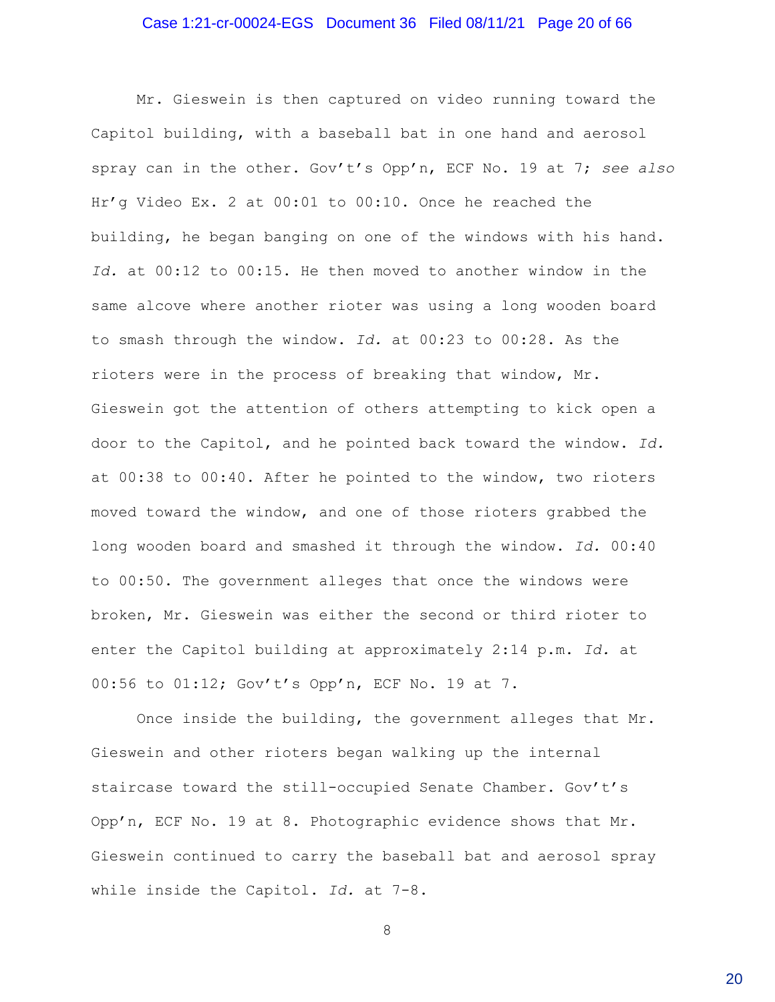#### Case 1:21-cr-00024-EGS Document 36 Filed 08/11/21 Page 20 of 66

Mr. Gieswein is then captured on video running toward the Capitol building, with a baseball bat in one hand and aerosol spray can in the other. Gov't's Opp'n, ECF No. 19 at 7; *see also* Hr'g Video Ex. 2 at 00:01 to 00:10. Once he reached the building, he began banging on one of the windows with his hand. *Id.* at 00:12 to 00:15. He then moved to another window in the same alcove where another rioter was using a long wooden board to smash through the window. *Id.* at 00:23 to 00:28. As the rioters were in the process of breaking that window, Mr. Gieswein got the attention of others attempting to kick open a door to the Capitol, and he pointed back toward the window. *Id.* at 00:38 to 00:40. After he pointed to the window, two rioters moved toward the window, and one of those rioters grabbed the long wooden board and smashed it through the window. *Id.* 00:40 to 00:50. The government alleges that once the windows were broken, Mr. Gieswein was either the second or third rioter to enter the Capitol building at approximately 2:14 p.m. *Id.* at 00:56 to 01:12; Gov't's Opp'n, ECF No. 19 at 7.

Once inside the building, the government alleges that Mr. Gieswein and other rioters began walking up the internal staircase toward the still-occupied Senate Chamber. Gov't's Opp'n, ECF No. 19 at 8. Photographic evidence shows that Mr. Gieswein continued to carry the baseball bat and aerosol spray while inside the Capitol. *Id.* at 7-8.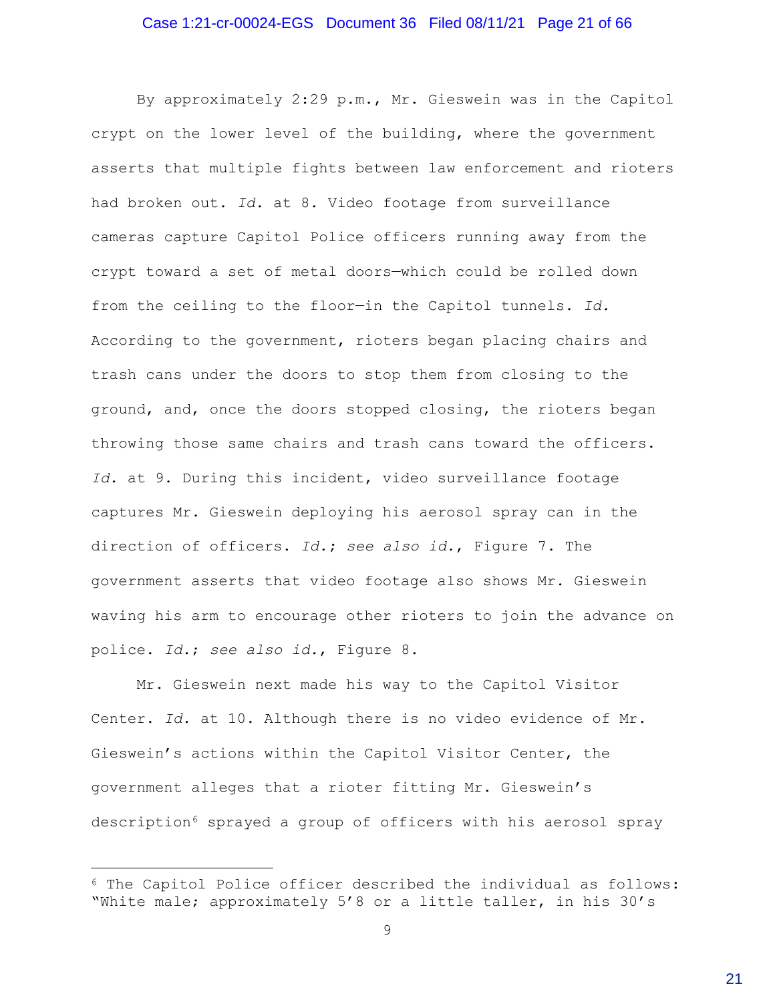#### Case 1:21-cr-00024-EGS Document 36 Filed 08/11/21 Page 21 of 66

By approximately 2:29 p.m., Mr. Gieswein was in the Capitol crypt on the lower level of the building, where the government asserts that multiple fights between law enforcement and rioters had broken out. *Id.* at 8. Video footage from surveillance cameras capture Capitol Police officers running away from the crypt toward a set of metal doors—which could be rolled down from the ceiling to the floor—in the Capitol tunnels. *Id.* According to the government, rioters began placing chairs and trash cans under the doors to stop them from closing to the ground, and, once the doors stopped closing, the rioters began throwing those same chairs and trash cans toward the officers. *Id.* at 9. During this incident, video surveillance footage captures Mr. Gieswein deploying his aerosol spray can in the direction of officers. *Id.***;** *see also id.*, Figure 7. The government asserts that video footage also shows Mr. Gieswein waving his arm to encourage other rioters to join the advance on police. *Id.*; *see also id.*, Figure 8.

Mr. Gieswein next made his way to the Capitol Visitor Center. *Id.* at 10. Although there is no video evidence of Mr. Gieswein's actions within the Capitol Visitor Center, the government alleges that a rioter fitting Mr. Gieswein's description<sup>6</sup> sprayed a group of officers with his aerosol spray

<sup>6</sup> The Capitol Police officer described the individual as follows: "White male; approximately 5'8 or a little taller, in his 30's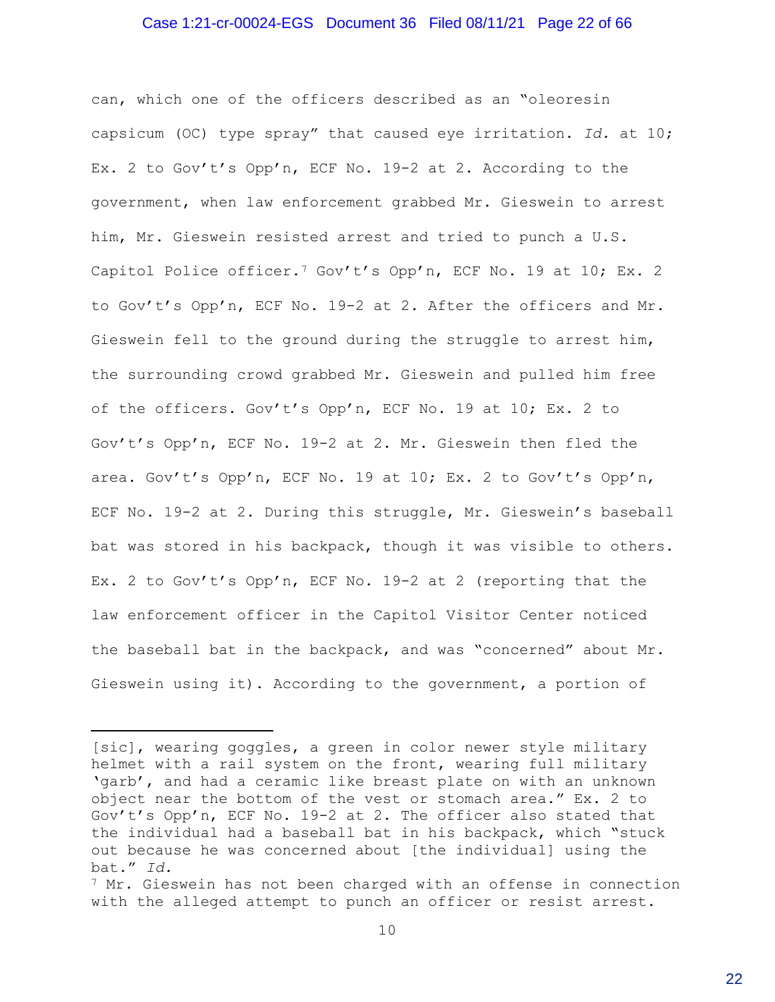#### Case 1:21-cr-00024-EGS Document 36 Filed 08/11/21 Page 22 of 66

can, which one of the officers described as an "oleoresin capsicum (OC) type spray" that caused eye irritation. *Id.* at 10; Ex. 2 to Gov't's Opp'n, ECF No. 19-2 at 2. According to the government, when law enforcement grabbed Mr. Gieswein to arrest him, Mr. Gieswein resisted arrest and tried to punch a U.S. Capitol Police officer.<sup>7</sup> Gov't's Opp'n, ECF No. 19 at 10; Ex. 2 to Gov't's Opp'n, ECF No. 19-2 at 2. After the officers and Mr. Gieswein fell to the ground during the struggle to arrest him, the surrounding crowd grabbed Mr. Gieswein and pulled him free of the officers. Gov't's Opp'n, ECF No. 19 at 10; Ex. 2 to Gov't's Opp'n, ECF No. 19-2 at 2. Mr. Gieswein then fled the area. Gov't's Opp'n, ECF No. 19 at 10; Ex. 2 to Gov't's Opp'n, ECF No. 19-2 at 2. During this struggle, Mr. Gieswein's baseball bat was stored in his backpack, though it was visible to others. Ex. 2 to Gov't's Opp'n, ECF No. 19-2 at 2 (reporting that the law enforcement officer in the Capitol Visitor Center noticed the baseball bat in the backpack, and was "concerned" about Mr. Gieswein using it). According to the government, a portion of

<sup>[</sup>sic], wearing goggles, a green in color newer style military helmet with a rail system on the front, wearing full military 'garb', and had a ceramic like breast plate on with an unknown object near the bottom of the vest or stomach area." Ex. 2 to Gov't's Opp'n, ECF No. 19-2 at 2. The officer also stated that the individual had a baseball bat in his backpack, which "stuck out because he was concerned about [the individual] using the bat." *Id.*

 $7$  Mr. Gieswein has not been charged with an offense in connection with the alleged attempt to punch an officer or resist arrest.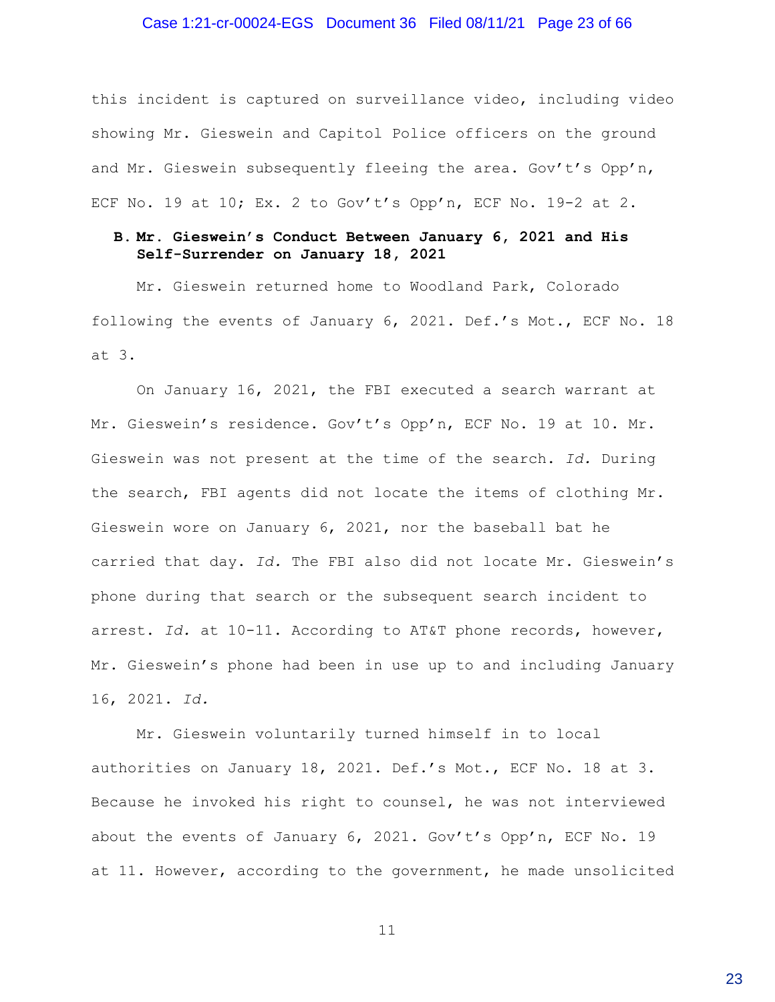#### Case 1:21-cr-00024-EGS Document 36 Filed 08/11/21 Page 23 of 66

this incident is captured on surveillance video, including video showing Mr. Gieswein and Capitol Police officers on the ground and Mr. Gieswein subsequently fleeing the area. Gov't's Opp'n, ECF No. 19 at 10; Ex. 2 to Gov't's Opp'n, ECF No. 19-2 at 2.

### **B. Mr. Gieswein's Conduct Between January 6, 2021 and His Self-Surrender on January 18, 2021**

Mr. Gieswein returned home to Woodland Park, Colorado following the events of January 6, 2021. Def.'s Mot., ECF No. 18 at 3.

On January 16, 2021, the FBI executed a search warrant at Mr. Gieswein's residence. Gov't's Opp'n, ECF No. 19 at 10. Mr. Gieswein was not present at the time of the search. *Id.* During the search, FBI agents did not locate the items of clothing Mr. Gieswein wore on January 6, 2021, nor the baseball bat he carried that day. *Id.* The FBI also did not locate Mr. Gieswein's phone during that search or the subsequent search incident to arrest. *Id.* at 10-11. According to AT&T phone records, however, Mr. Gieswein's phone had been in use up to and including January 16, 2021. *Id.*

Mr. Gieswein voluntarily turned himself in to local authorities on January 18, 2021. Def.'s Mot., ECF No. 18 at 3. Because he invoked his right to counsel, he was not interviewed about the events of January 6, 2021. Gov't's Opp'n, ECF No. 19 at 11. However, according to the government, he made unsolicited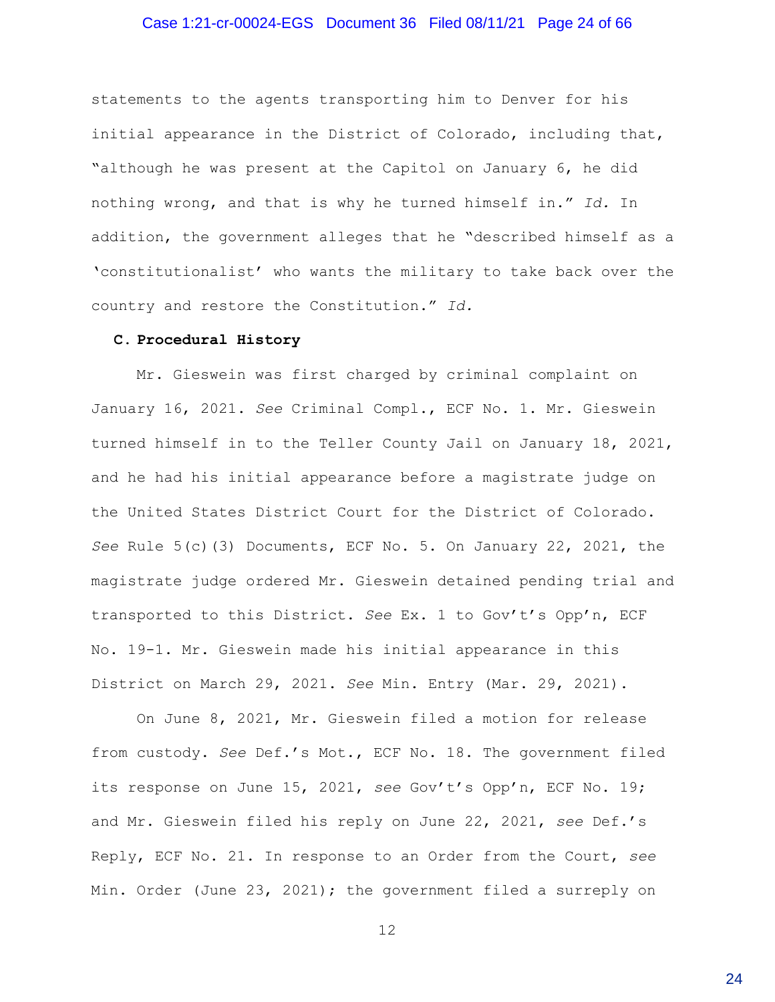### Case 1:21-cr-00024-EGS Document 36 Filed 08/11/21 Page 24 of 66

statements to the agents transporting him to Denver for his initial appearance in the District of Colorado, including that, "although he was present at the Capitol on January 6, he did nothing wrong, and that is why he turned himself in." *Id.* In addition, the government alleges that he "described himself as a 'constitutionalist' who wants the military to take back over the country and restore the Constitution." *Id.*

#### **C. Procedural History**

Mr. Gieswein was first charged by criminal complaint on January 16, 2021. *See* Criminal Compl., ECF No. 1. Mr. Gieswein turned himself in to the Teller County Jail on January 18, 2021, and he had his initial appearance before a magistrate judge on the United States District Court for the District of Colorado. *See* Rule 5(c)(3) Documents, ECF No. 5. On January 22, 2021, the magistrate judge ordered Mr. Gieswein detained pending trial and transported to this District. *See* Ex. 1 to Gov't's Opp'n, ECF No. 19-1. Mr. Gieswein made his initial appearance in this District on March 29, 2021. *See* Min. Entry (Mar. 29, 2021).

On June 8, 2021, Mr. Gieswein filed a motion for release from custody. *See* Def.'s Mot., ECF No. 18. The government filed its response on June 15, 2021, *see* Gov't's Opp'n, ECF No. 19; and Mr. Gieswein filed his reply on June 22, 2021, *see* Def.'s Reply, ECF No. 21. In response to an Order from the Court, *see* Min. Order (June 23, 2021); the government filed a surreply on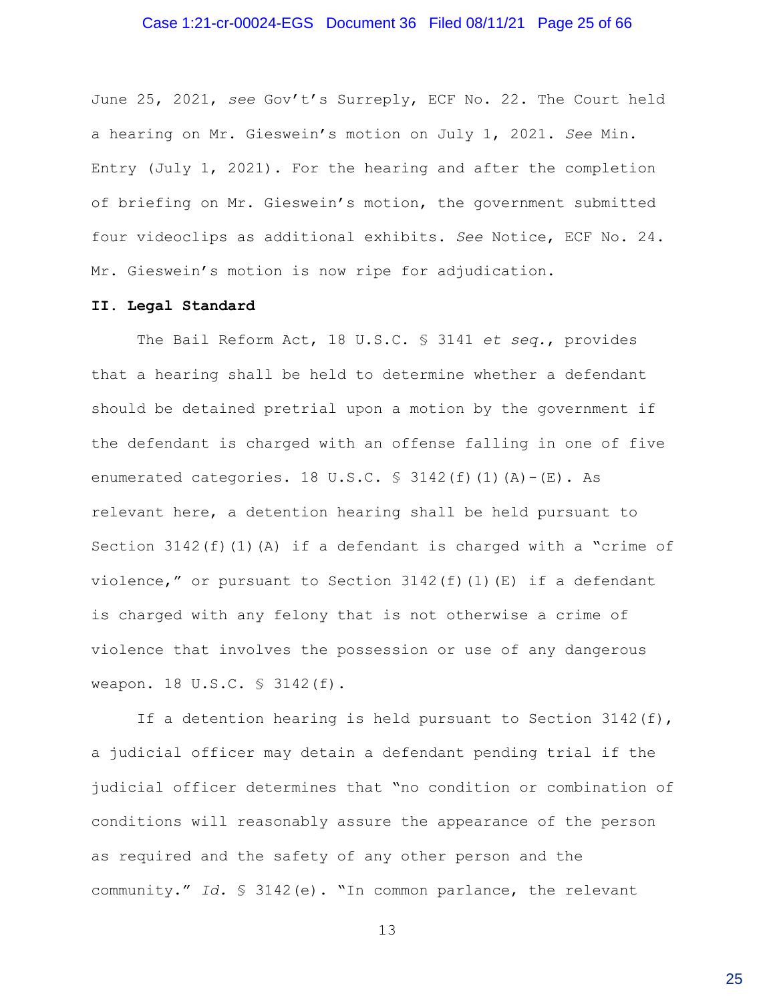#### Case 1:21-cr-00024-EGS Document 36 Filed 08/11/21 Page 25 of 66

June 25, 2021, *see* Gov't's Surreply, ECF No. 22. The Court held a hearing on Mr. Gieswein's motion on July 1, 2021. *See* Min. Entry (July 1, 2021). For the hearing and after the completion of briefing on Mr. Gieswein's motion, the government submitted four videoclips as additional exhibits. *See* Notice, ECF No. 24. Mr. Gieswein's motion is now ripe for adjudication.

### **II. Legal Standard**

The Bail Reform Act, 18 U.S.C. § 3141 *et seq.*, provides that a hearing shall be held to determine whether a defendant should be detained pretrial upon a motion by the government if the defendant is charged with an offense falling in one of five enumerated categories. 18 U.S.C.  $\frac{1}{2}$  3142(f)(1)(A)-(E). As relevant here, a detention hearing shall be held pursuant to Section 3142(f)(1)(A) if a defendant is charged with a "crime of violence," or pursuant to Section  $3142(f)(1)(E)$  if a defendant is charged with any felony that is not otherwise a crime of violence that involves the possession or use of any dangerous weapon. 18 U.S.C. § 3142(f).

If a detention hearing is held pursuant to Section 3142(f), a judicial officer may detain a defendant pending trial if the judicial officer determines that "no condition or combination of conditions will reasonably assure the appearance of the person as required and the safety of any other person and the community." *Id.* § 3142(e). "In common parlance, the relevant

13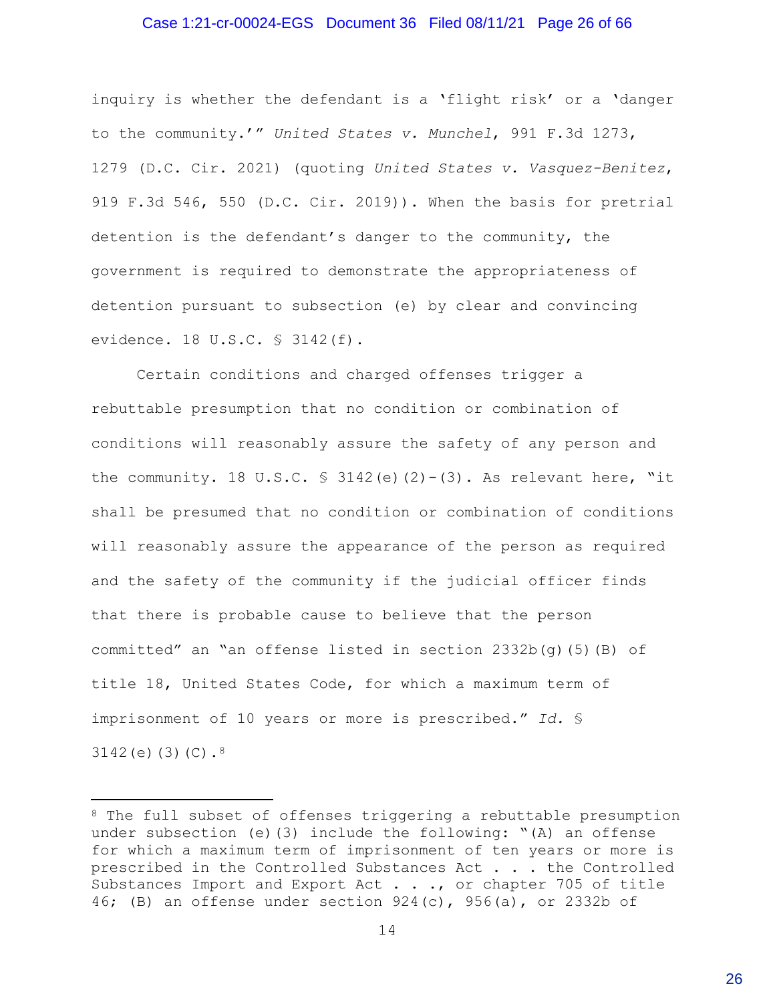#### Case 1:21-cr-00024-EGS Document 36 Filed 08/11/21 Page 26 of 66

inquiry is whether the defendant is a 'flight risk' or a 'danger to the community.'" *United States v. Munchel*, 991 F.3d 1273, 1279 (D.C. Cir. 2021) (quoting *United States v. Vasquez-Benitez*, 919 F.3d 546, 550 (D.C. Cir. 2019)). When the basis for pretrial detention is the defendant's danger to the community, the government is required to demonstrate the appropriateness of detention pursuant to subsection (e) by clear and convincing evidence. 18 U.S.C. § 3142(f).

Certain conditions and charged offenses trigger a rebuttable presumption that no condition or combination of conditions will reasonably assure the safety of any person and the community. 18 U.S.C.  $\frac{1}{2}$  3142(e)(2)-(3). As relevant here, "it shall be presumed that no condition or combination of conditions will reasonably assure the appearance of the person as required and the safety of the community if the judicial officer finds that there is probable cause to believe that the person committed" an "an offense listed in section  $2332b(q)(5)(B)$  of title 18, United States Code, for which a maximum term of imprisonment of 10 years or more is prescribed." *Id.* § 3142(e) $(3)(C).$ <sup>8</sup>

<sup>&</sup>lt;sup>8</sup> The full subset of offenses triggering a rebuttable presumption under subsection (e)(3) include the following: "(A) an offense for which a maximum term of imprisonment of ten years or more is prescribed in the Controlled Substances Act . . . the Controlled Substances Import and Export Act . . ., or chapter 705 of title 46; (B) an offense under section  $924(c)$ ,  $956(a)$ , or 2332b of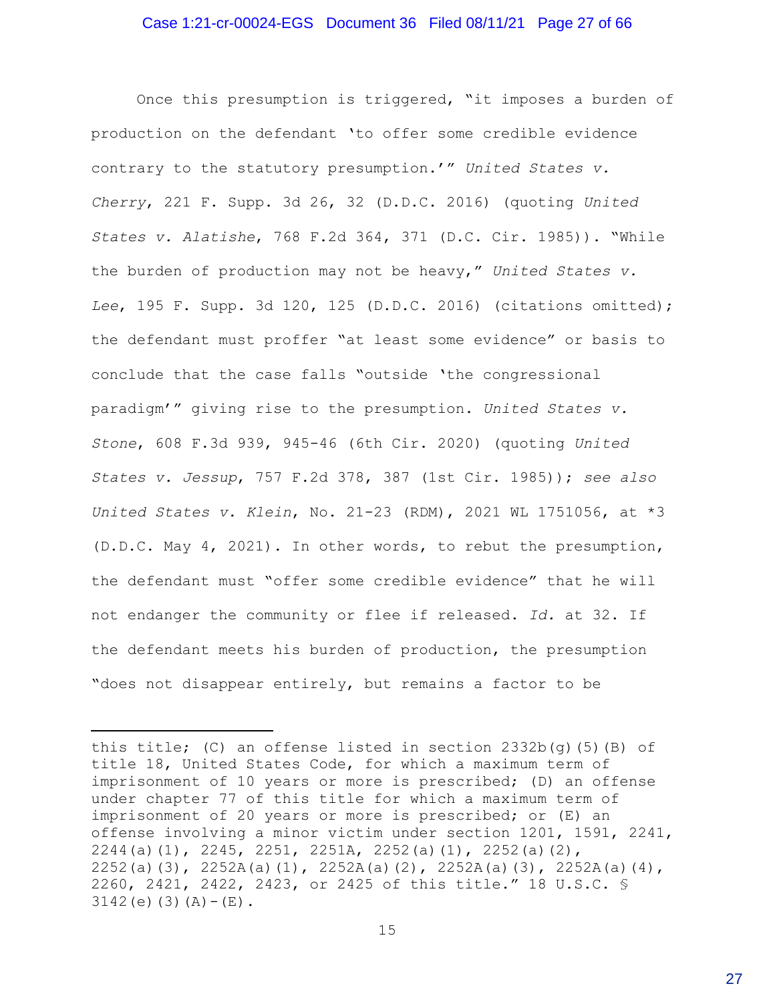#### Case 1:21-cr-00024-EGS Document 36 Filed 08/11/21 Page 27 of 66

Once this presumption is triggered, "it imposes a burden of production on the defendant 'to offer some credible evidence contrary to the statutory presumption.'" *United States v. Cherry*, 221 F. Supp. 3d 26, 32 (D.D.C. 2016) (quoting *United States v. Alatishe*, 768 F.2d 364, 371 (D.C. Cir. 1985)). "While the burden of production may not be heavy," *United States v. Lee*, 195 F. Supp. 3d 120, 125 (D.D.C. 2016) (citations omitted); the defendant must proffer "at least some evidence" or basis to conclude that the case falls "outside 'the congressional paradigm'" giving rise to the presumption. *United States v. Stone*, 608 F.3d 939, 945-46 (6th Cir. 2020) (quoting *United States v. Jessup*, 757 F.2d 378, 387 (1st Cir. 1985)); *see also United States v. Klein*, No. 21-23 (RDM), 2021 WL 1751056, at \*3 (D.D.C. May 4, 2021). In other words, to rebut the presumption, the defendant must "offer some credible evidence" that he will not endanger the community or flee if released. *Id.* at 32. If the defendant meets his burden of production, the presumption "does not disappear entirely, but remains a factor to be

this title; (C) an offense listed in section  $2332b(q)(5)(B)$  of title 18, United States Code, for which a maximum term of imprisonment of 10 years or more is prescribed; (D) an offense under chapter 77 of this title for which a maximum term of imprisonment of 20 years or more is prescribed; or (E) an offense involving a minor victim under section 1201, 1591, 2241, 2244(a)(1), 2245, 2251, 2251A, 2252(a)(1), 2252(a)(2), 2252(a)(3), 2252A(a)(1), 2252A(a)(2), 2252A(a)(3), 2252A(a)(4), 2260, 2421, 2422, 2423, or 2425 of this title." 18 U.S.C. §  $3142(e)$  (3) (A) – (E).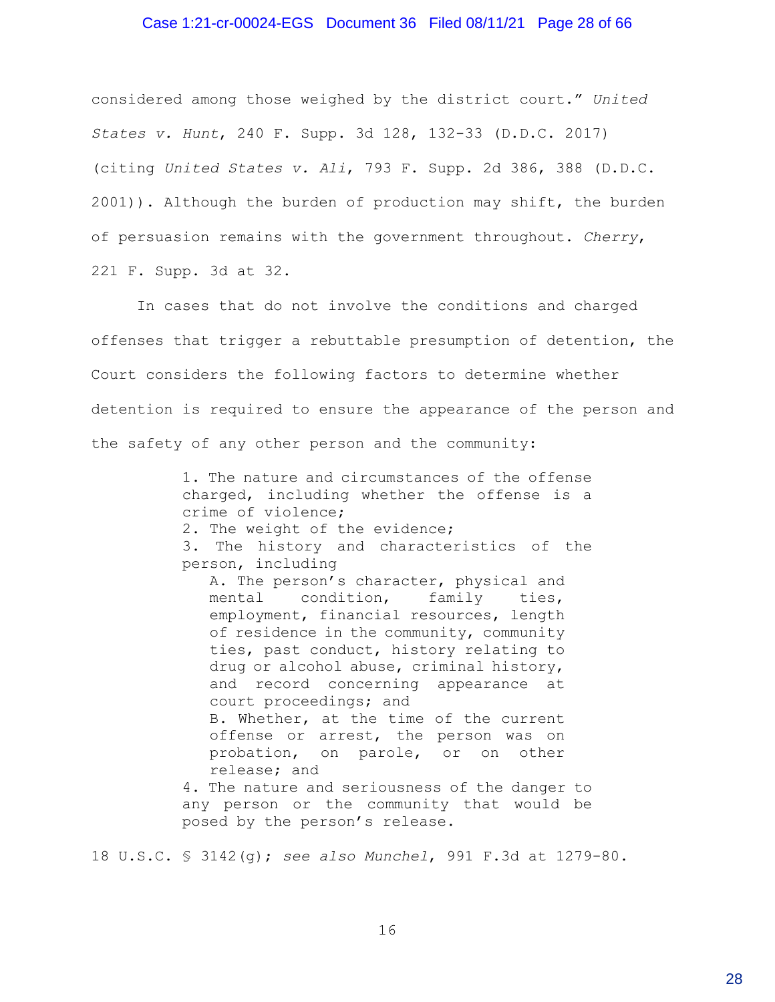#### Case 1:21-cr-00024-EGS Document 36 Filed 08/11/21 Page 28 of 66

considered among those weighed by the district court." *United States v. Hunt*, 240 F. Supp. 3d 128, 132-33 (D.D.C. 2017) (citing *United States v. Ali*, 793 F. Supp. 2d 386, 388 (D.D.C. 2001)). Although the burden of production may shift, the burden of persuasion remains with the government throughout. *Cherry*, 221 F. Supp. 3d at 32.

In cases that do not involve the conditions and charged offenses that trigger a rebuttable presumption of detention, the Court considers the following factors to determine whether detention is required to ensure the appearance of the person and the safety of any other person and the community:

> 1. The nature and circumstances of the offense charged, including whether the offense is a crime of violence;

2. The weight of the evidence;

3. The history and characteristics of the person, including

A. The person's character, physical and mental condition, family ties, employment, financial resources, length of residence in the community, community ties, past conduct, history relating to drug or alcohol abuse, criminal history, and record concerning appearance at court proceedings; and B. Whether, at the time of the current offense or arrest, the person was on probation, on parole, or on other release; and

4. The nature and seriousness of the danger to any person or the community that would be posed by the person's release.

18 U.S.C. § 3142(g); *see also Munchel*, 991 F.3d at 1279-80.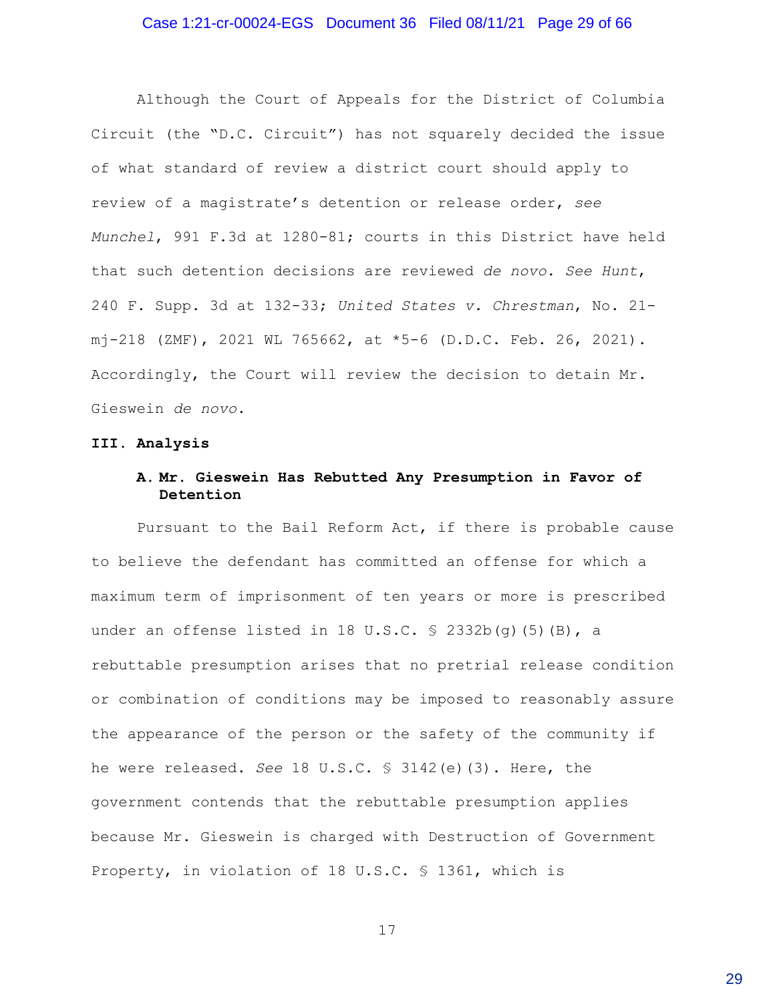#### Case 1:21-cr-00024-EGS Document 36 Filed 08/11/21 Page 29 of 66

Although the Court of Appeals for the District of Columbia Circuit (the "D.C. Circuit") has not squarely decided the issue of what standard of review a district court should apply to review of a magistrate's detention or release order, *see Munchel*, 991 F.3d at 1280-81; courts in this District have held that such detention decisions are reviewed *de novo*. *See Hunt*, 240 F. Supp. 3d at 132-33; *United States v. Chrestman*, No. 21 mj-218 (ZMF), 2021 WL 765662, at \*5-6 (D.D.C. Feb. 26, 2021). Accordingly, the Court will review the decision to detain Mr. Gieswein *de novo*.

#### **III. Analysis**

# **A. Mr. Gieswein Has Rebutted Any Presumption in Favor of Detention**

Pursuant to the Bail Reform Act, if there is probable cause to believe the defendant has committed an offense for which a maximum term of imprisonment of ten years or more is prescribed under an offense listed in 18 U.S.C.  $\frac{1}{5}$  2332b(g)(5)(B), a rebuttable presumption arises that no pretrial release condition or combination of conditions may be imposed to reasonably assure the appearance of the person or the safety of the community if he were released. *See* 18 U.S.C. § 3142(e)(3). Here, the government contends that the rebuttable presumption applies because Mr. Gieswein is charged with Destruction of Government Property, in violation of 18 U.S.C. § 1361, which is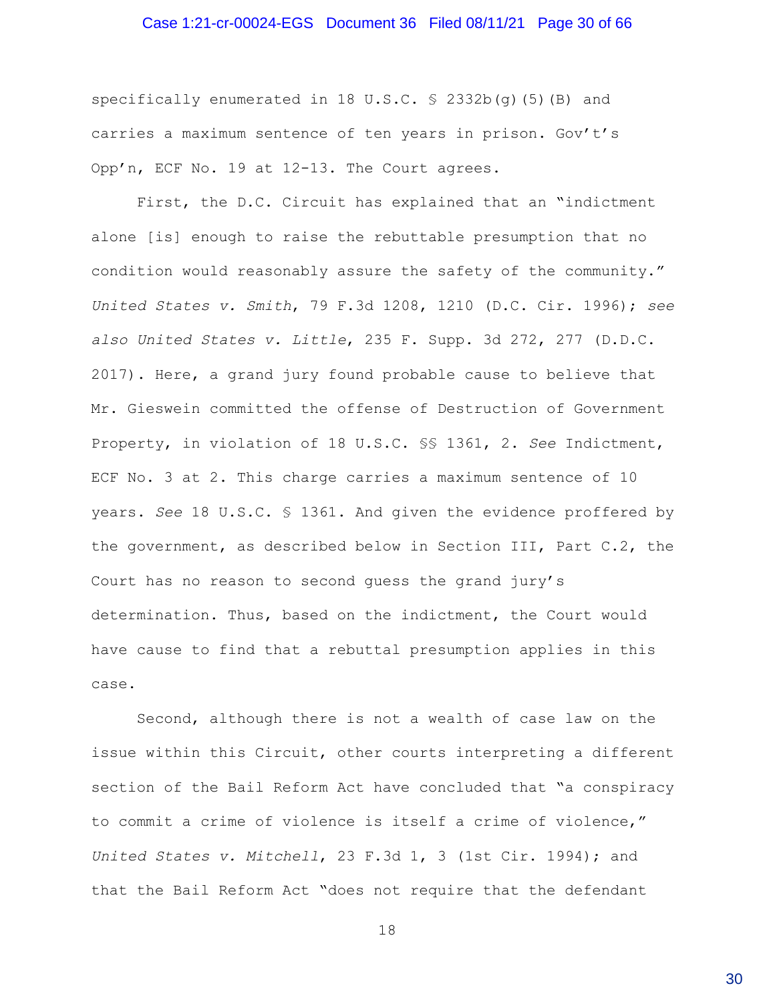#### Case 1:21-cr-00024-EGS Document 36 Filed 08/11/21 Page 30 of 66

specifically enumerated in 18 U.S.C. § 2332b(q)(5)(B) and carries a maximum sentence of ten years in prison. Gov't's Opp'n, ECF No. 19 at 12-13. The Court agrees.

First, the D.C. Circuit has explained that an "indictment alone [is] enough to raise the rebuttable presumption that no condition would reasonably assure the safety of the community." *United States v. Smith*, 79 F.3d 1208, 1210 (D.C. Cir. 1996); *see also United States v. Little*, 235 F. Supp. 3d 272, 277 (D.D.C. 2017). Here, a grand jury found probable cause to believe that Mr. Gieswein committed the offense of Destruction of Government Property, in violation of 18 U.S.C. §§ 1361, 2. *See* Indictment, ECF No. 3 at 2. This charge carries a maximum sentence of 10 years. *See* 18 U.S.C. § 1361. And given the evidence proffered by the government, as described below in Section III, Part C.2, the Court has no reason to second guess the grand jury's determination. Thus, based on the indictment, the Court would have cause to find that a rebuttal presumption applies in this case.

Second, although there is not a wealth of case law on the issue within this Circuit, other courts interpreting a different section of the Bail Reform Act have concluded that "a conspiracy to commit a crime of violence is itself a crime of violence," *United States v. Mitchell*, 23 F.3d 1, 3 (1st Cir. 1994); and that the Bail Reform Act "does not require that the defendant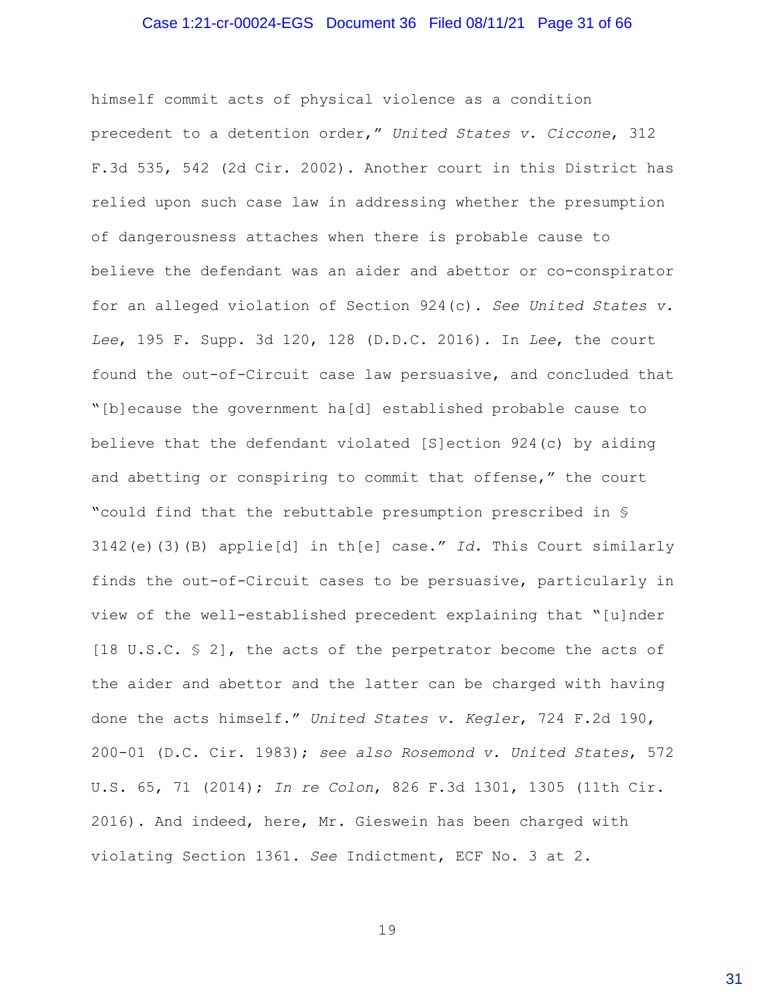#### Case 1:21-cr-00024-EGS Document 36 Filed 08/11/21 Page 31 of 66

himself commit acts of physical violence as a condition precedent to a detention order," *United States v. Ciccone*, 312 F.3d 535, 542 (2d Cir. 2002). Another court in this District has relied upon such case law in addressing whether the presumption of dangerousness attaches when there is probable cause to believe the defendant was an aider and abettor or co-conspirator for an alleged violation of Section 924(c). *See United States v. Lee*, 195 F. Supp. 3d 120, 128 (D.D.C. 2016). In *Lee*, the court found the out-of-Circuit case law persuasive, and concluded that "[b]ecause the government ha[d] established probable cause to believe that the defendant violated [S]ection 924(c) by aiding and abetting or conspiring to commit that offense," the court "could find that the rebuttable presumption prescribed in § 3142(e)(3)(B) applie[d] in th[e] case." *Id.* This Court similarly finds the out-of-Circuit cases to be persuasive, particularly in view of the well-established precedent explaining that "[u]nder [18 U.S.C. § 2], the acts of the perpetrator become the acts of the aider and abettor and the latter can be charged with having done the acts himself." *United States v. Kegler*, 724 F.2d 190, 200-01 (D.C. Cir. 1983); *see also Rosemond v. United States*, 572 U.S. 65, 71 (2014); *In re Colon*, 826 F.3d 1301, 1305 (11th Cir. 2016). And indeed, here, Mr. Gieswein has been charged with violating Section 1361. *See* Indictment, ECF No. 3 at 2.

19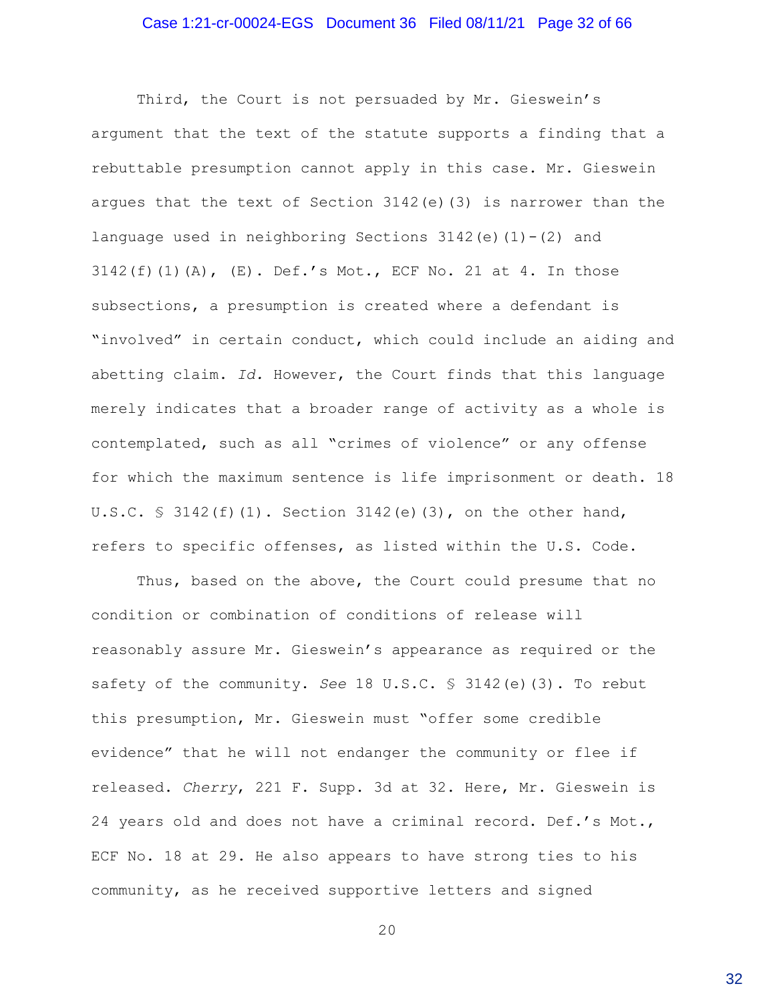#### Case 1:21-cr-00024-EGS Document 36 Filed 08/11/21 Page 32 of 66

Third, the Court is not persuaded by Mr. Gieswein's argument that the text of the statute supports a finding that a rebuttable presumption cannot apply in this case. Mr. Gieswein argues that the text of Section 3142(e)(3) is narrower than the language used in neighboring Sections  $3142(e)(1)-(2)$  and 3142(f)(1)(A), (E). Def.'s Mot., ECF No. 21 at 4. In those subsections, a presumption is created where a defendant is "involved" in certain conduct, which could include an aiding and abetting claim. *Id.* However, the Court finds that this language merely indicates that a broader range of activity as a whole is contemplated, such as all "crimes of violence" or any offense for which the maximum sentence is life imprisonment or death. 18 U.S.C.  $\frac{1}{2}$  3142(f)(1). Section 3142(e)(3), on the other hand, refers to specific offenses, as listed within the U.S. Code.

Thus, based on the above, the Court could presume that no condition or combination of conditions of release will reasonably assure Mr. Gieswein's appearance as required or the safety of the community. *See* 18 U.S.C. § 3142(e)(3). To rebut this presumption, Mr. Gieswein must "offer some credible evidence" that he will not endanger the community or flee if released. *Cherry*, 221 F. Supp. 3d at 32. Here, Mr. Gieswein is 24 years old and does not have a criminal record. Def.'s Mot., ECF No. 18 at 29. He also appears to have strong ties to his community, as he received supportive letters and signed

20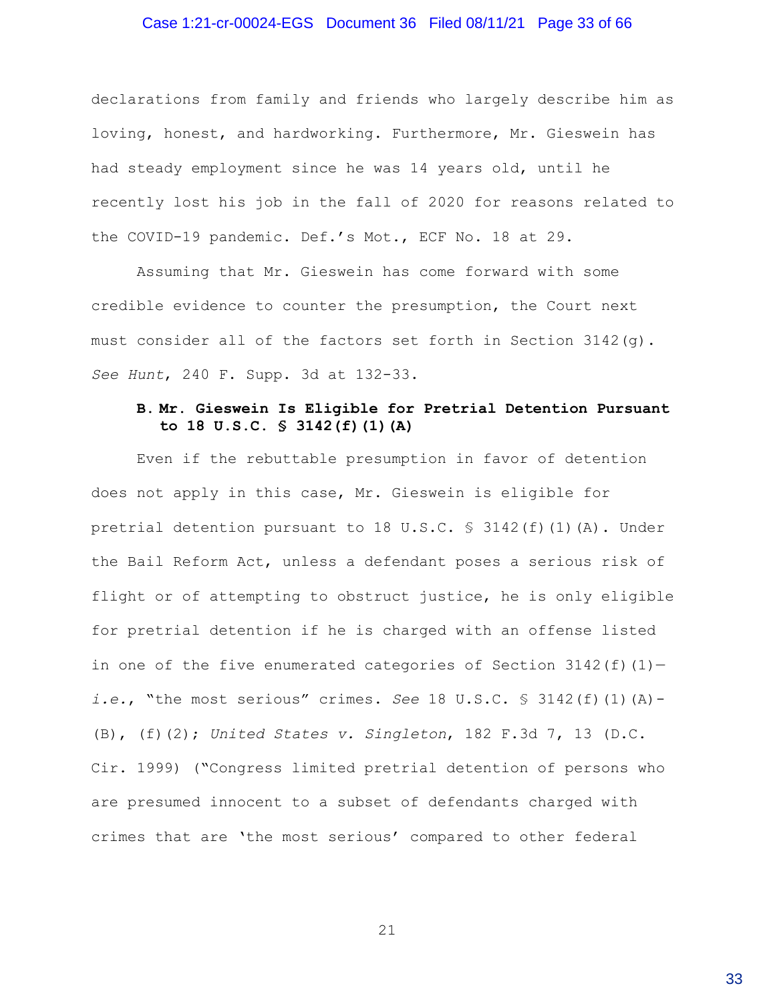#### Case 1:21-cr-00024-EGS Document 36 Filed 08/11/21 Page 33 of 66

declarations from family and friends who largely describe him as loving, honest, and hardworking. Furthermore, Mr. Gieswein has had steady employment since he was 14 years old, until he recently lost his job in the fall of 2020 for reasons related to the COVID-19 pandemic. Def.'s Mot., ECF No. 18 at 29.

Assuming that Mr. Gieswein has come forward with some credible evidence to counter the presumption, the Court next must consider all of the factors set forth in Section 3142(g). *See Hunt*, 240 F. Supp. 3d at 132-33.

# **B. Mr. Gieswein Is Eligible for Pretrial Detention Pursuant to 18 U.S.C. § 3142(f)(1)(A)**

Even if the rebuttable presumption in favor of detention does not apply in this case, Mr. Gieswein is eligible for pretrial detention pursuant to 18 U.S.C.  $\frac{1}{5}$  3142(f)(1)(A). Under the Bail Reform Act, unless a defendant poses a serious risk of flight or of attempting to obstruct justice, he is only eligible for pretrial detention if he is charged with an offense listed in one of the five enumerated categories of Section  $3142(f)(1)$ *i.e.*, "the most serious" crimes. *See* 18 U.S.C. § 3142(f)(1)(A)- (B), (f)(2); *United States v. Singleton*, 182 F.3d 7, 13 (D.C. Cir. 1999) ("Congress limited pretrial detention of persons who are presumed innocent to a subset of defendants charged with crimes that are 'the most serious' compared to other federal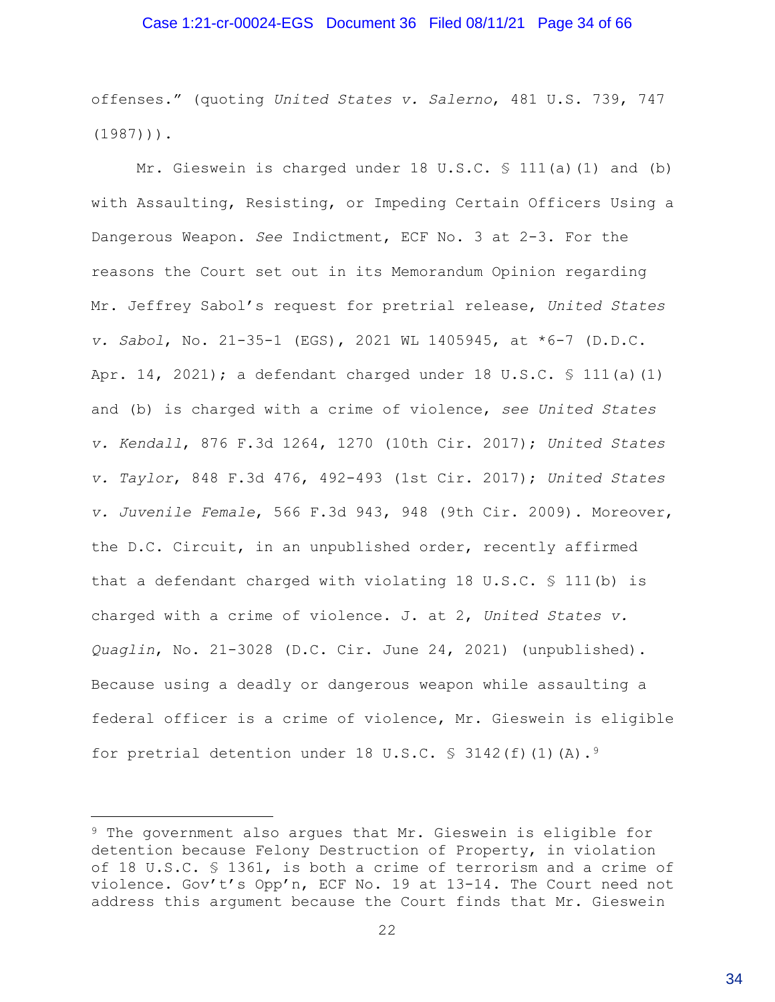#### Case 1:21-cr-00024-EGS Document 36 Filed 08/11/21 Page 34 of 66

offenses." (quoting *United States v. Salerno*, 481 U.S. 739, 747  $(1987)$ )).

Mr. Gieswein is charged under 18 U.S.C. § 111(a)(1) and (b) with Assaulting, Resisting, or Impeding Certain Officers Using a Dangerous Weapon. *See* Indictment, ECF No. 3 at 2-3. For the reasons the Court set out in its Memorandum Opinion regarding Mr. Jeffrey Sabol's request for pretrial release, *United States v. Sabol*, No. 21-35-1 (EGS), 2021 WL 1405945, at \*6-7 (D.D.C. Apr. 14, 2021); a defendant charged under 18 U.S.C. § 111(a)(1) and (b) is charged with a crime of violence, *see United States v. Kendall*, 876 F.3d 1264, 1270 (10th Cir. 2017); *United States v. Taylor*, 848 F.3d 476, 492-493 (1st Cir. 2017); *United States v. Juvenile Female*, 566 F.3d 943, 948 (9th Cir. 2009). Moreover, the D.C. Circuit, in an unpublished order, recently affirmed that a defendant charged with violating 18 U.S.C. § 111(b) is charged with a crime of violence. J. at 2, *United States v. Quaglin*, No. 21-3028 (D.C. Cir. June 24, 2021) (unpublished). Because using a deadly or dangerous weapon while assaulting a federal officer is a crime of violence, Mr. Gieswein is eligible for pretrial detention under 18 U.S.C.  $\frac{1}{5}$  3142(f)(1)(A).<sup>9</sup>

<sup>9</sup> The government also argues that Mr. Gieswein is eligible for detention because Felony Destruction of Property, in violation of 18 U.S.C. § 1361, is both a crime of terrorism and a crime of violence. Gov't's Opp'n, ECF No. 19 at 13-14. The Court need not address this argument because the Court finds that Mr. Gieswein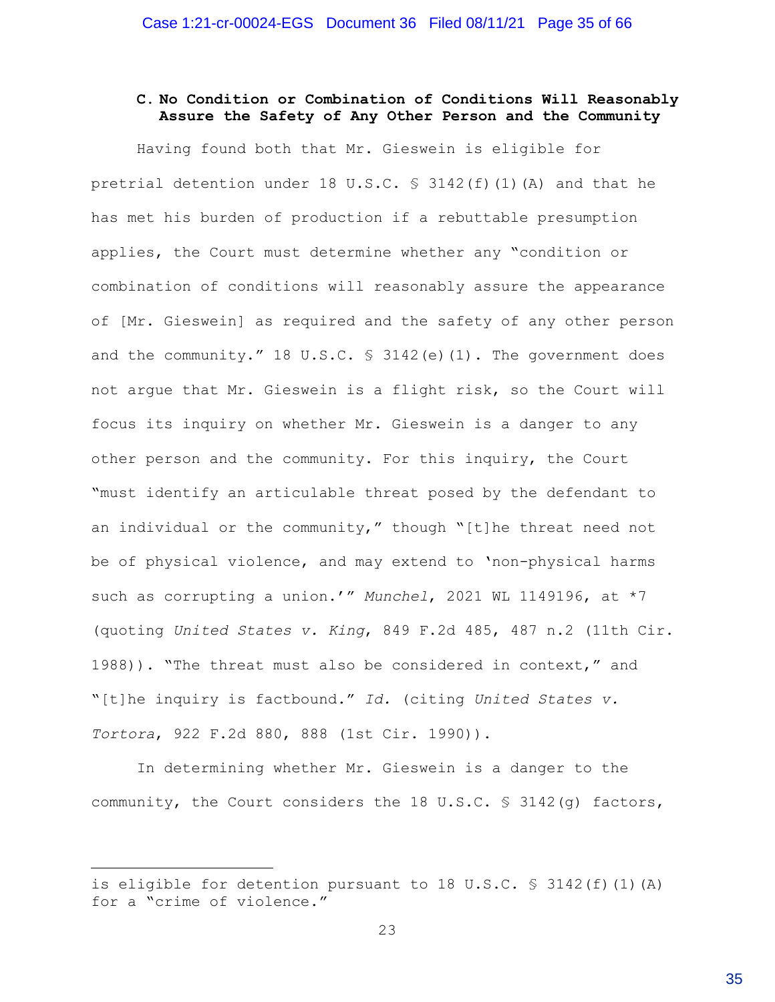# **C. No Condition or Combination of Conditions Will Reasonably Assure the Safety of Any Other Person and the Community**

Having found both that Mr. Gieswein is eligible for pretrial detention under 18 U.S.C.  $\frac{1}{2}$  3142(f)(1)(A) and that he has met his burden of production if a rebuttable presumption applies, the Court must determine whether any "condition or combination of conditions will reasonably assure the appearance of [Mr. Gieswein] as required and the safety of any other person and the community." 18 U.S.C. § 3142(e)(1). The government does not argue that Mr. Gieswein is a flight risk, so the Court will focus its inquiry on whether Mr. Gieswein is a danger to any other person and the community. For this inquiry, the Court "must identify an articulable threat posed by the defendant to an individual or the community," though "[t]he threat need not be of physical violence, and may extend to 'non-physical harms such as corrupting a union.'" *Munchel*, 2021 WL 1149196, at \*7 (quoting *United States v. King*, 849 F.2d 485, 487 n.2 (11th Cir. 1988)). "The threat must also be considered in context," and "[t]he inquiry is factbound." *Id.* (citing *United States v. Tortora*, 922 F.2d 880, 888 (1st Cir. 1990)).

In determining whether Mr. Gieswein is a danger to the community, the Court considers the 18 U.S.C. § 3142(g) factors,

is eligible for detention pursuant to 18 U.S.C. § 3142(f)(1)(A) for a "crime of violence."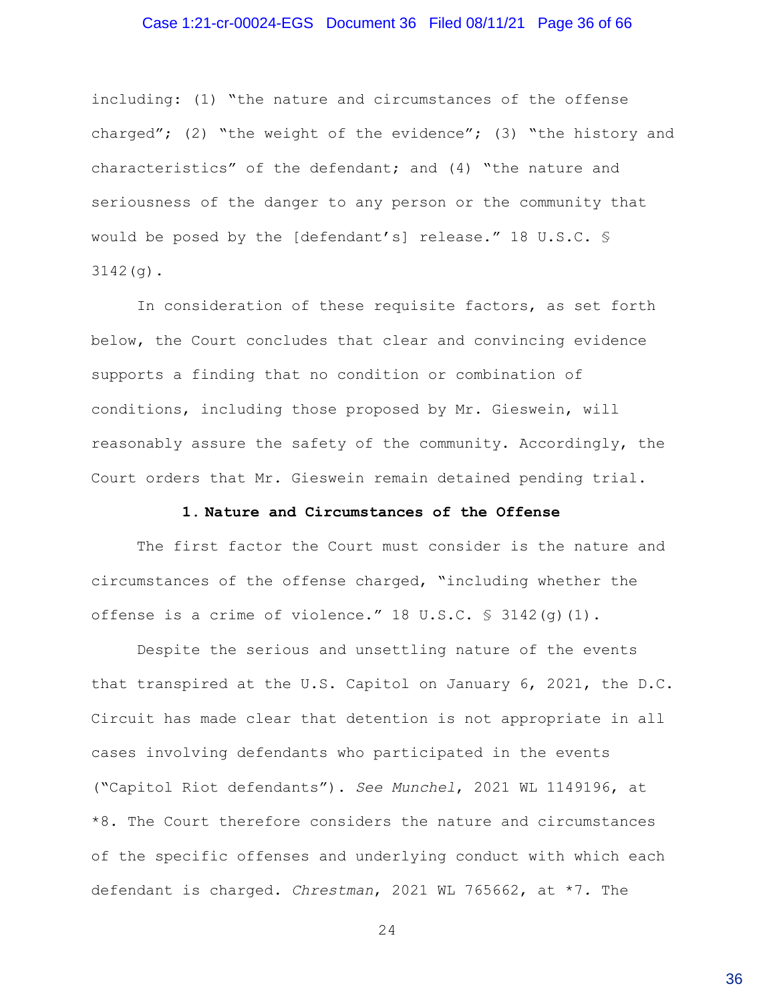#### Case 1:21-cr-00024-EGS Document 36 Filed 08/11/21 Page 36 of 66

including: (1) "the nature and circumstances of the offense charged"; (2) "the weight of the evidence"; (3) "the history and characteristics" of the defendant; and (4) "the nature and seriousness of the danger to any person or the community that would be posed by the [defendant's] release." 18 U.S.C. § 3142(g).

In consideration of these requisite factors, as set forth below, the Court concludes that clear and convincing evidence supports a finding that no condition or combination of conditions, including those proposed by Mr. Gieswein, will reasonably assure the safety of the community. Accordingly, the Court orders that Mr. Gieswein remain detained pending trial.

#### **1. Nature and Circumstances of the Offense**

The first factor the Court must consider is the nature and circumstances of the offense charged, "including whether the offense is a crime of violence."  $18 \text{ U.S.C. }$  \$  $3142(q)(1)$ .

Despite the serious and unsettling nature of the events that transpired at the U.S. Capitol on January 6, 2021, the D.C. Circuit has made clear that detention is not appropriate in all cases involving defendants who participated in the events ("Capitol Riot defendants"). *See Munchel*, 2021 WL 1149196, at \*8. The Court therefore considers the nature and circumstances of the specific offenses and underlying conduct with which each defendant is charged. *Chrestman*, 2021 WL 765662, at \*7*.* The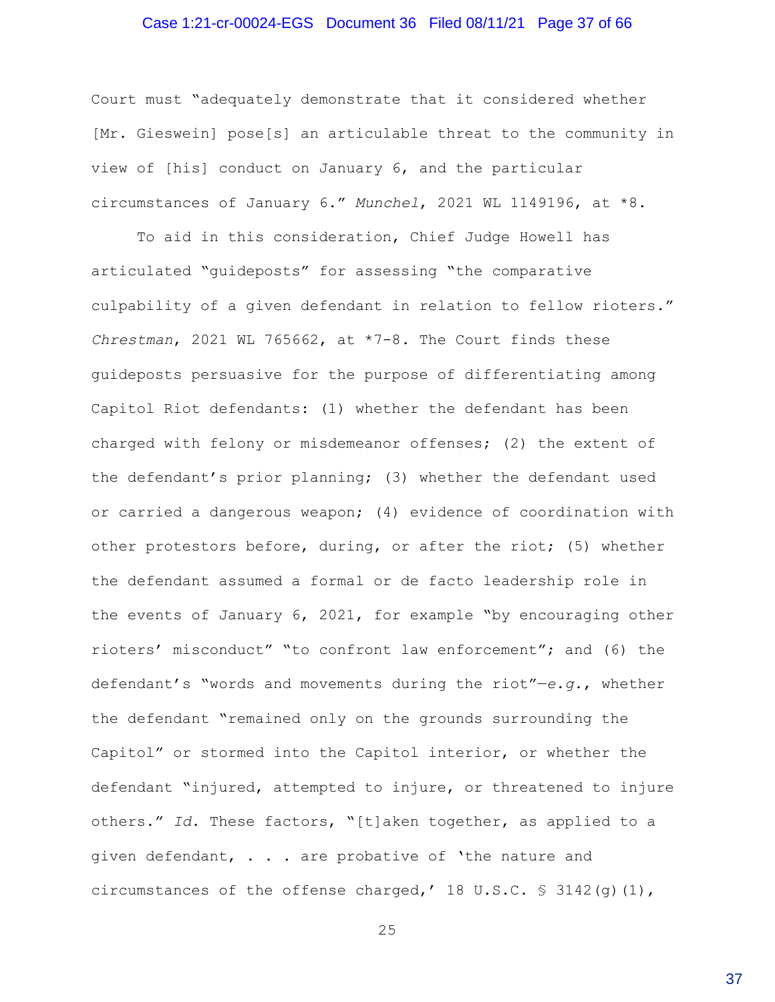#### Case 1:21-cr-00024-EGS Document 36 Filed 08/11/21 Page 37 of 66

Court must "adequately demonstrate that it considered whether [Mr. Gieswein] pose[s] an articulable threat to the community in view of [his] conduct on January 6, and the particular circumstances of January 6." *Munchel*, 2021 WL 1149196, at \*8.

To aid in this consideration, Chief Judge Howell has articulated "guideposts" for assessing "the comparative culpability of a given defendant in relation to fellow rioters." *Chrestman*, 2021 WL 765662, at \*7-8*.* The Court finds these guideposts persuasive for the purpose of differentiating among Capitol Riot defendants: (1) whether the defendant has been charged with felony or misdemeanor offenses; (2) the extent of the defendant's prior planning; (3) whether the defendant used or carried a dangerous weapon; (4) evidence of coordination with other protestors before, during, or after the riot; (5) whether the defendant assumed a formal or de facto leadership role in the events of January 6, 2021, for example "by encouraging other rioters' misconduct" "to confront law enforcement"; and (6) the defendant's "words and movements during the riot"—*e.g.*, whether the defendant "remained only on the grounds surrounding the Capitol" or stormed into the Capitol interior, or whether the defendant "injured, attempted to injure, or threatened to injure others." *Id*. These factors, "[t]aken together, as applied to a given defendant, . . . are probative of 'the nature and circumstances of the offense charged,' 18 U.S.C.  $\frac{1}{5}$  3142(q)(1),

25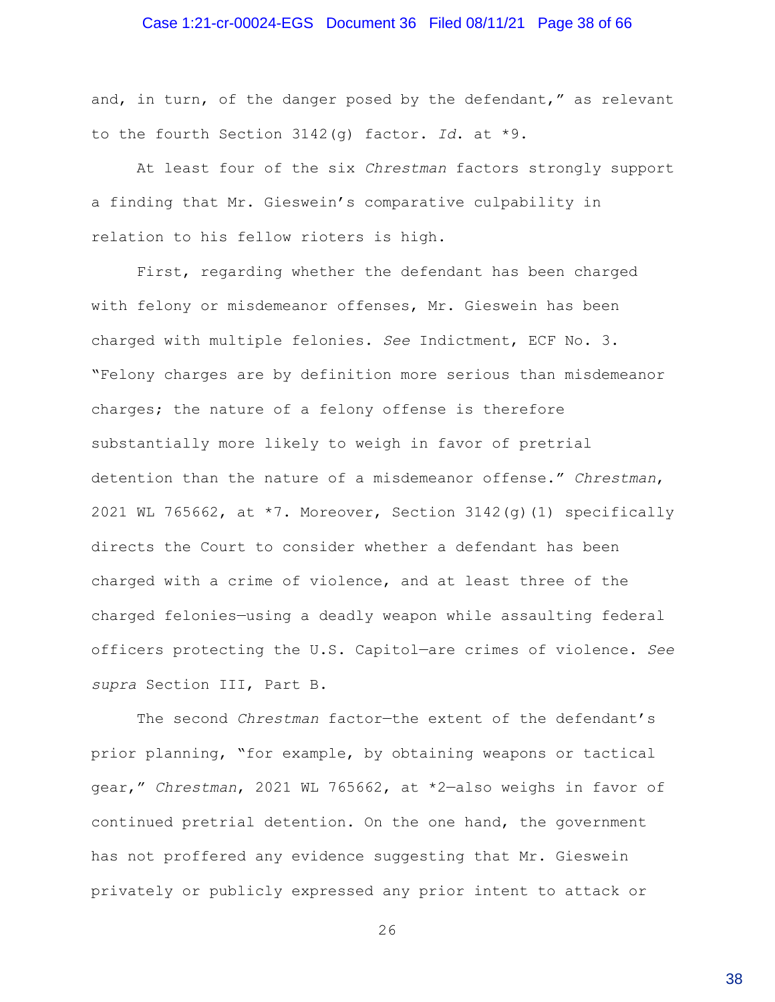#### Case 1:21-cr-00024-EGS Document 36 Filed 08/11/21 Page 38 of 66

and, in turn, of the danger posed by the defendant," as relevant to the fourth Section 3142(g) factor. *Id*. at \*9.

At least four of the six *Chrestman* factors strongly support a finding that Mr. Gieswein's comparative culpability in relation to his fellow rioters is high.

First, regarding whether the defendant has been charged with felony or misdemeanor offenses, Mr. Gieswein has been charged with multiple felonies. *See* Indictment, ECF No. 3. "Felony charges are by definition more serious than misdemeanor charges; the nature of a felony offense is therefore substantially more likely to weigh in favor of pretrial detention than the nature of a misdemeanor offense." *Chrestman*, 2021 WL 765662, at \*7. Moreover, Section 3142(g)(1) specifically directs the Court to consider whether a defendant has been charged with a crime of violence, and at least three of the charged felonies—using a deadly weapon while assaulting federal officers protecting the U.S. Capitol—are crimes of violence. *See supra* Section III, Part B.

The second *Chrestman* factor—the extent of the defendant's prior planning, "for example, by obtaining weapons or tactical gear," *Chrestman*, 2021 WL 765662, at \*2—also weighs in favor of continued pretrial detention. On the one hand, the government has not proffered any evidence suggesting that Mr. Gieswein privately or publicly expressed any prior intent to attack or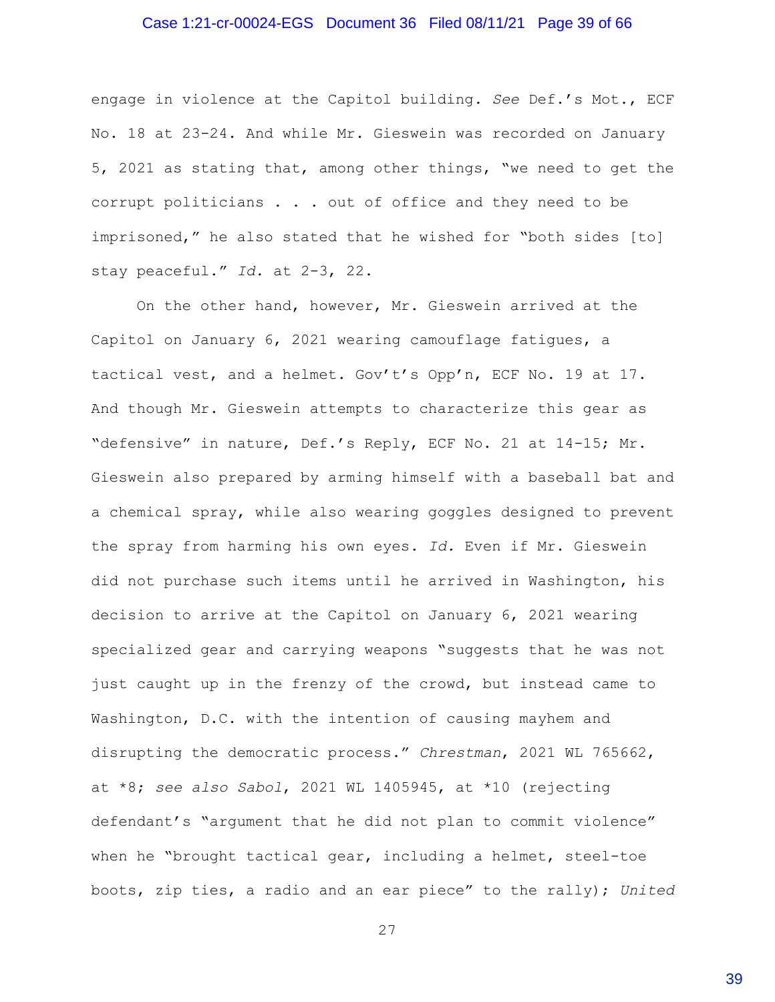#### Case 1:21-cr-00024-EGS Document 36 Filed 08/11/21 Page 39 of 66

engage in violence at the Capitol building. *See* Def.'s Mot., ECF No. 18 at 23-24. And while Mr. Gieswein was recorded on January 5, 2021 as stating that, among other things, "we need to get the corrupt politicians . . . out of office and they need to be imprisoned," he also stated that he wished for "both sides [to] stay peaceful." *Id.* at 2-3, 22.

On the other hand, however, Mr. Gieswein arrived at the Capitol on January 6, 2021 wearing camouflage fatigues, a tactical vest, and a helmet. Gov't's Opp'n, ECF No. 19 at 17. And though Mr. Gieswein attempts to characterize this gear as "defensive" in nature, Def.'s Reply, ECF No. 21 at 14-15; Mr. Gieswein also prepared by arming himself with a baseball bat and a chemical spray, while also wearing goggles designed to prevent the spray from harming his own eyes. *Id.* Even if Mr. Gieswein did not purchase such items until he arrived in Washington, his decision to arrive at the Capitol on January 6, 2021 wearing specialized gear and carrying weapons "suggests that he was not just caught up in the frenzy of the crowd, but instead came to Washington, D.C. with the intention of causing mayhem and disrupting the democratic process." *Chrestman*, 2021 WL 765662, at \*8; *see also Sabol*, 2021 WL 1405945, at \*10 (rejecting defendant's "argument that he did not plan to commit violence" when he "brought tactical gear, including a helmet, steel-toe boots, zip ties, a radio and an ear piece" to the rally); *United*

27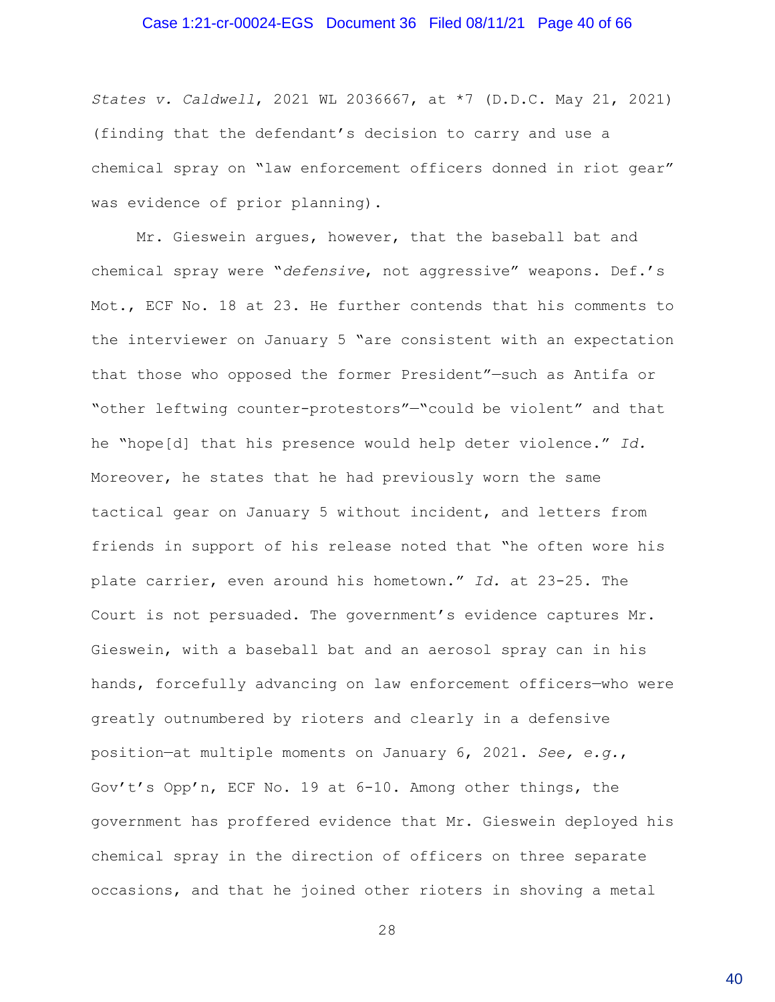#### Case 1:21-cr-00024-EGS Document 36 Filed 08/11/21 Page 40 of 66

*States v. Caldwell*, 2021 WL 2036667, at \*7 (D.D.C. May 21, 2021) (finding that the defendant's decision to carry and use a chemical spray on "law enforcement officers donned in riot gear" was evidence of prior planning).

Mr. Gieswein argues, however, that the baseball bat and chemical spray were "*defensive*, not aggressive" weapons. Def.'s Mot., ECF No. 18 at 23. He further contends that his comments to the interviewer on January 5 "are consistent with an expectation that those who opposed the former President"—such as Antifa or "other leftwing counter-protestors"—"could be violent" and that he "hope[d] that his presence would help deter violence." *Id.* Moreover, he states that he had previously worn the same tactical gear on January 5 without incident, and letters from friends in support of his release noted that "he often wore his plate carrier, even around his hometown." *Id.* at 23-25. The Court is not persuaded. The government's evidence captures Mr. Gieswein, with a baseball bat and an aerosol spray can in his hands, forcefully advancing on law enforcement officers—who were greatly outnumbered by rioters and clearly in a defensive position—at multiple moments on January 6, 2021. *See, e.g.*, Gov't's Opp'n, ECF No. 19 at 6-10. Among other things, the government has proffered evidence that Mr. Gieswein deployed his chemical spray in the direction of officers on three separate occasions, and that he joined other rioters in shoving a metal

28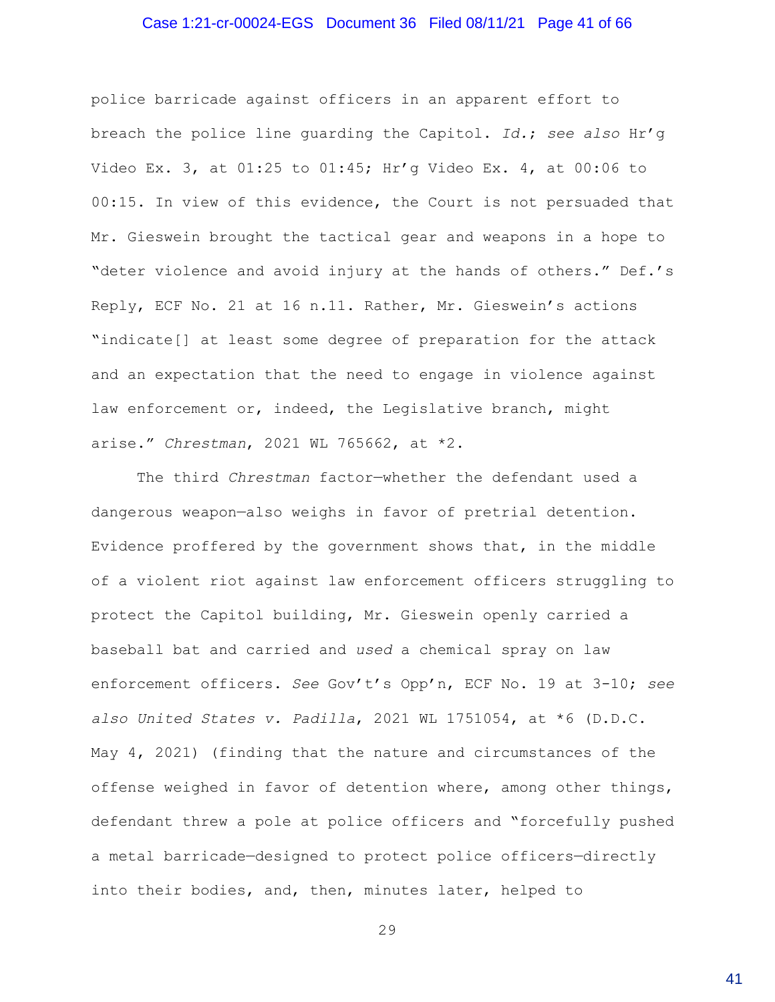### Case 1:21-cr-00024-EGS Document 36 Filed 08/11/21 Page 41 of 66

police barricade against officers in an apparent effort to breach the police line guarding the Capitol. *Id.*; *see also* Hr'g Video Ex. 3, at 01:25 to 01:45; Hr'g Video Ex. 4, at 00:06 to 00:15. In view of this evidence, the Court is not persuaded that Mr. Gieswein brought the tactical gear and weapons in a hope to "deter violence and avoid injury at the hands of others." Def.'s Reply, ECF No. 21 at 16 n.11. Rather, Mr. Gieswein's actions "indicate[] at least some degree of preparation for the attack and an expectation that the need to engage in violence against law enforcement or, indeed, the Legislative branch, might arise." *Chrestman*, 2021 WL 765662, at \*2.

The third *Chrestman* factor—whether the defendant used a dangerous weapon—also weighs in favor of pretrial detention. Evidence proffered by the government shows that, in the middle of a violent riot against law enforcement officers struggling to protect the Capitol building, Mr. Gieswein openly carried a baseball bat and carried and *used* a chemical spray on law enforcement officers. *See* Gov't's Opp'n, ECF No. 19 at 3-10; *see also United States v. Padilla*, 2021 WL 1751054, at \*6 (D.D.C. May 4, 2021) (finding that the nature and circumstances of the offense weighed in favor of detention where, among other things, defendant threw a pole at police officers and "forcefully pushed a metal barricade—designed to protect police officers—directly into their bodies, and, then, minutes later, helped to

29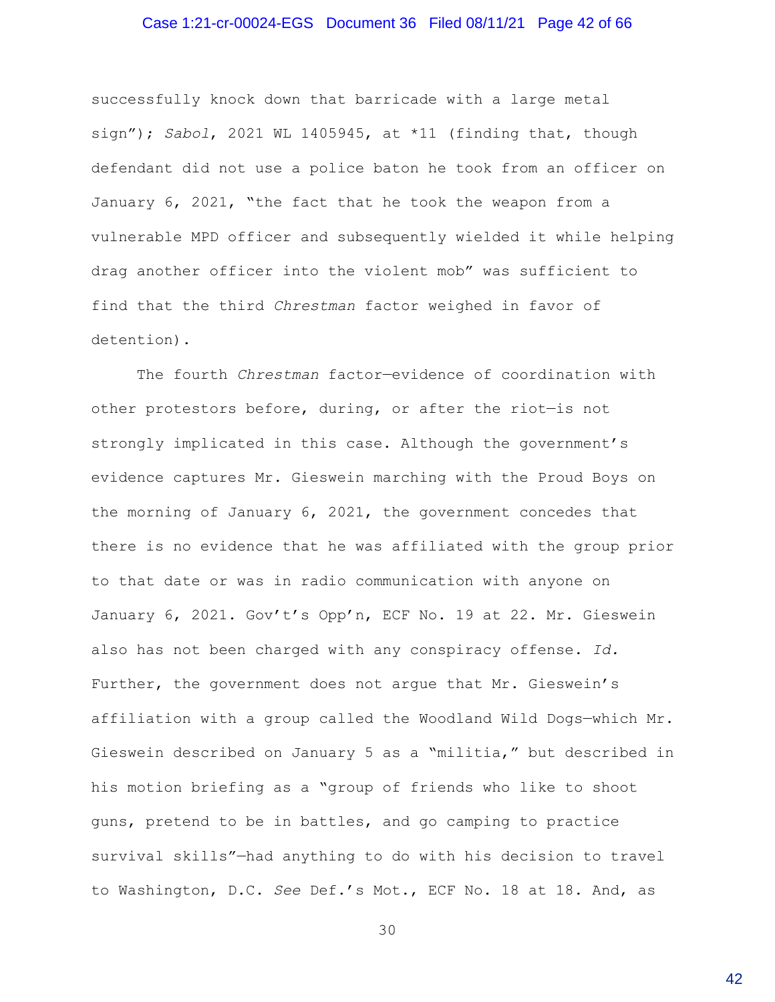#### Case 1:21-cr-00024-EGS Document 36 Filed 08/11/21 Page 42 of 66

successfully knock down that barricade with a large metal sign"); *Sabol*, 2021 WL 1405945, at \*11 (finding that, though defendant did not use a police baton he took from an officer on January 6, 2021, "the fact that he took the weapon from a vulnerable MPD officer and subsequently wielded it while helping drag another officer into the violent mob" was sufficient to find that the third *Chrestman* factor weighed in favor of detention).

The fourth *Chrestman* factor—evidence of coordination with other protestors before, during, or after the riot—is not strongly implicated in this case. Although the government's evidence captures Mr. Gieswein marching with the Proud Boys on the morning of January 6, 2021, the government concedes that there is no evidence that he was affiliated with the group prior to that date or was in radio communication with anyone on January 6, 2021. Gov't's Opp'n, ECF No. 19 at 22. Mr. Gieswein also has not been charged with any conspiracy offense. *Id.* Further, the government does not argue that Mr. Gieswein's affiliation with a group called the Woodland Wild Dogs—which Mr. Gieswein described on January 5 as a "militia," but described in his motion briefing as a "group of friends who like to shoot guns, pretend to be in battles, and go camping to practice survival skills"—had anything to do with his decision to travel to Washington, D.C. *See* Def.'s Mot., ECF No. 18 at 18. And, as

30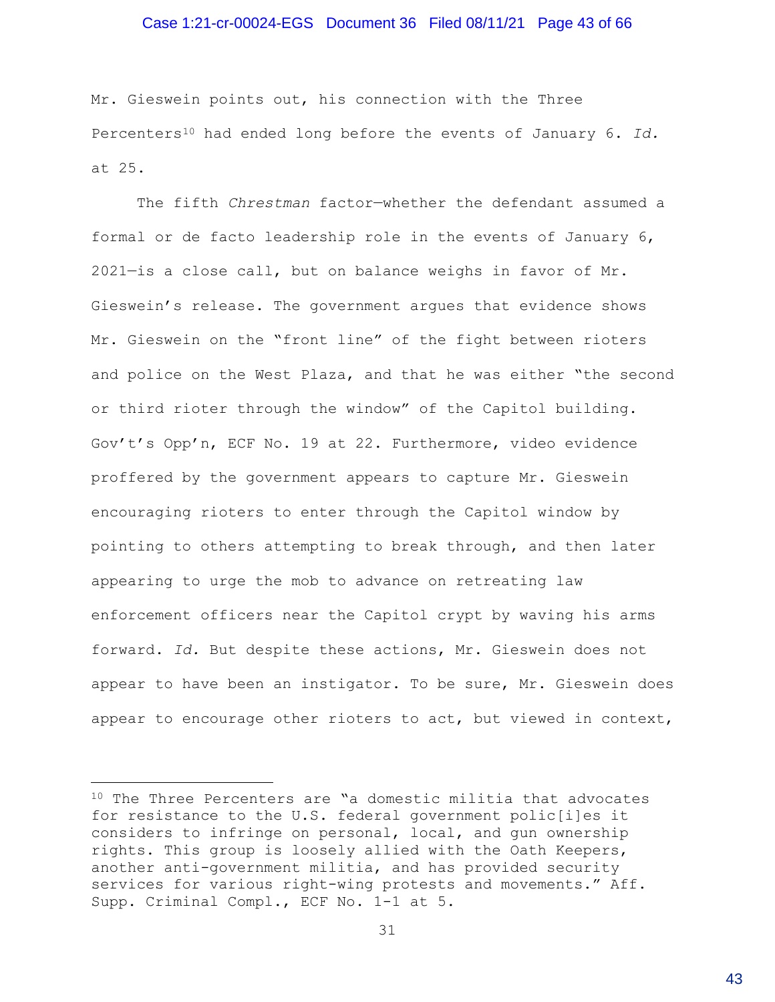#### Case 1:21-cr-00024-EGS Document 36 Filed 08/11/21 Page 43 of 66

Mr. Gieswein points out, his connection with the Three Percenters<sup>10</sup> had ended long before the events of January 6. *Id.* at 25.

The fifth *Chrestman* factor—whether the defendant assumed a formal or de facto leadership role in the events of January 6, 2021—is a close call, but on balance weighs in favor of Mr. Gieswein's release. The government argues that evidence shows Mr. Gieswein on the "front line" of the fight between rioters and police on the West Plaza, and that he was either "the second or third rioter through the window" of the Capitol building. Gov't's Opp'n, ECF No. 19 at 22. Furthermore, video evidence proffered by the government appears to capture Mr. Gieswein encouraging rioters to enter through the Capitol window by pointing to others attempting to break through, and then later appearing to urge the mob to advance on retreating law enforcement officers near the Capitol crypt by waving his arms forward. *Id.* But despite these actions, Mr. Gieswein does not appear to have been an instigator. To be sure, Mr. Gieswein does appear to encourage other rioters to act, but viewed in context,

<sup>10</sup> The Three Percenters are "a domestic militia that advocates for resistance to the U.S. federal government polic[i]es it considers to infringe on personal, local, and gun ownership rights. This group is loosely allied with the Oath Keepers, another anti-government militia, and has provided security services for various right-wing protests and movements." Aff. Supp. Criminal Compl., ECF No. 1-1 at 5.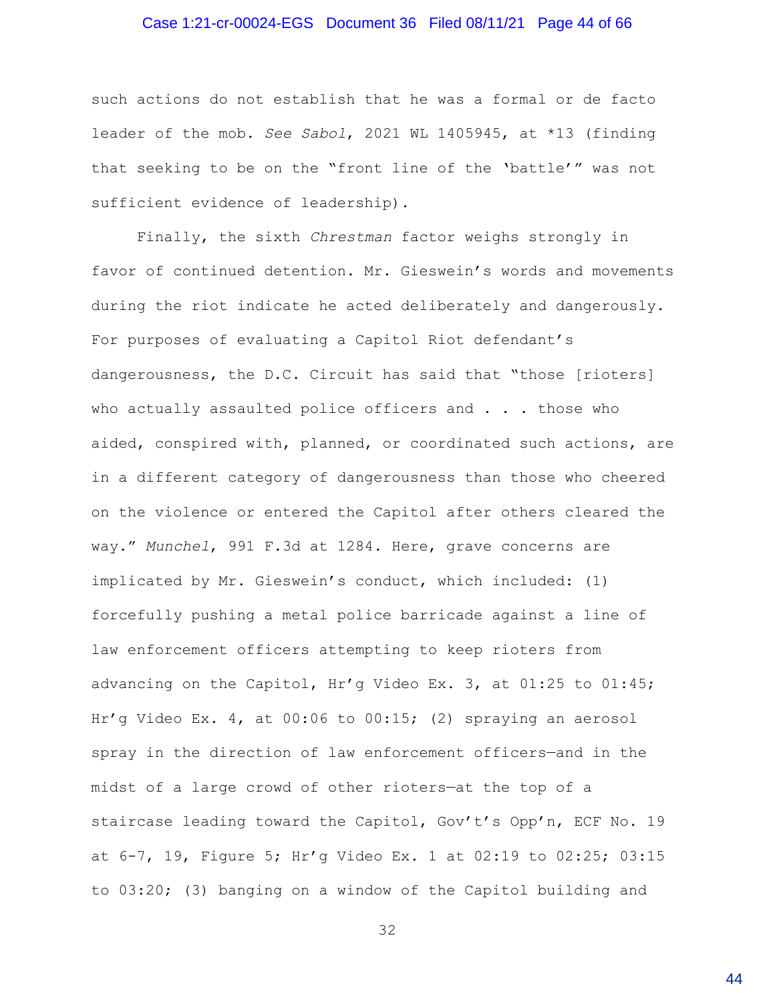### Case 1:21-cr-00024-EGS Document 36 Filed 08/11/21 Page 44 of 66

such actions do not establish that he was a formal or de facto leader of the mob. *See Sabol*, 2021 WL 1405945, at \*13 (finding that seeking to be on the "front line of the 'battle'" was not sufficient evidence of leadership).

Finally, the sixth *Chrestman* factor weighs strongly in favor of continued detention. Mr. Gieswein's words and movements during the riot indicate he acted deliberately and dangerously. For purposes of evaluating a Capitol Riot defendant's dangerousness, the D.C. Circuit has said that "those [rioters] who actually assaulted police officers and . . . those who aided, conspired with, planned, or coordinated such actions, are in a different category of dangerousness than those who cheered on the violence or entered the Capitol after others cleared the way." *Munchel*, 991 F.3d at 1284. Here, grave concerns are implicated by Mr. Gieswein's conduct, which included: (1) forcefully pushing a metal police barricade against a line of law enforcement officers attempting to keep rioters from advancing on the Capitol, Hr'g Video Ex. 3, at 01:25 to 01:45; Hr'g Video Ex. 4, at 00:06 to 00:15; (2) spraying an aerosol spray in the direction of law enforcement officers—and in the midst of a large crowd of other rioters—at the top of a staircase leading toward the Capitol, Gov't's Opp'n, ECF No. 19 at 6-7, 19, Figure 5; Hr'g Video Ex. 1 at 02:19 to 02:25; 03:15 to 03:20; (3) banging on a window of the Capitol building and

32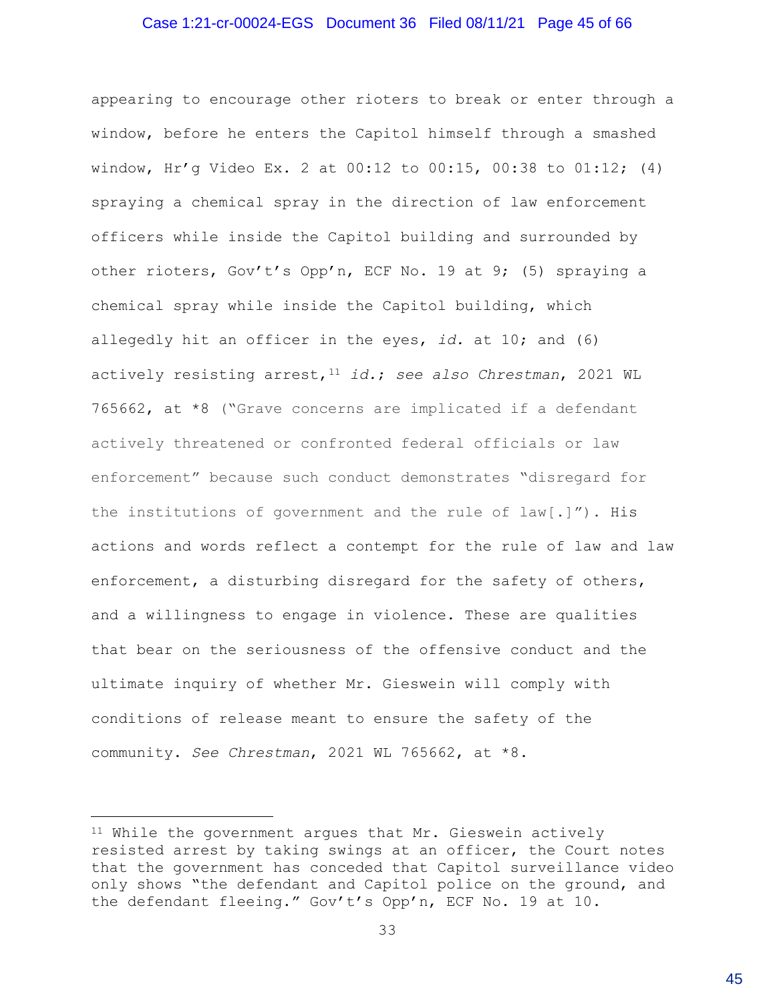#### Case 1:21-cr-00024-EGS Document 36 Filed 08/11/21 Page 45 of 66

actively threatened or confronted federal officials or law enforcement" because such conduct demonstrates "disregard for the institutions of government and the rule of law[.]"). His actions and words reflect a contempt for the rule of law and law enforcement, a disturbing disregard for the safety of others, and a willingness to engage in violence. These are qualities that bear on the seriousness of the offensive conduct and the ultimate inquiry of whether Mr. Gieswein will comply with conditions of release meant to ensure the safety of the community. *See Chrestman*, 2021 WL 765662, at \*8. appearing to encourage other rioters to break or enter through a window, before he enters the Capitol himself through a smashed window, Hr'g Video Ex. 2 at 00:12 to 00:15, 00:38 to 01:12; (4) spraying a chemical spray in the direction of law enforcement officers while inside the Capitol building and surrounded by other rioters, Gov't's Opp'n, ECF No. 19 at 9; (5) spraying a chemical spray while inside the Capitol building, which allegedly hit an officer in the eyes, *id.* at 10; and (6) actively resisting arrest,<sup>11</sup> *id.*; *see also Chrestman*, 2021 WL 765662, at \*8 ("Grave concerns are implicated if a defendant

<sup>11</sup> While the government argues that Mr. Gieswein actively resisted arrest by taking swings at an officer, the Court notes that the government has conceded that Capitol surveillance video only shows "the defendant and Capitol police on the ground, and the defendant fleeing." Gov't's Opp'n, ECF No. 19 at 10.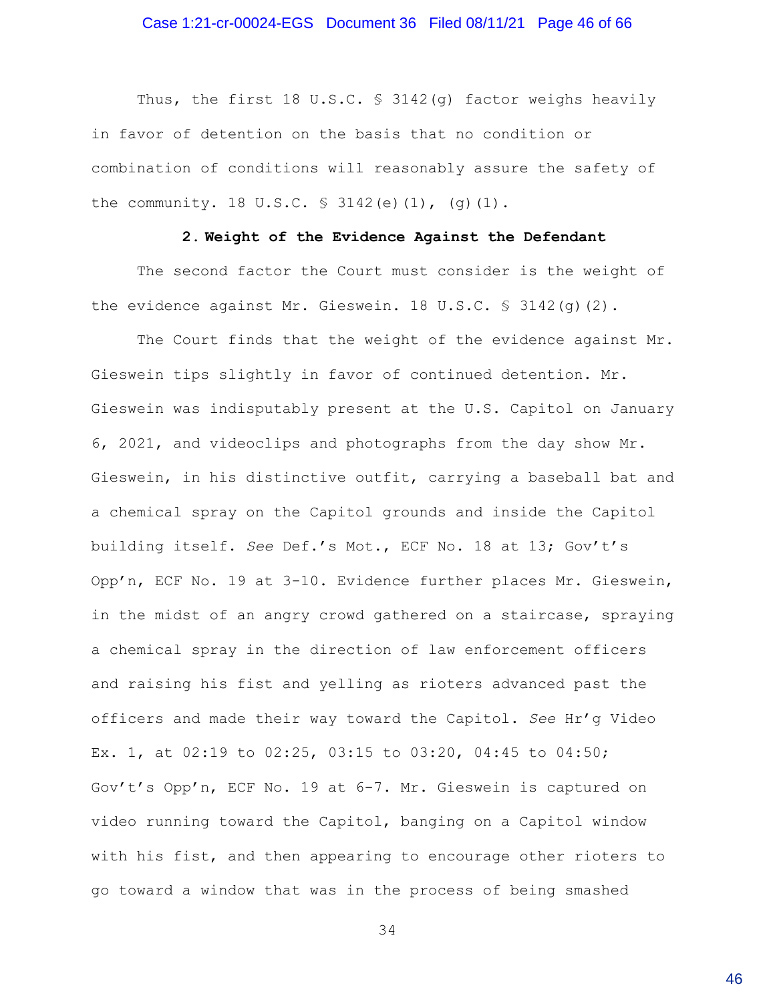#### Case 1:21-cr-00024-EGS Document 36 Filed 08/11/21 Page 46 of 66

Thus, the first 18 U.S.C. § 3142(q) factor weighs heavily in favor of detention on the basis that no condition or combination of conditions will reasonably assure the safety of the community. 18 U.S.C. § 3142(e)(1), (g)(1).

#### **2. Weight of the Evidence Against the Defendant**

The second factor the Court must consider is the weight of the evidence against Mr. Gieswein. 18 U.S.C. § 3142(g)(2).

The Court finds that the weight of the evidence against Mr. Gieswein tips slightly in favor of continued detention. Mr. Gieswein was indisputably present at the U.S. Capitol on January 6, 2021, and videoclips and photographs from the day show Mr. Gieswein, in his distinctive outfit, carrying a baseball bat and a chemical spray on the Capitol grounds and inside the Capitol building itself. *See* Def.'s Mot., ECF No. 18 at 13; Gov't's Opp'n, ECF No. 19 at 3-10. Evidence further places Mr. Gieswein, in the midst of an angry crowd gathered on a staircase, spraying a chemical spray in the direction of law enforcement officers and raising his fist and yelling as rioters advanced past the officers and made their way toward the Capitol. *See* Hr'g Video Ex. 1, at 02:19 to 02:25, 03:15 to 03:20, 04:45 to 04:50; Gov't's Opp'n, ECF No. 19 at 6-7. Mr. Gieswein is captured on video running toward the Capitol, banging on a Capitol window with his fist, and then appearing to encourage other rioters to go toward a window that was in the process of being smashed

34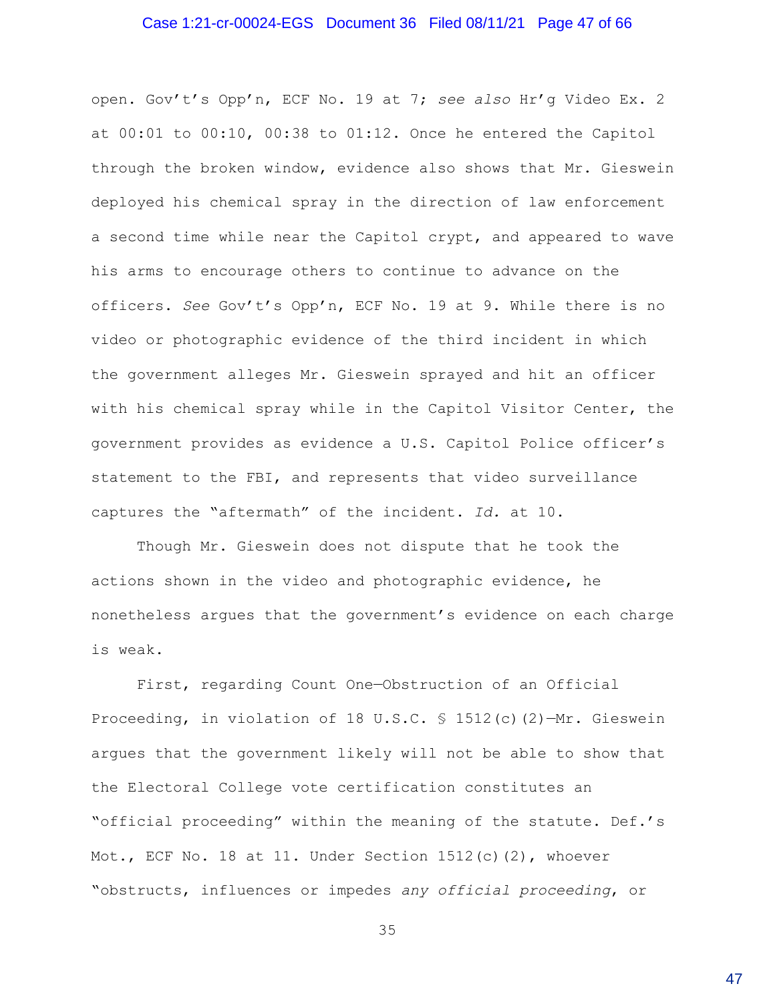#### Case 1:21-cr-00024-EGS Document 36 Filed 08/11/21 Page 47 of 66

open. Gov't's Opp'n, ECF No. 19 at 7; *see also* Hr'g Video Ex. 2 at 00:01 to 00:10, 00:38 to 01:12. Once he entered the Capitol through the broken window, evidence also shows that Mr. Gieswein deployed his chemical spray in the direction of law enforcement a second time while near the Capitol crypt, and appeared to wave his arms to encourage others to continue to advance on the officers. *See* Gov't's Opp'n, ECF No. 19 at 9. While there is no video or photographic evidence of the third incident in which the government alleges Mr. Gieswein sprayed and hit an officer with his chemical spray while in the Capitol Visitor Center, the government provides as evidence a U.S. Capitol Police officer's statement to the FBI, and represents that video surveillance captures the "aftermath" of the incident. *Id.* at 10.

Though Mr. Gieswein does not dispute that he took the actions shown in the video and photographic evidence, he nonetheless argues that the government's evidence on each charge is weak.

First, regarding Count One—Obstruction of an Official Proceeding, in violation of 18 U.S.C. § 1512(c)(2)—Mr. Gieswein argues that the government likely will not be able to show that the Electoral College vote certification constitutes an "official proceeding" within the meaning of the statute. Def.'s Mot., ECF No. 18 at 11. Under Section 1512(c)(2), whoever "obstructs, influences or impedes *any official proceeding*, or

35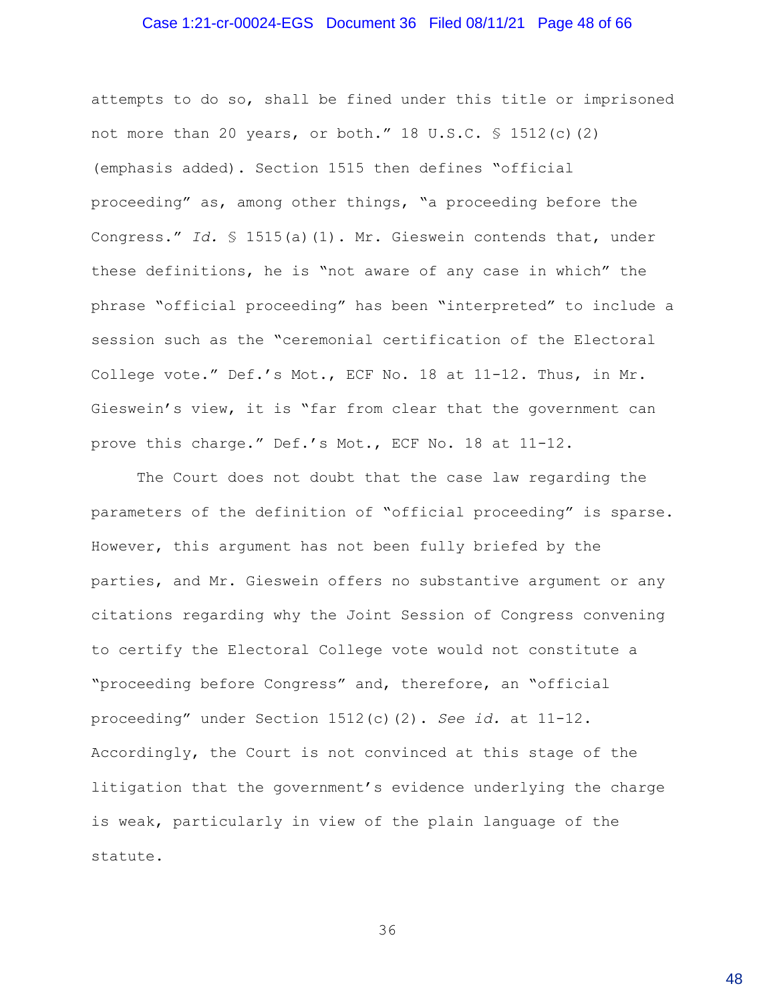#### Case 1:21-cr-00024-EGS Document 36 Filed 08/11/21 Page 48 of 66

attempts to do so, shall be fined under this title or imprisoned not more than 20 years, or both." 18 U.S.C. § 1512(c)(2) (emphasis added). Section 1515 then defines "official proceeding" as, among other things, "a proceeding before the Congress." *Id.* § 1515(a)(1). Mr. Gieswein contends that, under these definitions, he is "not aware of any case in which" the phrase "official proceeding" has been "interpreted" to include a session such as the "ceremonial certification of the Electoral College vote." Def.'s Mot., ECF No. 18 at 11-12. Thus, in Mr. Gieswein's view, it is "far from clear that the government can prove this charge." Def.'s Mot., ECF No. 18 at 11-12.

The Court does not doubt that the case law regarding the parameters of the definition of "official proceeding" is sparse. However, this argument has not been fully briefed by the parties, and Mr. Gieswein offers no substantive argument or any citations regarding why the Joint Session of Congress convening to certify the Electoral College vote would not constitute a "proceeding before Congress" and, therefore, an "official proceeding" under Section 1512(c)(2). *See id.* at 11-12. Accordingly, the Court is not convinced at this stage of the litigation that the government's evidence underlying the charge is weak, particularly in view of the plain language of the statute.

36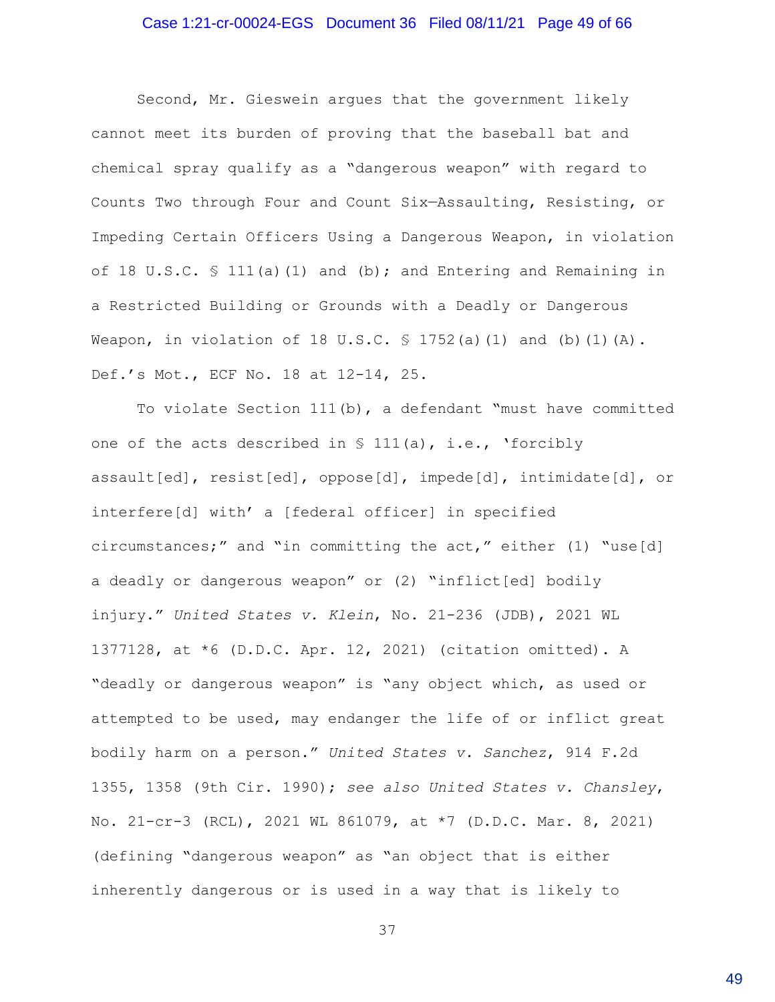### Case 1:21-cr-00024-EGS Document 36 Filed 08/11/21 Page 49 of 66

Second, Mr. Gieswein argues that the government likely cannot meet its burden of proving that the baseball bat and chemical spray qualify as a "dangerous weapon" with regard to Counts Two through Four and Count Six—Assaulting, Resisting, or Impeding Certain Officers Using a Dangerous Weapon, in violation of 18 U.S.C. § 111(a)(1) and (b); and Entering and Remaining in a Restricted Building or Grounds with a Deadly or Dangerous Weapon, in violation of 18 U.S.C.  $\frac{1752}{a}(a)(1)$  and (b)(1)(A). Def.'s Mot., ECF No. 18 at 12-14, 25.

To violate Section 111(b), a defendant "must have committed one of the acts described in  $\S$  111(a), i.e., 'forcibly assault[ed], resist[ed], oppose[d], impede[d], intimidate[d], or interfere[d] with' a [federal officer] in specified circumstances;" and "in committing the act," either (1) "use[d] a deadly or dangerous weapon" or (2) "inflict[ed] bodily injury." *United States v. Klein*, No. 21-236 (JDB), 2021 WL 1377128, at \*6 (D.D.C. Apr. 12, 2021) (citation omitted). A "deadly or dangerous weapon" is "any object which, as used or attempted to be used, may endanger the life of or inflict great bodily harm on a person." *United States v. Sanchez*, 914 F.2d 1355, 1358 (9th Cir. 1990); *see also United States v. Chansley*, No. 21-cr-3 (RCL), 2021 WL 861079, at \*7 (D.D.C. Mar. 8, 2021) (defining "dangerous weapon" as "an object that is either inherently dangerous or is used in a way that is likely to

37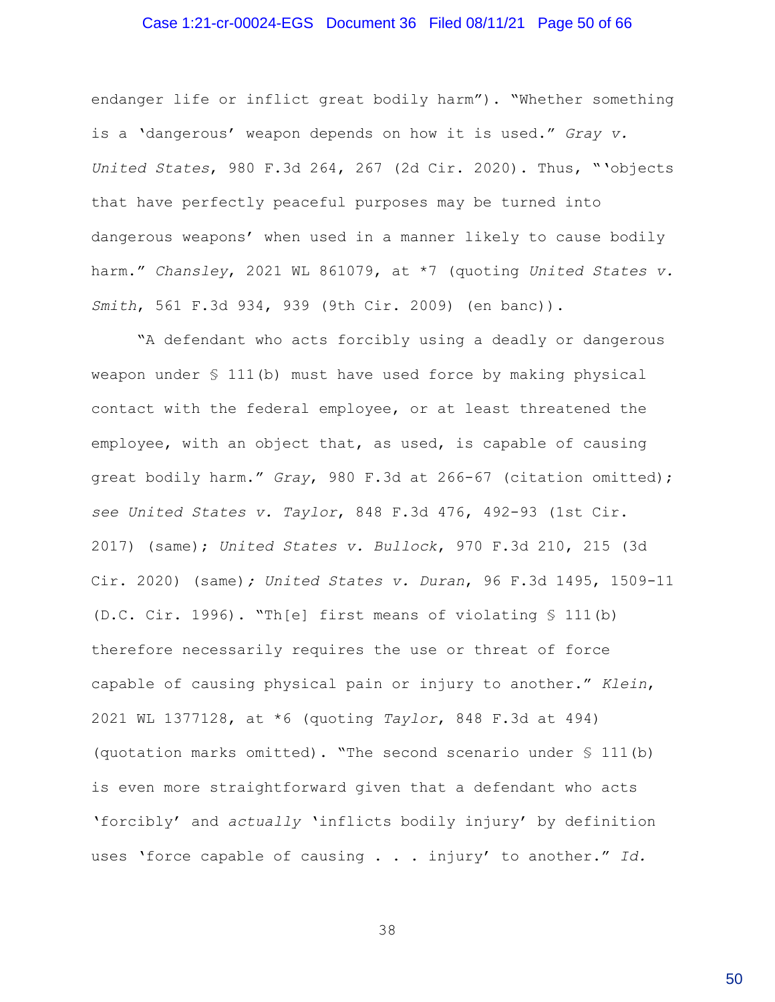#### Case 1:21-cr-00024-EGS Document 36 Filed 08/11/21 Page 50 of 66

endanger life or inflict great bodily harm"). "Whether something is a 'dangerous' weapon depends on how it is used." *Gray v. United States*, 980 F.3d 264, 267 (2d Cir. 2020). Thus, "'objects that have perfectly peaceful purposes may be turned into dangerous weapons' when used in a manner likely to cause bodily harm." *Chansley*, 2021 WL 861079, at \*7 (quoting *United States v. Smith*, 561 F.3d 934, 939 (9th Cir. 2009) (en banc)).

"A defendant who acts forcibly using a deadly or dangerous weapon under § 111(b) must have used force by making physical contact with the federal employee, or at least threatened the employee, with an object that, as used, is capable of causing great bodily harm." *Gray*, 980 F.3d at 266-67 (citation omitted); *see United States v. Taylor*, 848 F.3d 476, 492-93 (1st Cir. 2017) (same); *United States v. Bullock*, 970 F.3d 210, 215 (3d Cir. 2020) (same)*; United States v. Duran*, 96 F.3d 1495, 1509-11 (D.C. Cir. 1996). "Th[e] first means of violating § 111(b) therefore necessarily requires the use or threat of force capable of causing physical pain or injury to another." *Klein*, 2021 WL 1377128, at \*6 (quoting *Taylor*, 848 F.3d at 494) (quotation marks omitted). "The second scenario under § 111(b) is even more straightforward given that a defendant who acts 'forcibly' and *actually* 'inflicts bodily injury' by definition uses 'force capable of causing . . . injury' to another." *Id.*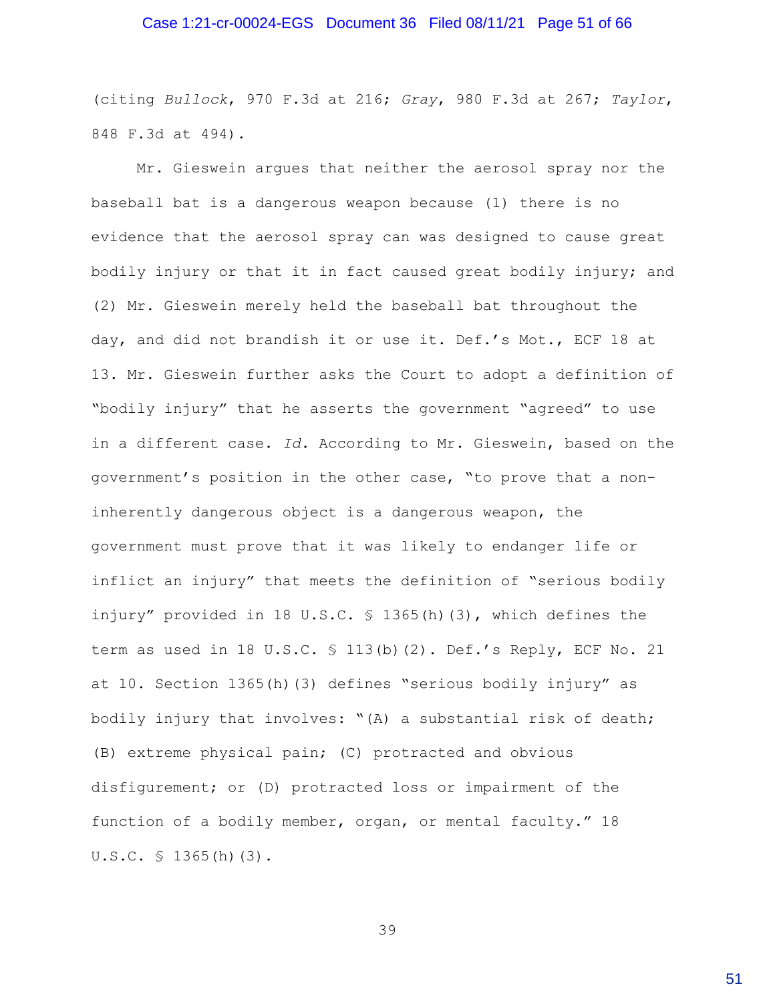#### Case 1:21-cr-00024-EGS Document 36 Filed 08/11/21 Page 51 of 66

(citing *Bullock*, 970 F.3d at 216; *Gray*, 980 F.3d at 267; *Taylor*, 848 F.3d at 494).

Mr. Gieswein argues that neither the aerosol spray nor the baseball bat is a dangerous weapon because (1) there is no evidence that the aerosol spray can was designed to cause great bodily injury or that it in fact caused great bodily injury; and (2) Mr. Gieswein merely held the baseball bat throughout the day, and did not brandish it or use it. Def.'s Mot., ECF 18 at 13. Mr. Gieswein further asks the Court to adopt a definition of "bodily injury" that he asserts the government "agreed" to use in a different case. *Id.* According to Mr. Gieswein, based on the government's position in the other case, "to prove that a noninherently dangerous object is a dangerous weapon, the government must prove that it was likely to endanger life or inflict an injury" that meets the definition of "serious bodily injury" provided in 18 U.S.C. § 1365(h)(3), which defines the term as used in 18 U.S.C. § 113(b)(2). Def.'s Reply, ECF No. 21 at 10. Section 1365(h)(3) defines "serious bodily injury" as bodily injury that involves: "(A) a substantial risk of death; (B) extreme physical pain; (C) protracted and obvious disfigurement; or (D) protracted loss or impairment of the function of a bodily member, organ, or mental faculty." 18 U.S.C. § 1365(h)(3).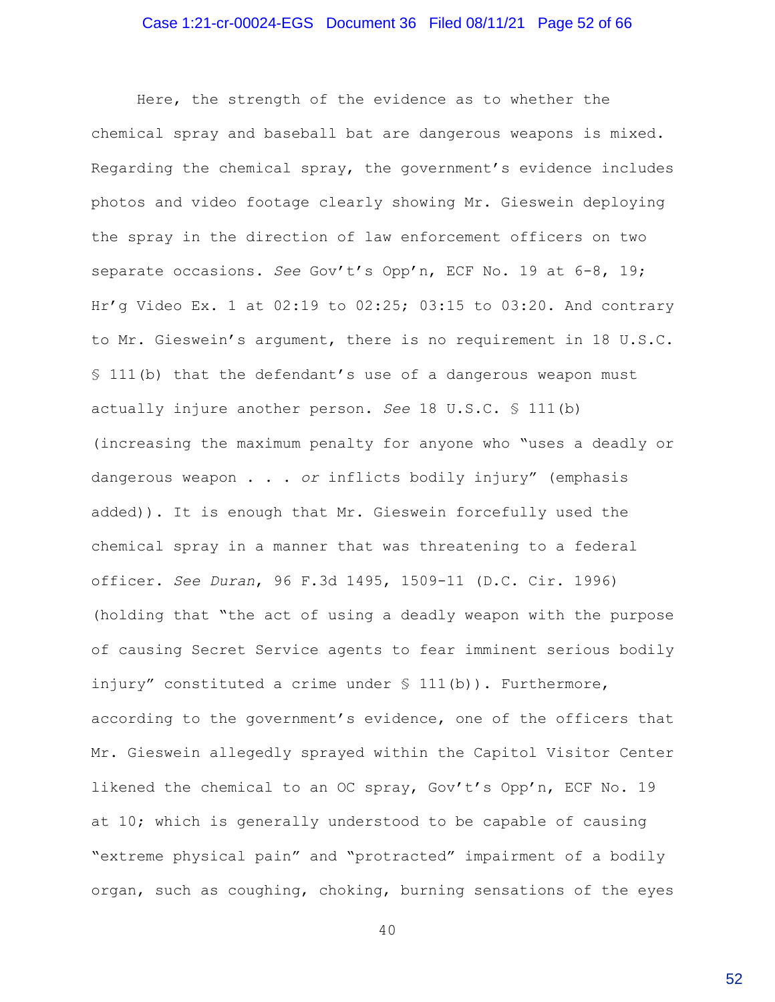Here, the strength of the evidence as to whether the chemical spray and baseball bat are dangerous weapons is mixed. Regarding the chemical spray, the government's evidence includes photos and video footage clearly showing Mr. Gieswein deploying the spray in the direction of law enforcement officers on two separate occasions. *See* Gov't's Opp'n, ECF No. 19 at 6-8, 19; Hr'g Video Ex. 1 at 02:19 to 02:25; 03:15 to 03:20. And contrary to Mr. Gieswein's argument, there is no requirement in 18 U.S.C. § 111(b) that the defendant's use of a dangerous weapon must actually injure another person. *See* 18 U.S.C. § 111(b) (increasing the maximum penalty for anyone who "uses a deadly or dangerous weapon . . . *or* inflicts bodily injury" (emphasis added)). It is enough that Mr. Gieswein forcefully used the chemical spray in a manner that was threatening to a federal officer. *See Duran*, 96 F.3d 1495, 1509-11 (D.C. Cir. 1996) (holding that "the act of using a deadly weapon with the purpose of causing Secret Service agents to fear imminent serious bodily injury" constituted a crime under § 111(b)). Furthermore, according to the government's evidence, one of the officers that Mr. Gieswein allegedly sprayed within the Capitol Visitor Center likened the chemical to an OC spray, Gov't's Opp'n, ECF No. 19 at 10; which is generally understood to be capable of causing "extreme physical pain" and "protracted" impairment of a bodily organ, such as coughing, choking, burning sensations of the eyes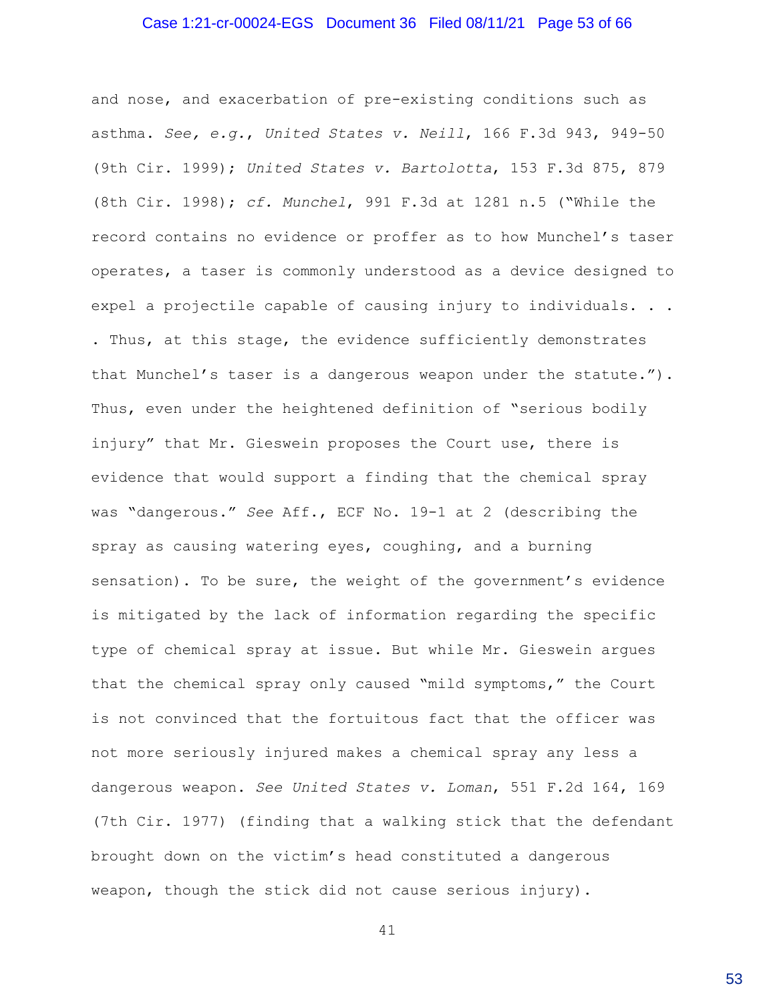#### Case 1:21-cr-00024-EGS Document 36 Filed 08/11/21 Page 53 of 66

and nose, and exacerbation of pre-existing conditions such as asthma. *See, e.g.*, *United States v. Neill*, 166 F.3d 943, 949-50 (9th Cir. 1999); *United States v. Bartolotta*, 153 F.3d 875, 879 (8th Cir. 1998); *cf. Munchel*, 991 F.3d at 1281 n.5 ("While the record contains no evidence or proffer as to how Munchel's taser operates, a taser is commonly understood as a device designed to expel a projectile capable of causing injury to individuals. . . . Thus, at this stage, the evidence sufficiently demonstrates that Munchel's taser is a dangerous weapon under the statute."). Thus, even under the heightened definition of "serious bodily injury" that Mr. Gieswein proposes the Court use, there is evidence that would support a finding that the chemical spray was "dangerous." *See* Aff., ECF No. 19-1 at 2 (describing the spray as causing watering eyes, coughing, and a burning sensation). To be sure, the weight of the government's evidence is mitigated by the lack of information regarding the specific type of chemical spray at issue. But while Mr. Gieswein argues that the chemical spray only caused "mild symptoms," the Court is not convinced that the fortuitous fact that the officer was not more seriously injured makes a chemical spray any less a dangerous weapon. *See United States v. Loman*, 551 F.2d 164, 169 (7th Cir. 1977) (finding that a walking stick that the defendant brought down on the victim's head constituted a dangerous weapon, though the stick did not cause serious injury).

41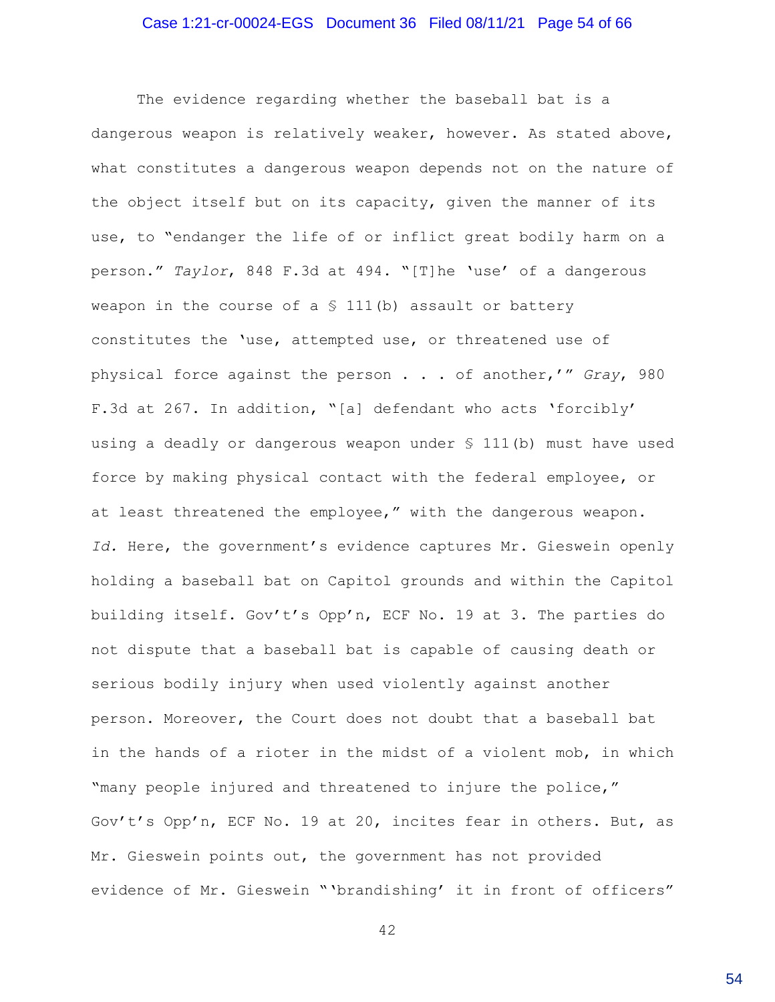#### Case 1:21-cr-00024-EGS Document 36 Filed 08/11/21 Page 54 of 66

The evidence regarding whether the baseball bat is a dangerous weapon is relatively weaker, however. As stated above, what constitutes a dangerous weapon depends not on the nature of the object itself but on its capacity, given the manner of its use, to "endanger the life of or inflict great bodily harm on a person." *Taylor*, 848 F.3d at 494. "[T]he 'use' of a dangerous weapon in the course of a  $\frac{111(b)}{b}$  assault or battery constitutes the 'use, attempted use, or threatened use of physical force against the person . . . of another,'" *Gray*, 980 F.3d at 267. In addition, "[a] defendant who acts 'forcibly' using a deadly or dangerous weapon under § 111(b) must have used force by making physical contact with the federal employee, or at least threatened the employee," with the dangerous weapon. *Id.* Here, the government's evidence captures Mr. Gieswein openly holding a baseball bat on Capitol grounds and within the Capitol building itself. Gov't's Opp'n, ECF No. 19 at 3. The parties do not dispute that a baseball bat is capable of causing death or serious bodily injury when used violently against another person. Moreover, the Court does not doubt that a baseball bat in the hands of a rioter in the midst of a violent mob, in which "many people injured and threatened to injure the police," Gov't's Opp'n, ECF No. 19 at 20, incites fear in others. But, as Mr. Gieswein points out, the government has not provided evidence of Mr. Gieswein "'brandishing' it in front of officers"

42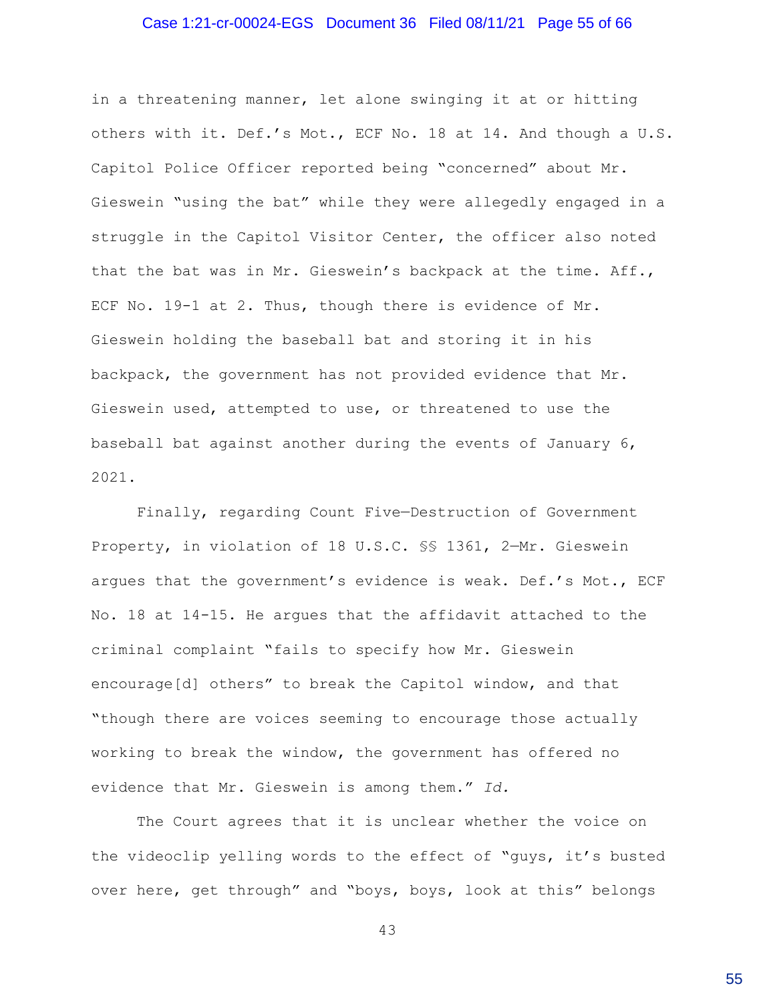#### Case 1:21-cr-00024-EGS Document 36 Filed 08/11/21 Page 55 of 66

in a threatening manner, let alone swinging it at or hitting others with it. Def.'s Mot., ECF No. 18 at 14. And though a U.S. Capitol Police Officer reported being "concerned" about Mr. Gieswein "using the bat" while they were allegedly engaged in a struggle in the Capitol Visitor Center, the officer also noted that the bat was in Mr. Gieswein's backpack at the time. Aff., ECF No. 19-1 at 2. Thus, though there is evidence of Mr. Gieswein holding the baseball bat and storing it in his backpack, the government has not provided evidence that Mr. Gieswein used, attempted to use, or threatened to use the baseball bat against another during the events of January 6, 2021.

Finally, regarding Count Five—Destruction of Government Property, in violation of 18 U.S.C. §§ 1361, 2—Mr. Gieswein argues that the government's evidence is weak. Def.'s Mot., ECF No. 18 at 14-15. He argues that the affidavit attached to the criminal complaint "fails to specify how Mr. Gieswein encourage[d] others" to break the Capitol window, and that "though there are voices seeming to encourage those actually working to break the window, the government has offered no evidence that Mr. Gieswein is among them." *Id.*

The Court agrees that it is unclear whether the voice on the videoclip yelling words to the effect of "guys, it's busted over here, get through" and "boys, boys, look at this" belongs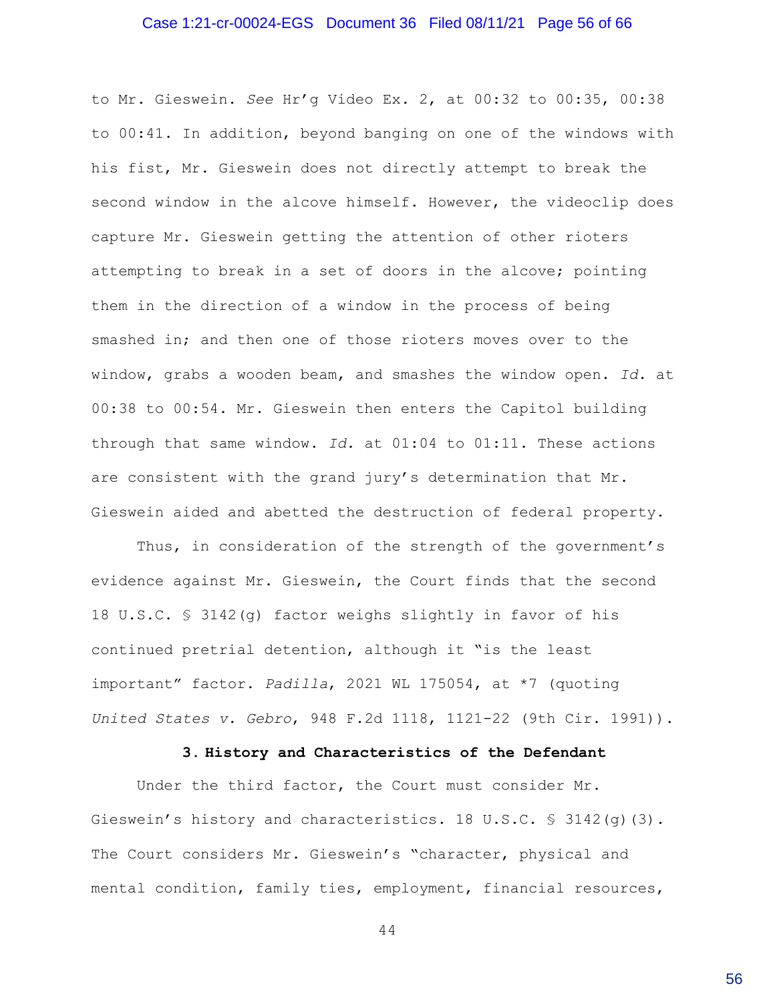#### Case 1:21-cr-00024-EGS Document 36 Filed 08/11/21 Page 56 of 66

to Mr. Gieswein. *See* Hr'g Video Ex. 2, at 00:32 to 00:35, 00:38 to 00:41. In addition, beyond banging on one of the windows with his fist, Mr. Gieswein does not directly attempt to break the second window in the alcove himself. However, the videoclip does capture Mr. Gieswein getting the attention of other rioters attempting to break in a set of doors in the alcove; pointing them in the direction of a window in the process of being smashed in; and then one of those rioters moves over to the window, grabs a wooden beam, and smashes the window open. *Id.* at 00:38 to 00:54. Mr. Gieswein then enters the Capitol building through that same window. *Id.* at 01:04 to 01:11. These actions are consistent with the grand jury's determination that Mr. Gieswein aided and abetted the destruction of federal property.

Thus, in consideration of the strength of the government's evidence against Mr. Gieswein, the Court finds that the second 18 U.S.C. § 3142(g) factor weighs slightly in favor of his continued pretrial detention, although it "is the least important" factor. *Padilla*, 2021 WL 175054, at \*7 (quoting *United States v. Gebro*, 948 F.2d 1118, 1121-22 (9th Cir. 1991)).

### **3. History and Characteristics of the Defendant**

Under the third factor, the Court must consider Mr. Gieswein's history and characteristics. 18 U.S.C. § 3142(g)(3). The Court considers Mr. Gieswein's "character, physical and mental condition, family ties, employment, financial resources,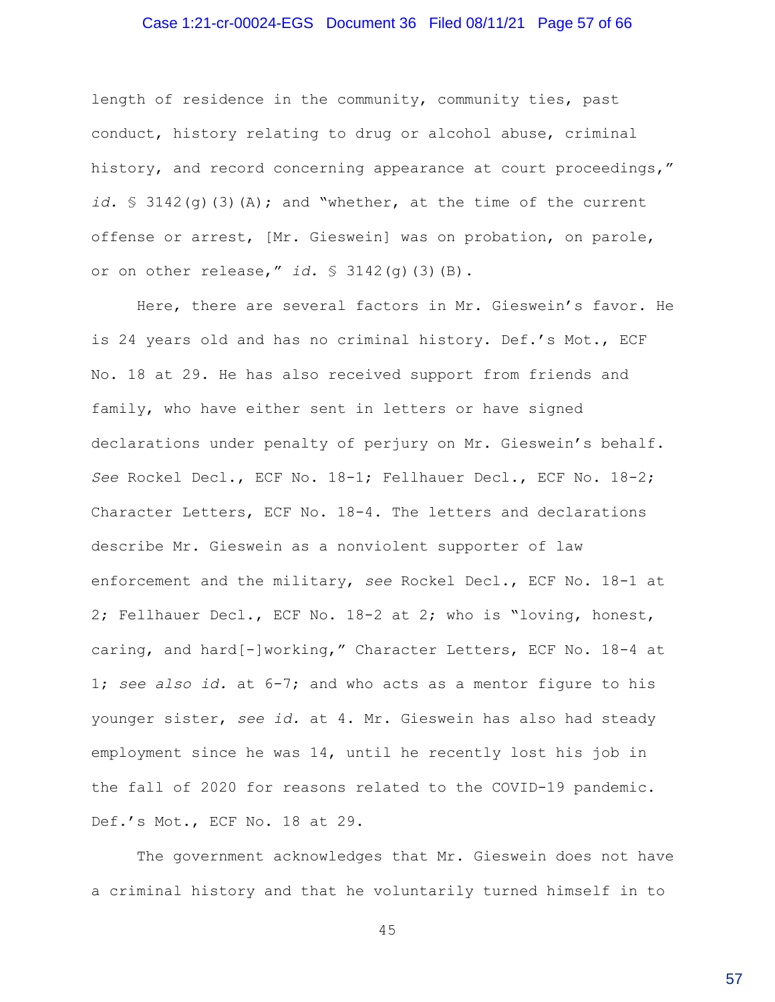### Case 1:21-cr-00024-EGS Document 36 Filed 08/11/21 Page 57 of 66

length of residence in the community, community ties, past conduct, history relating to drug or alcohol abuse, criminal history, and record concerning appearance at court proceedings," *id.* § 3142(g)(3)(A); and "whether, at the time of the current offense or arrest, [Mr. Gieswein] was on probation, on parole, or on other release," *id.* § 3142(g)(3)(B).

Here, there are several factors in Mr. Gieswein's favor. He is 24 years old and has no criminal history. Def.'s Mot., ECF No. 18 at 29. He has also received support from friends and family, who have either sent in letters or have signed declarations under penalty of perjury on Mr. Gieswein's behalf. *See* Rockel Decl., ECF No. 18-1; Fellhauer Decl., ECF No. 18-2; Character Letters, ECF No. 18-4. The letters and declarations describe Mr. Gieswein as a nonviolent supporter of law enforcement and the military, *see* Rockel Decl., ECF No. 18-1 at 2; Fellhauer Decl., ECF No. 18-2 at 2; who is "loving, honest, caring, and hard[-]working," Character Letters, ECF No. 18-4 at 1; *see also id.* at 6-7; and who acts as a mentor figure to his younger sister, *see id.* at 4. Mr. Gieswein has also had steady employment since he was 14, until he recently lost his job in the fall of 2020 for reasons related to the COVID-19 pandemic. Def.'s Mot., ECF No. 18 at 29.

The government acknowledges that Mr. Gieswein does not have a criminal history and that he voluntarily turned himself in to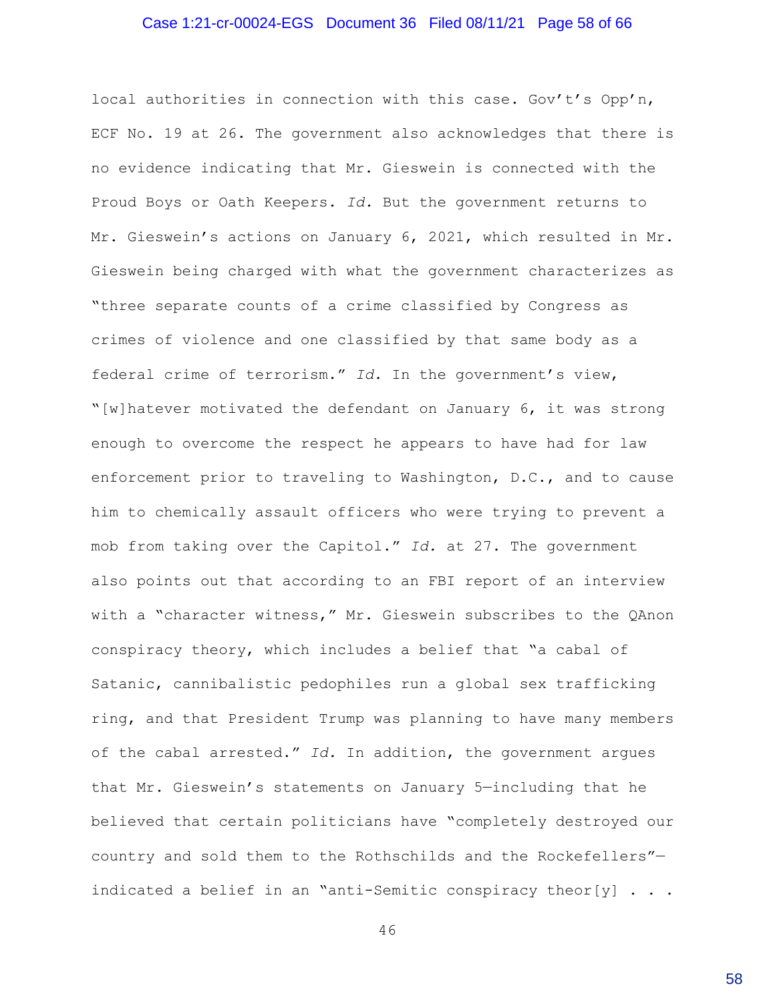#### Case 1:21-cr-00024-EGS Document 36 Filed 08/11/21 Page 58 of 66

local authorities in connection with this case. Gov't's Opp'n, ECF No. 19 at 26. The government also acknowledges that there is no evidence indicating that Mr. Gieswein is connected with the Proud Boys or Oath Keepers. *Id.* But the government returns to Mr. Gieswein's actions on January 6, 2021, which resulted in Mr. Gieswein being charged with what the government characterizes as "three separate counts of a crime classified by Congress as crimes of violence and one classified by that same body as a federal crime of terrorism." *Id.* In the government's view, "[w]hatever motivated the defendant on January 6, it was strong enough to overcome the respect he appears to have had for law enforcement prior to traveling to Washington, D.C., and to cause him to chemically assault officers who were trying to prevent a mob from taking over the Capitol." *Id.* at 27. The government also points out that according to an FBI report of an interview with a "character witness," Mr. Gieswein subscribes to the QAnon conspiracy theory, which includes a belief that "a cabal of Satanic, cannibalistic pedophiles run a global sex trafficking ring, and that President Trump was planning to have many members of the cabal arrested." *Id.* In addition, the government argues that Mr. Gieswein's statements on January 5—including that he believed that certain politicians have "completely destroyed our country and sold them to the Rothschilds and the Rockefellers" indicated a belief in an "anti-Semitic conspiracy theor[y]  $\ldots$ .

46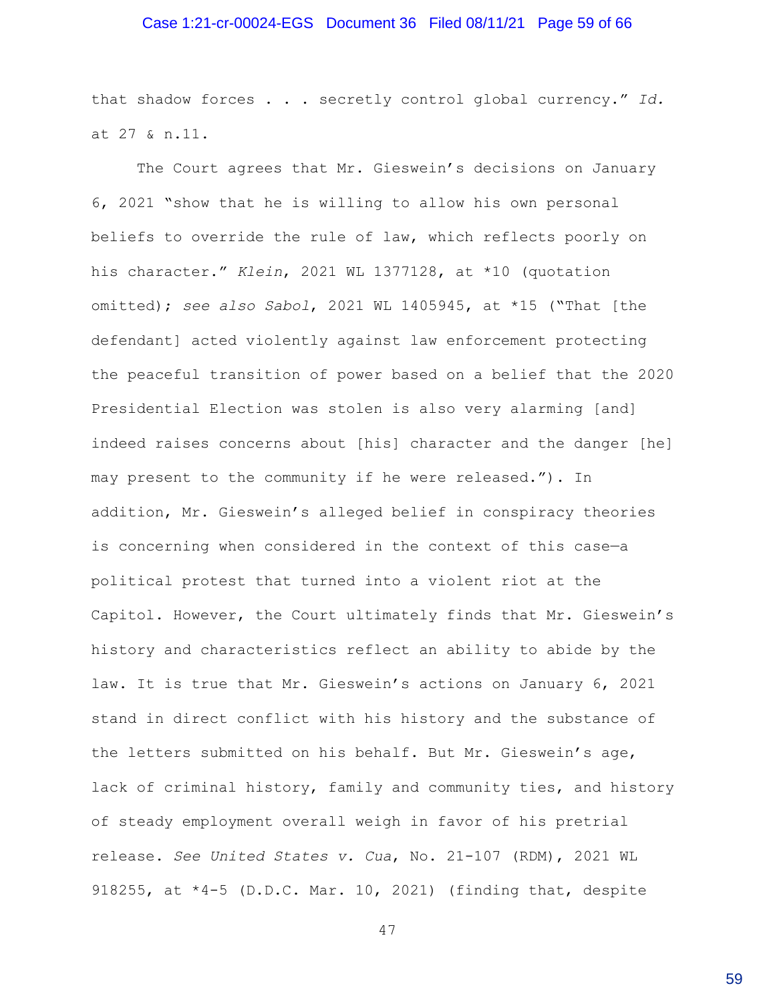### Case 1:21-cr-00024-EGS Document 36 Filed 08/11/21 Page 59 of 66

that shadow forces . . . secretly control global currency." *Id.* at 27 & n.11.

The Court agrees that Mr. Gieswein's decisions on January 6, 2021 "show that he is willing to allow his own personal beliefs to override the rule of law, which reflects poorly on his character." *Klein*, 2021 WL 1377128, at \*10 (quotation omitted); *see also Sabol*, 2021 WL 1405945, at \*15 ("That [the defendant] acted violently against law enforcement protecting the peaceful transition of power based on a belief that the 2020 Presidential Election was stolen is also very alarming [and] indeed raises concerns about [his] character and the danger [he] may present to the community if he were released."). In addition, Mr. Gieswein's alleged belief in conspiracy theories is concerning when considered in the context of this case—a political protest that turned into a violent riot at the Capitol. However, the Court ultimately finds that Mr. Gieswein's history and characteristics reflect an ability to abide by the law. It is true that Mr. Gieswein's actions on January 6, 2021 stand in direct conflict with his history and the substance of the letters submitted on his behalf. But Mr. Gieswein's age, lack of criminal history, family and community ties, and history of steady employment overall weigh in favor of his pretrial release. *See United States v. Cua*, No. 21-107 (RDM), 2021 WL 918255, at \*4-5 (D.D.C. Mar. 10, 2021) (finding that, despite

47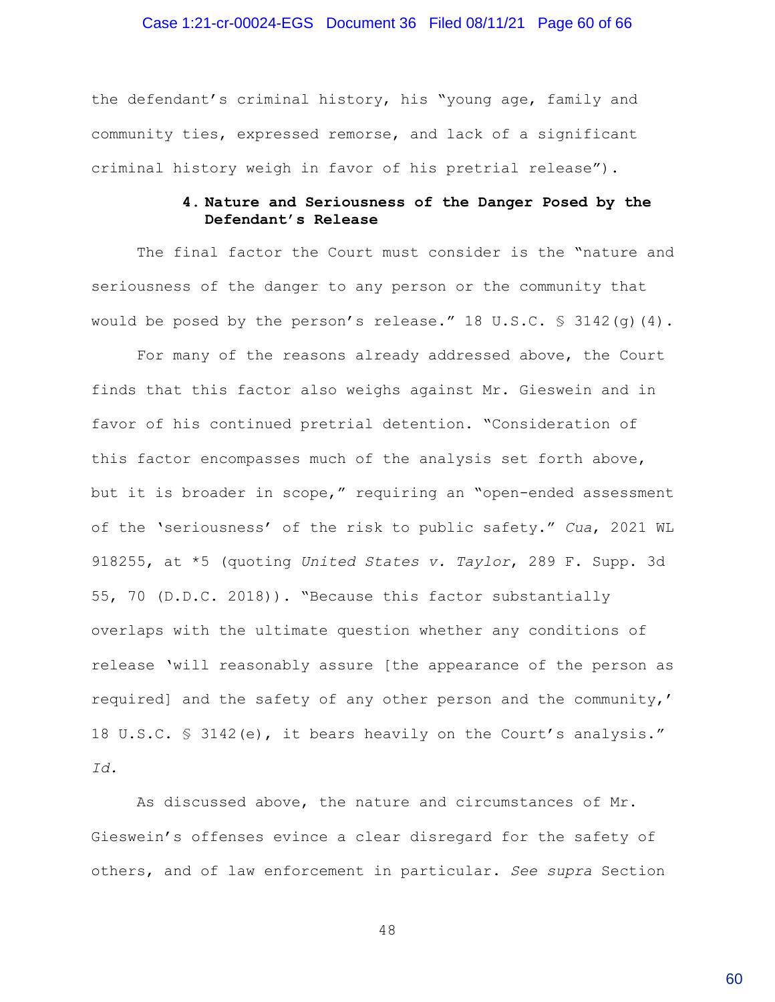#### Case 1:21-cr-00024-EGS Document 36 Filed 08/11/21 Page 60 of 66

the defendant's criminal history, his "young age, family and community ties, expressed remorse, and lack of a significant criminal history weigh in favor of his pretrial release").

# **4. Nature and Seriousness of the Danger Posed by the Defendant's Release**

The final factor the Court must consider is the "nature and seriousness of the danger to any person or the community that would be posed by the person's release." 18 U.S.C.  $\frac{1}{5}$  3142(q)(4).

For many of the reasons already addressed above, the Court finds that this factor also weighs against Mr. Gieswein and in favor of his continued pretrial detention. "Consideration of this factor encompasses much of the analysis set forth above, but it is broader in scope," requiring an "open-ended assessment of the 'seriousness' of the risk to public safety." *Cua*, 2021 WL 918255, at \*5 (quoting *United States v. Taylor*, 289 F. Supp. 3d 55, 70 (D.D.C. 2018)). "Because this factor substantially overlaps with the ultimate question whether any conditions of release 'will reasonably assure [the appearance of the person as required] and the safety of any other person and the community,' 18 U.S.C. § 3142(e), it bears heavily on the Court's analysis." *Id.*

As discussed above, the nature and circumstances of Mr. Gieswein's offenses evince a clear disregard for the safety of others, and of law enforcement in particular. *See supra* Section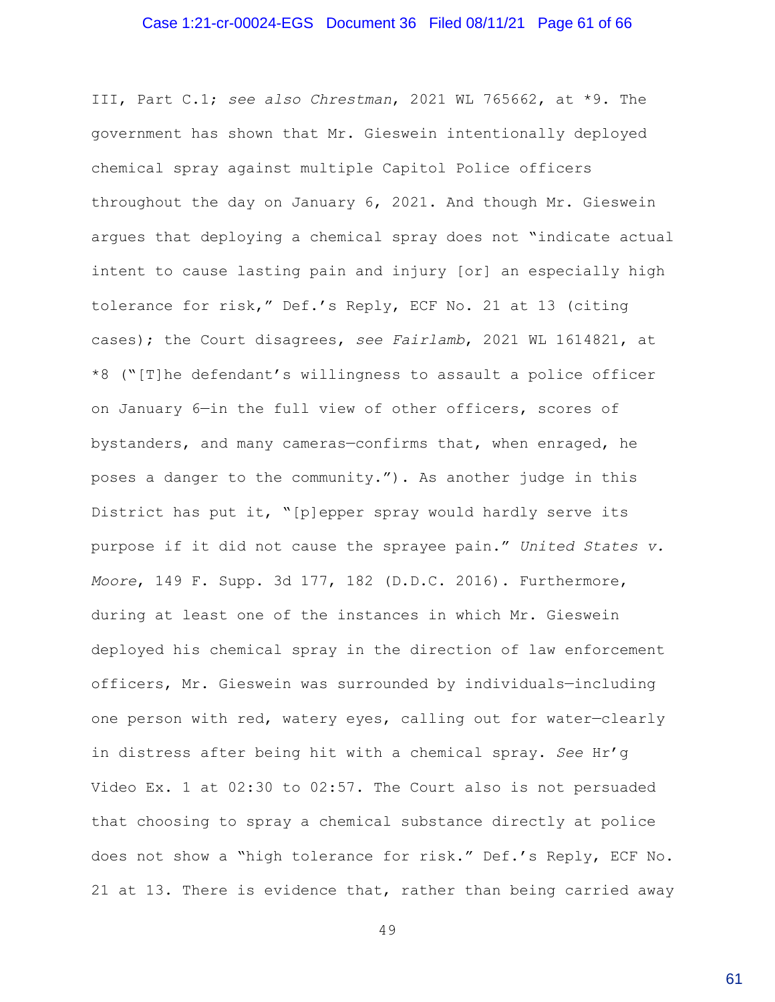#### Case 1:21-cr-00024-EGS Document 36 Filed 08/11/21 Page 61 of 66

III, Part C.1; *see also Chrestman*, 2021 WL 765662, at \*9. The government has shown that Mr. Gieswein intentionally deployed chemical spray against multiple Capitol Police officers throughout the day on January 6, 2021. And though Mr. Gieswein argues that deploying a chemical spray does not "indicate actual intent to cause lasting pain and injury [or] an especially high tolerance for risk," Def.'s Reply, ECF No. 21 at 13 (citing cases); the Court disagrees, *see Fairlamb*, 2021 WL 1614821, at \*8 ("[T]he defendant's willingness to assault a police officer on January 6—in the full view of other officers, scores of bystanders, and many cameras—confirms that, when enraged, he poses a danger to the community."). As another judge in this District has put it, "[p]epper spray would hardly serve its purpose if it did not cause the sprayee pain." *United States v. Moore*, 149 F. Supp. 3d 177, 182 (D.D.C. 2016). Furthermore, during at least one of the instances in which Mr. Gieswein deployed his chemical spray in the direction of law enforcement officers, Mr. Gieswein was surrounded by individuals—including one person with red, watery eyes, calling out for water—clearly in distress after being hit with a chemical spray. *See* Hr'g Video Ex. 1 at 02:30 to 02:57. The Court also is not persuaded that choosing to spray a chemical substance directly at police does not show a "high tolerance for risk." Def.'s Reply, ECF No. 21 at 13. There is evidence that, rather than being carried away

49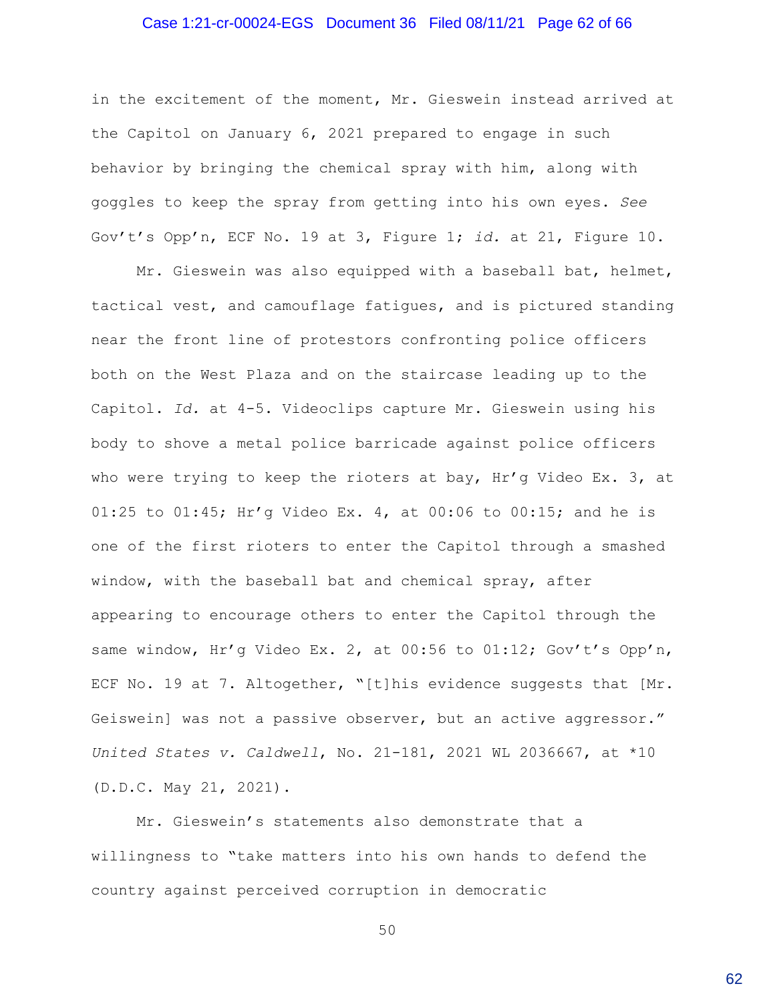#### Case 1:21-cr-00024-EGS Document 36 Filed 08/11/21 Page 62 of 66

in the excitement of the moment, Mr. Gieswein instead arrived at the Capitol on January 6, 2021 prepared to engage in such behavior by bringing the chemical spray with him, along with goggles to keep the spray from getting into his own eyes. *See* Gov't's Opp'n, ECF No. 19 at 3, Figure 1; *id.* at 21, Figure 10.

Mr. Gieswein was also equipped with a baseball bat, helmet, tactical vest, and camouflage fatigues, and is pictured standing near the front line of protestors confronting police officers both on the West Plaza and on the staircase leading up to the Capitol. *Id.* at 4-5. Videoclips capture Mr. Gieswein using his body to shove a metal police barricade against police officers who were trying to keep the rioters at bay,  $\text{Hr/g}$  Video Ex. 3, at 01:25 to 01:45; Hr'g Video Ex. 4, at 00:06 to 00:15; and he is one of the first rioters to enter the Capitol through a smashed window, with the baseball bat and chemical spray, after appearing to encourage others to enter the Capitol through the same window, Hr'g Video Ex. 2, at 00:56 to 01:12; Gov't's Opp'n, ECF No. 19 at 7. Altogether, "[t]his evidence suggests that [Mr. Geiswein] was not a passive observer, but an active aggressor." *United States v. Caldwell*, No. 21-181, 2021 WL 2036667, at \*10 (D.D.C. May 21, 2021).

Mr. Gieswein's statements also demonstrate that a willingness to "take matters into his own hands to defend the country against perceived corruption in democratic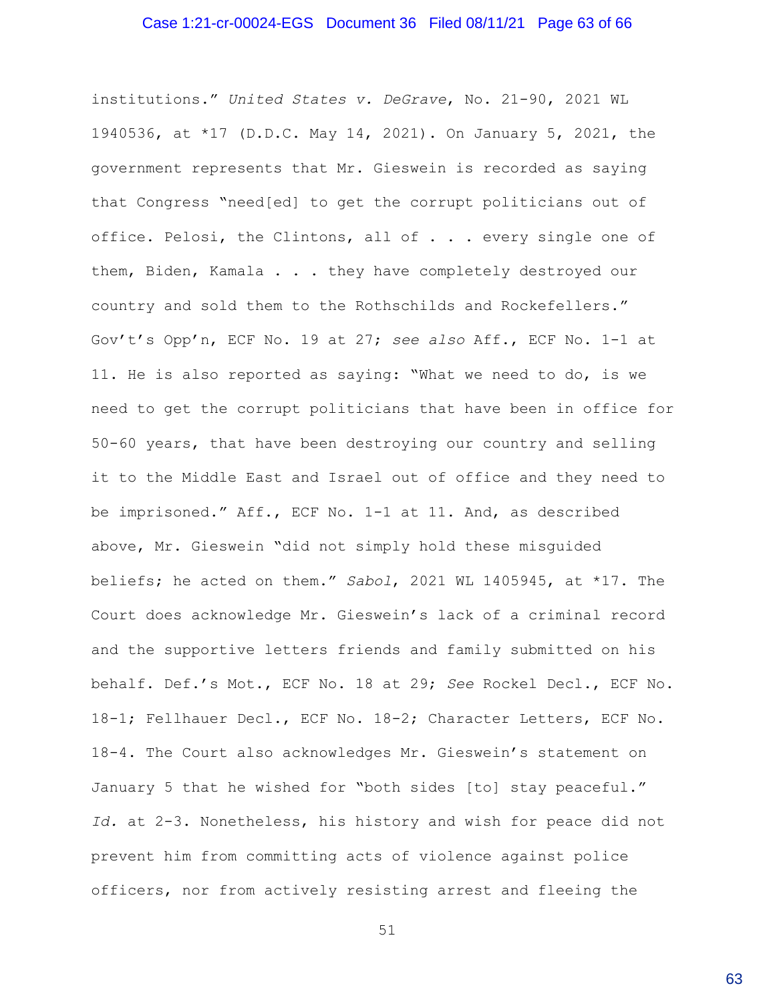#### Case 1:21-cr-00024-EGS Document 36 Filed 08/11/21 Page 63 of 66

institutions." *United States v. DeGrave*, No. 21-90, 2021 WL 1940536, at \*17 (D.D.C. May 14, 2021). On January 5, 2021, the government represents that Mr. Gieswein is recorded as saying that Congress "need[ed] to get the corrupt politicians out of office. Pelosi, the Clintons, all of . . . every single one of them, Biden, Kamala . . . they have completely destroyed our country and sold them to the Rothschilds and Rockefellers." Gov't's Opp'n, ECF No. 19 at 27; *see also* Aff., ECF No. 1-1 at 11. He is also reported as saying: "What we need to do, is we need to get the corrupt politicians that have been in office for 50-60 years, that have been destroying our country and selling it to the Middle East and Israel out of office and they need to be imprisoned." Aff., ECF No. 1-1 at 11. And, as described above, Mr. Gieswein "did not simply hold these misguided beliefs; he acted on them." *Sabol*, 2021 WL 1405945, at \*17. The Court does acknowledge Mr. Gieswein's lack of a criminal record and the supportive letters friends and family submitted on his behalf. Def.'s Mot., ECF No. 18 at 29; *See* Rockel Decl., ECF No. 18-1; Fellhauer Decl., ECF No. 18-2; Character Letters, ECF No. 18-4. The Court also acknowledges Mr. Gieswein's statement on January 5 that he wished for "both sides [to] stay peaceful." *Id.* at 2-3. Nonetheless, his history and wish for peace did not prevent him from committing acts of violence against police officers, nor from actively resisting arrest and fleeing the

51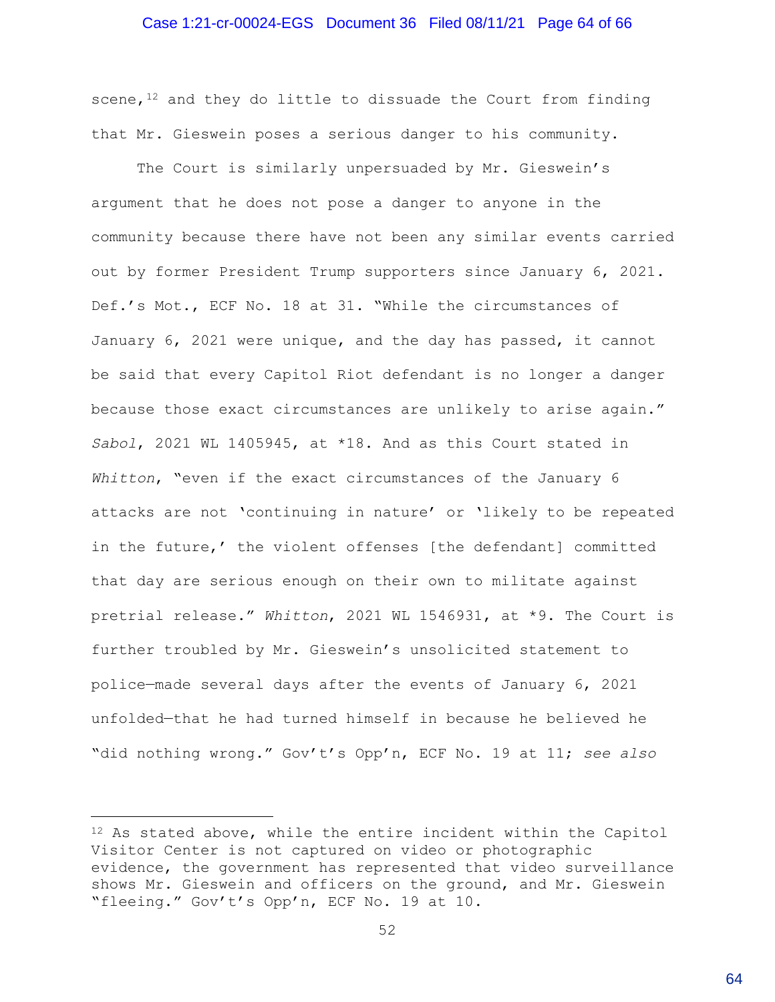#### Case 1:21-cr-00024-EGS Document 36 Filed 08/11/21 Page 64 of 66

scene, $12$  and they do little to dissuade the Court from finding that Mr. Gieswein poses a serious danger to his community.

The Court is similarly unpersuaded by Mr. Gieswein's argument that he does not pose a danger to anyone in the community because there have not been any similar events carried out by former President Trump supporters since January 6, 2021. Def.'s Mot., ECF No. 18 at 31. "While the circumstances of January 6, 2021 were unique, and the day has passed, it cannot be said that every Capitol Riot defendant is no longer a danger because those exact circumstances are unlikely to arise again." *Sabol*, 2021 WL 1405945, at \*18. And as this Court stated in *Whitton*, "even if the exact circumstances of the January 6 attacks are not 'continuing in nature' or 'likely to be repeated in the future,' the violent offenses [the defendant] committed that day are serious enough on their own to militate against pretrial release." *Whitton*, 2021 WL 1546931, at \*9. The Court is further troubled by Mr. Gieswein's unsolicited statement to police—made several days after the events of January 6, 2021 unfolded—that he had turned himself in because he believed he "did nothing wrong." Gov't's Opp'n, ECF No. 19 at 11; *see also*

<sup>12</sup> As stated above, while the entire incident within the Capitol Visitor Center is not captured on video or photographic evidence, the government has represented that video surveillance shows Mr. Gieswein and officers on the ground, and Mr. Gieswein "fleeing." Gov't's Opp'n, ECF No. 19 at 10.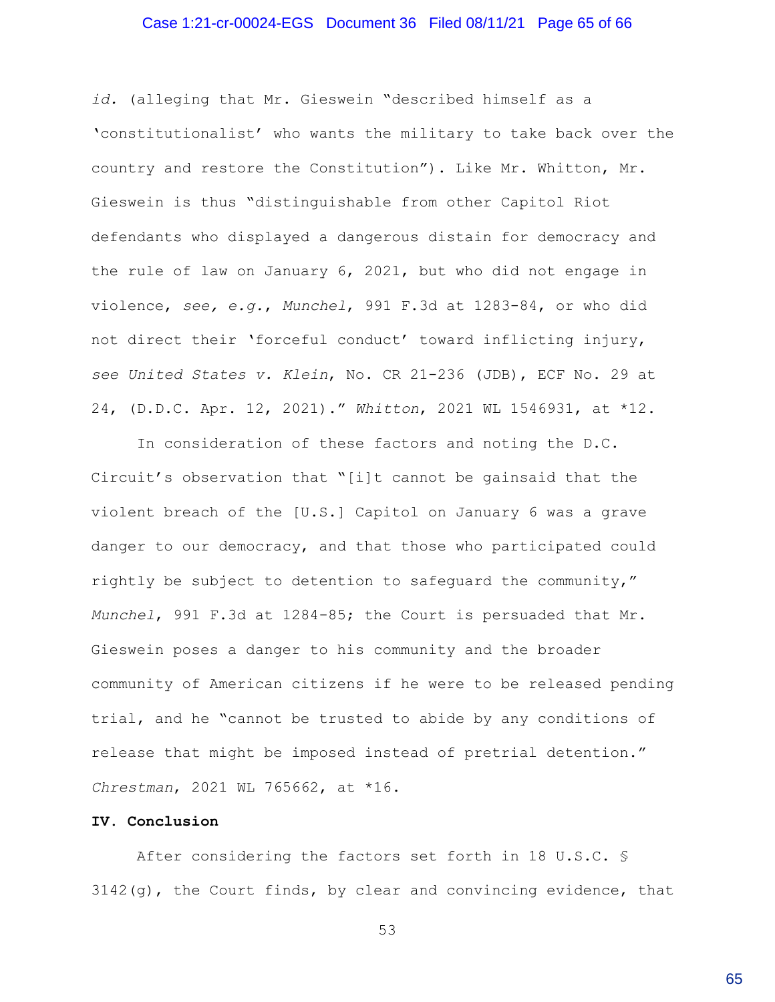#### Case 1:21-cr-00024-EGS Document 36 Filed 08/11/21 Page 65 of 66

*id.* (alleging that Mr. Gieswein "described himself as a 'constitutionalist' who wants the military to take back over the country and restore the Constitution"). Like Mr. Whitton, Mr. Gieswein is thus "distinguishable from other Capitol Riot defendants who displayed a dangerous distain for democracy and the rule of law on January 6, 2021, but who did not engage in violence, *see, e.g.*, *Munchel*, 991 F.3d at 1283-84, or who did not direct their 'forceful conduct' toward inflicting injury, *see United States v. Klein*, No. CR 21-236 (JDB), ECF No. 29 at 24, (D.D.C. Apr. 12, 2021)." *Whitton*, 2021 WL 1546931, at \*12.

In consideration of these factors and noting the D.C. Circuit's observation that "[i]t cannot be gainsaid that the violent breach of the [U.S.] Capitol on January 6 was a grave danger to our democracy, and that those who participated could rightly be subject to detention to safeguard the community," *Munchel*, 991 F.3d at 1284-85; the Court is persuaded that Mr. Gieswein poses a danger to his community and the broader community of American citizens if he were to be released pending trial, and he "cannot be trusted to abide by any conditions of release that might be imposed instead of pretrial detention." *Chrestman*, 2021 WL 765662, at \*16.

#### **IV. Conclusion**

After considering the factors set forth in 18 U.S.C. § 3142(g), the Court finds, by clear and convincing evidence, that